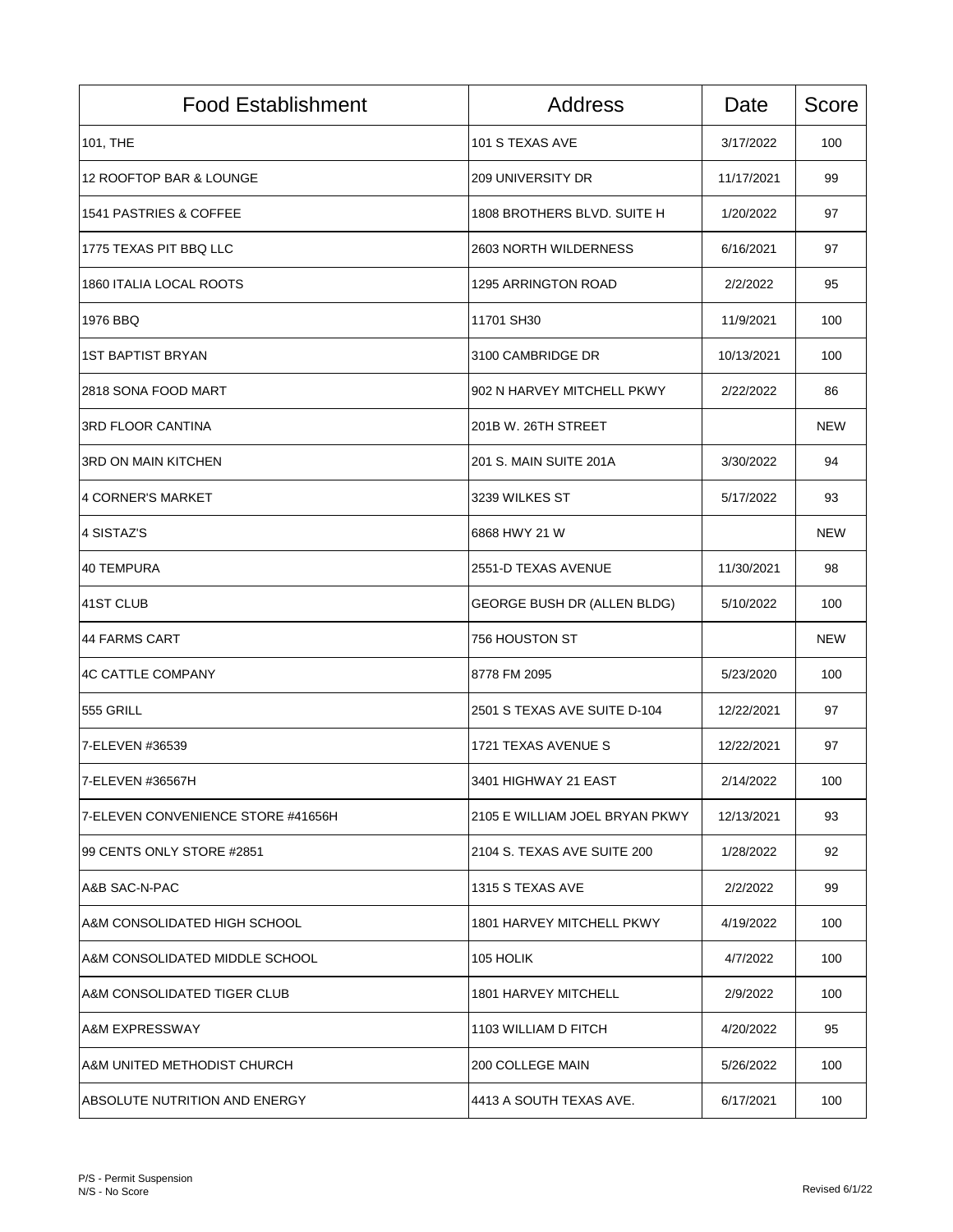| <b>Food Establishment</b>          | <b>Address</b>                   | Date       | Score      |
|------------------------------------|----------------------------------|------------|------------|
| 101, THE                           | 101 S TEXAS AVE                  | 3/17/2022  | 100        |
| 12 ROOFTOP BAR & LOUNGE            | 209 UNIVERSITY DR                | 11/17/2021 | 99         |
| <b>1541 PASTRIES &amp; COFFEE</b>  | 1808 BROTHERS BLVD. SUITE H      | 1/20/2022  | 97         |
| 1775 TEXAS PIT BBQ LLC             | 2603 NORTH WILDERNESS            | 6/16/2021  | 97         |
| 1860 ITALIA LOCAL ROOTS            | 1295 ARRINGTON ROAD              | 2/2/2022   | 95         |
| 1976 BBQ                           | 11701 SH30                       | 11/9/2021  | 100        |
| <b>1ST BAPTIST BRYAN</b>           | 3100 CAMBRIDGE DR                | 10/13/2021 | 100        |
| 2818 SONA FOOD MART                | 902 N HARVEY MITCHELL PKWY       | 2/22/2022  | 86         |
| <b>3RD FLOOR CANTINA</b>           | 201B W. 26TH STREET              |            | <b>NEW</b> |
| <b>3RD ON MAIN KITCHEN</b>         | 201 S. MAIN SUITE 201A           | 3/30/2022  | 94         |
| 4 CORNER'S MARKET                  | 3239 WILKES ST                   | 5/17/2022  | 93         |
| 4 SISTAZ'S                         | 6868 HWY 21 W                    |            | <b>NEW</b> |
| 40 TEMPURA                         | 2551-D TEXAS AVENUE              | 11/30/2021 | 98         |
| 41ST CLUB                          | GEORGE BUSH DR (ALLEN BLDG)      | 5/10/2022  | 100        |
| 44 FARMS CART                      | 756 HOUSTON ST                   |            | <b>NEW</b> |
| 4C CATTLE COMPANY                  | 8778 FM 2095                     | 5/23/2020  | 100        |
| 555 GRILL                          | 2501 S TEXAS AVE SUITE D-104     | 12/22/2021 | 97         |
| 7-ELEVEN #36539                    | 1721 TEXAS AVENUE S              | 12/22/2021 | 97         |
| 7-ELEVEN #36567H                   | 3401 HIGHWAY 21 EAST             | 2/14/2022  | 100        |
| 7-ELEVEN CONVENIENCE STORE #41656H | 2105 E WILLIAM JOEL BRYAN PKWY   | 12/13/2021 | 93         |
| 99 CENTS ONLY STORE #2851          | 2104 S. TEXAS AVE SUITE 200      | 1/28/2022  | 92         |
| A&B SAC-N-PAC                      | 1315 S TEXAS AVE                 | 2/2/2022   | 99         |
| A&M CONSOLIDATED HIGH SCHOOL       | <b>1801 HARVEY MITCHELL PKWY</b> | 4/19/2022  | 100        |
| A&M CONSOLIDATED MIDDLE SCHOOL     | 105 HOLIK                        | 4/7/2022   | 100        |
| A&M CONSOLIDATED TIGER CLUB        | 1801 HARVEY MITCHELL             | 2/9/2022   | 100        |
| A&M EXPRESSWAY                     | 1103 WILLIAM D FITCH             | 4/20/2022  | 95         |
| A&M UNITED METHODIST CHURCH        | 200 COLLEGE MAIN                 | 5/26/2022  | 100        |
| ABSOLUTE NUTRITION AND ENERGY      | 4413 A SOUTH TEXAS AVE.          | 6/17/2021  | 100        |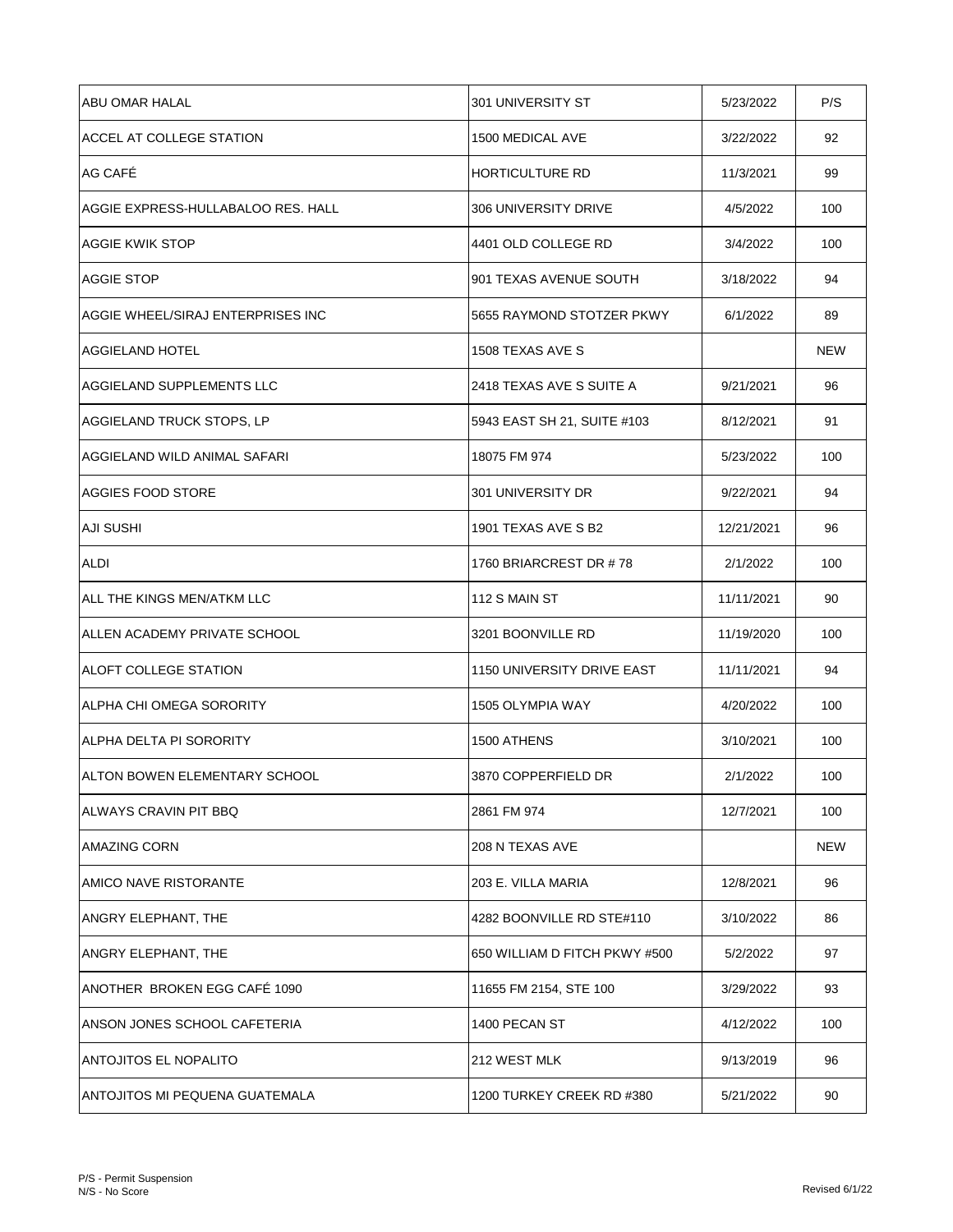| ABU OMAR HALAL                     | 301 UNIVERSITY ST             | 5/23/2022  | P/S |
|------------------------------------|-------------------------------|------------|-----|
| ACCEL AT COLLEGE STATION           | 1500 MEDICAL AVE              | 3/22/2022  | 92  |
| AG CAFÉ                            | <b>HORTICULTURE RD</b>        | 11/3/2021  | 99  |
| AGGIE EXPRESS-HULLABALOO RES. HALL | 306 UNIVERSITY DRIVE          | 4/5/2022   | 100 |
| <b>AGGIE KWIK STOP</b>             | 4401 OLD COLLEGE RD           | 3/4/2022   | 100 |
| <b>AGGIE STOP</b>                  | 901 TEXAS AVENUE SOUTH        | 3/18/2022  | 94  |
| AGGIE WHEEL/SIRAJ ENTERPRISES INC  | 5655 RAYMOND STOTZER PKWY     | 6/1/2022   | 89  |
| <b>AGGIELAND HOTEL</b>             | 1508 TEXAS AVE S              |            | NEW |
| AGGIELAND SUPPLEMENTS LLC          | 2418 TEXAS AVE S SUITE A      | 9/21/2021  | 96  |
| AGGIELAND TRUCK STOPS, LP          | 5943 EAST SH 21, SUITE #103   | 8/12/2021  | 91  |
| AGGIELAND WILD ANIMAL SAFARI       | 18075 FM 974                  | 5/23/2022  | 100 |
| AGGIES FOOD STORE                  | 301 UNIVERSITY DR             | 9/22/2021  | 94  |
| <b>AJI SUSHI</b>                   | 1901 TEXAS AVE S B2           | 12/21/2021 | 96  |
| ALDI                               | 1760 BRIARCREST DR #78        | 2/1/2022   | 100 |
| ALL THE KINGS MEN/ATKM LLC         | 112 S MAIN ST                 | 11/11/2021 | 90  |
| ALLEN ACADEMY PRIVATE SCHOOL       | 3201 BOONVILLE RD             | 11/19/2020 | 100 |
| <b>ALOFT COLLEGE STATION</b>       | 1150 UNIVERSITY DRIVE EAST    | 11/11/2021 | 94  |
| ALPHA CHI OMEGA SORORITY           | 1505 OLYMPIA WAY              | 4/20/2022  | 100 |
| ALPHA DELTA PI SORORITY            | 1500 ATHENS                   | 3/10/2021  | 100 |
| ALTON BOWEN ELEMENTARY SCHOOL      | 3870 COPPERFIELD DR           | 2/1/2022   | 100 |
| ALWAYS CRAVIN PIT BBO              | 2861 FM 974                   | 12/7/2021  | 100 |
| <b>AMAZING CORN</b>                | 208 N TEXAS AVE               |            | NEW |
| AMICO NAVE RISTORANTE              | 203 E. VILLA MARIA            | 12/8/2021  | 96  |
| ANGRY ELEPHANT, THE                | 4282 BOONVILLE RD STE#110     | 3/10/2022  | 86  |
| ANGRY ELEPHANT, THE                | 650 WILLIAM D FITCH PKWY #500 | 5/2/2022   | 97  |
| ANOTHER BROKEN EGG CAFE 1090       | 11655 FM 2154, STE 100        | 3/29/2022  | 93  |
| ANSON JONES SCHOOL CAFETERIA       | 1400 PECAN ST                 | 4/12/2022  | 100 |
| ANTOJITOS EL NOPALITO              | 212 WEST MLK                  | 9/13/2019  | 96  |
| ANTOJITOS MI PEQUENA GUATEMALA     | 1200 TURKEY CREEK RD #380     | 5/21/2022  | 90  |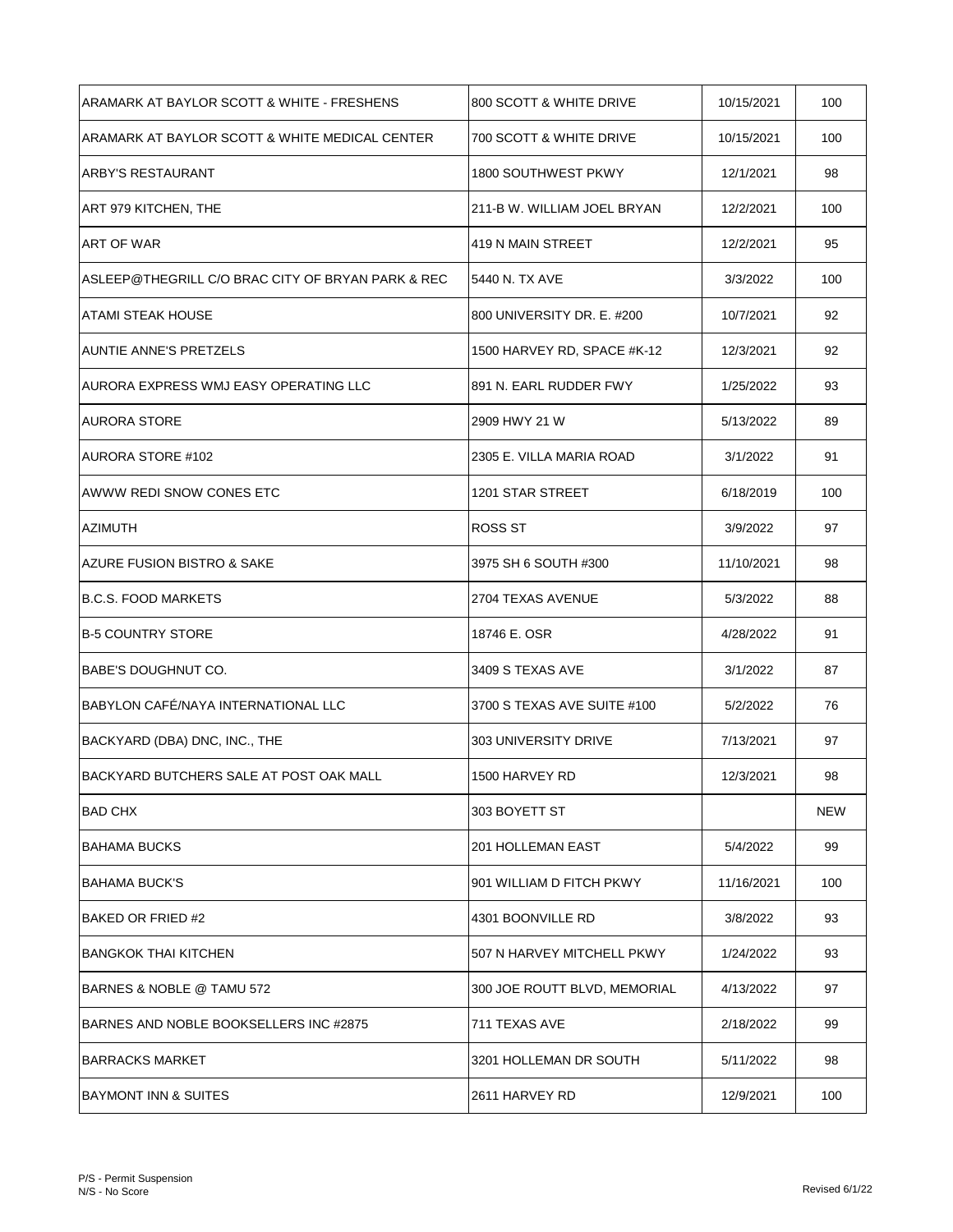| ARAMARK AT BAYLOR SCOTT & WHITE - FRESHENS        | 800 SCOTT & WHITE DRIVE      | 10/15/2021 | 100 |
|---------------------------------------------------|------------------------------|------------|-----|
| ARAMARK AT BAYLOR SCOTT & WHITE MEDICAL CENTER    | 700 SCOTT & WHITE DRIVE      | 10/15/2021 | 100 |
| <b>ARBY'S RESTAURANT</b>                          | 1800 SOUTHWEST PKWY          | 12/1/2021  | 98  |
| ART 979 KITCHEN, THE                              | 211-B W. WILLIAM JOEL BRYAN  | 12/2/2021  | 100 |
| <b>ART OF WAR</b>                                 | 419 N MAIN STREET            | 12/2/2021  | 95  |
| ASLEEP@THEGRILL C/O BRAC CITY OF BRYAN PARK & REC | 5440 N. TX AVE               | 3/3/2022   | 100 |
| ATAMI STEAK HOUSE                                 | 800 UNIVERSITY DR. E. #200   | 10/7/2021  | 92  |
| <b>AUNTIE ANNE'S PRETZELS</b>                     | 1500 HARVEY RD, SPACE #K-12  | 12/3/2021  | 92  |
| AURORA EXPRESS WMJ EASY OPERATING LLC             | 891 N. EARL RUDDER FWY       | 1/25/2022  | 93  |
| <b>AURORA STORE</b>                               | 2909 HWY 21 W                | 5/13/2022  | 89  |
| <b>AURORA STORE #102</b>                          | 2305 E. VILLA MARIA ROAD     | 3/1/2022   | 91  |
| AWWW REDI SNOW CONES ETC                          | 1201 STAR STREET             | 6/18/2019  | 100 |
| <b>AZIMUTH</b>                                    | ROSS ST                      | 3/9/2022   | 97  |
| AZURE FUSION BISTRO & SAKE                        | 3975 SH 6 SOUTH #300         | 11/10/2021 | 98  |
| B.C.S. FOOD MARKETS                               | 2704 TEXAS AVENUE            | 5/3/2022   | 88  |
| <b>B-5 COUNTRY STORE</b>                          | 18746 E. OSR                 | 4/28/2022  | 91  |
| BABE'S DOUGHNUT CO.                               | 3409 S TEXAS AVE             | 3/1/2022   | 87  |
| BABYLON CAFÉ/NAYA INTERNATIONAL LLC               | 3700 S TEXAS AVE SUITE #100  | 5/2/2022   | 76  |
| BACKYARD (DBA) DNC, INC., THE                     | 303 UNIVERSITY DRIVE         | 7/13/2021  | 97  |
| BACKYARD BUTCHERS SALE AT POST OAK MALL           | 1500 HARVEY RD               | 12/3/2021  | 98  |
| <b>BAD CHX</b>                                    | 303 BOYETT ST                |            | NEW |
| BAHAMA BUCKS                                      | <b>201 HOLLEMAN EAST</b>     | 5/4/2022   | 99  |
| <b>BAHAMA BUCK'S</b>                              | 901 WILLIAM D FITCH PKWY     | 11/16/2021 | 100 |
| <b>BAKED OR FRIED #2</b>                          | 4301 BOONVILLE RD            | 3/8/2022   | 93  |
| BANGKOK THAI KITCHEN                              | 507 N HARVEY MITCHELL PKWY   | 1/24/2022  | 93  |
| BARNES & NOBLE @ TAMU 572                         | 300 JOE ROUTT BLVD, MEMORIAL | 4/13/2022  | 97  |
| BARNES AND NOBLE BOOKSELLERS INC #2875            | 711 TEXAS AVE                | 2/18/2022  | 99  |
| <b>BARRACKS MARKET</b>                            | 3201 HOLLEMAN DR SOUTH       | 5/11/2022  | 98  |
| BAYMONT INN & SUITES                              | 2611 HARVEY RD               | 12/9/2021  | 100 |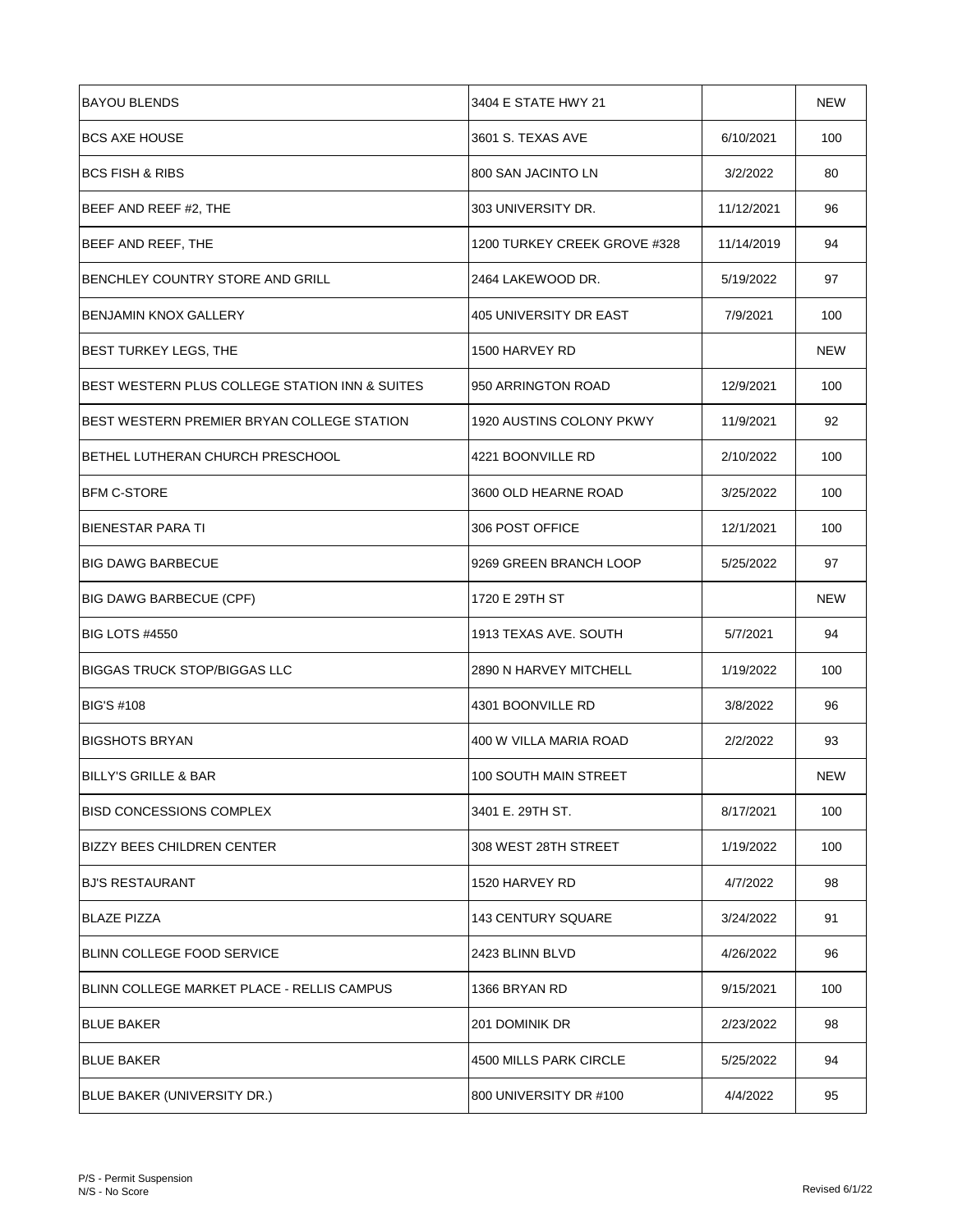| <b>BAYOU BLENDS</b>                            | 3404 E STATE HWY 21          |            | <b>NEW</b> |
|------------------------------------------------|------------------------------|------------|------------|
| <b>BCS AXE HOUSE</b>                           | 3601 S. TEXAS AVE            | 6/10/2021  | 100        |
| <b>BCS FISH &amp; RIBS</b>                     | 800 SAN JACINTO LN           | 3/2/2022   | 80         |
| BEEF AND REEF #2, THE                          | 303 UNIVERSITY DR.           | 11/12/2021 | 96         |
| BEEF AND REEF, THE                             | 1200 TURKEY CREEK GROVE #328 | 11/14/2019 | 94         |
| BENCHLEY COUNTRY STORE AND GRILL               | 2464 LAKEWOOD DR.            | 5/19/2022  | 97         |
| <b>BENJAMIN KNOX GALLERY</b>                   | 405 UNIVERSITY DR EAST       | 7/9/2021   | 100        |
| BEST TURKEY LEGS, THE                          | 1500 HARVEY RD               |            | <b>NEW</b> |
| BEST WESTERN PLUS COLLEGE STATION INN & SUITES | 950 ARRINGTON ROAD           | 12/9/2021  | 100        |
| BEST WESTERN PREMIER BRYAN COLLEGE STATION     | 1920 AUSTINS COLONY PKWY     | 11/9/2021  | 92         |
| BETHEL LUTHERAN CHURCH PRESCHOOL               | 4221 BOONVILLE RD            | 2/10/2022  | 100        |
| <b>BFM C-STORE</b>                             | 3600 OLD HEARNE ROAD         | 3/25/2022  | 100        |
| <b>BIENESTAR PARA TI</b>                       | 306 POST OFFICE              | 12/1/2021  | 100        |
| <b>BIG DAWG BARBECUE</b>                       | 9269 GREEN BRANCH LOOP       | 5/25/2022  | 97         |
| <b>BIG DAWG BARBECUE (CPF)</b>                 | 1720 E 29TH ST               |            | <b>NEW</b> |
| <b>BIG LOTS #4550</b>                          | 1913 TEXAS AVE. SOUTH        | 5/7/2021   | 94         |
| <b>BIGGAS TRUCK STOP/BIGGAS LLC</b>            | 2890 N HARVEY MITCHELL       | 1/19/2022  | 100        |
| <b>BIG'S #108</b>                              | 4301 BOONVILLE RD            | 3/8/2022   | 96         |
| <b>BIGSHOTS BRYAN</b>                          | 400 W VILLA MARIA ROAD       | 2/2/2022   | 93         |
| <b>BILLY'S GRILLE &amp; BAR</b>                | 100 SOUTH MAIN STREET        |            | <b>NEW</b> |
| <b>BISD CONCESSIONS COMPLEX</b>                | 3401 E. 29TH ST.             | 8/17/2021  | 100        |
| <b>BIZZY BEES CHILDREN CENTER</b>              | 308 WEST 28TH STREET         | 1/19/2022  | 100        |
| <b>BJ'S RESTAURANT</b>                         | 1520 HARVEY RD               | 4/7/2022   | 98         |
| <b>BLAZE PIZZA</b>                             | <b>143 CENTURY SQUARE</b>    | 3/24/2022  | 91         |
| BLINN COLLEGE FOOD SERVICE                     | 2423 BLINN BLVD              | 4/26/2022  | 96         |
| BLINN COLLEGE MARKET PLACE - RELLIS CAMPUS     | 1366 BRYAN RD                | 9/15/2021  | 100        |
| <b>BLUE BAKER</b>                              | 201 DOMINIK DR               | 2/23/2022  | 98         |
| <b>BLUE BAKER</b>                              | 4500 MILLS PARK CIRCLE       | 5/25/2022  | 94         |
| BLUE BAKER (UNIVERSITY DR.)                    | 800 UNIVERSITY DR #100       | 4/4/2022   | 95         |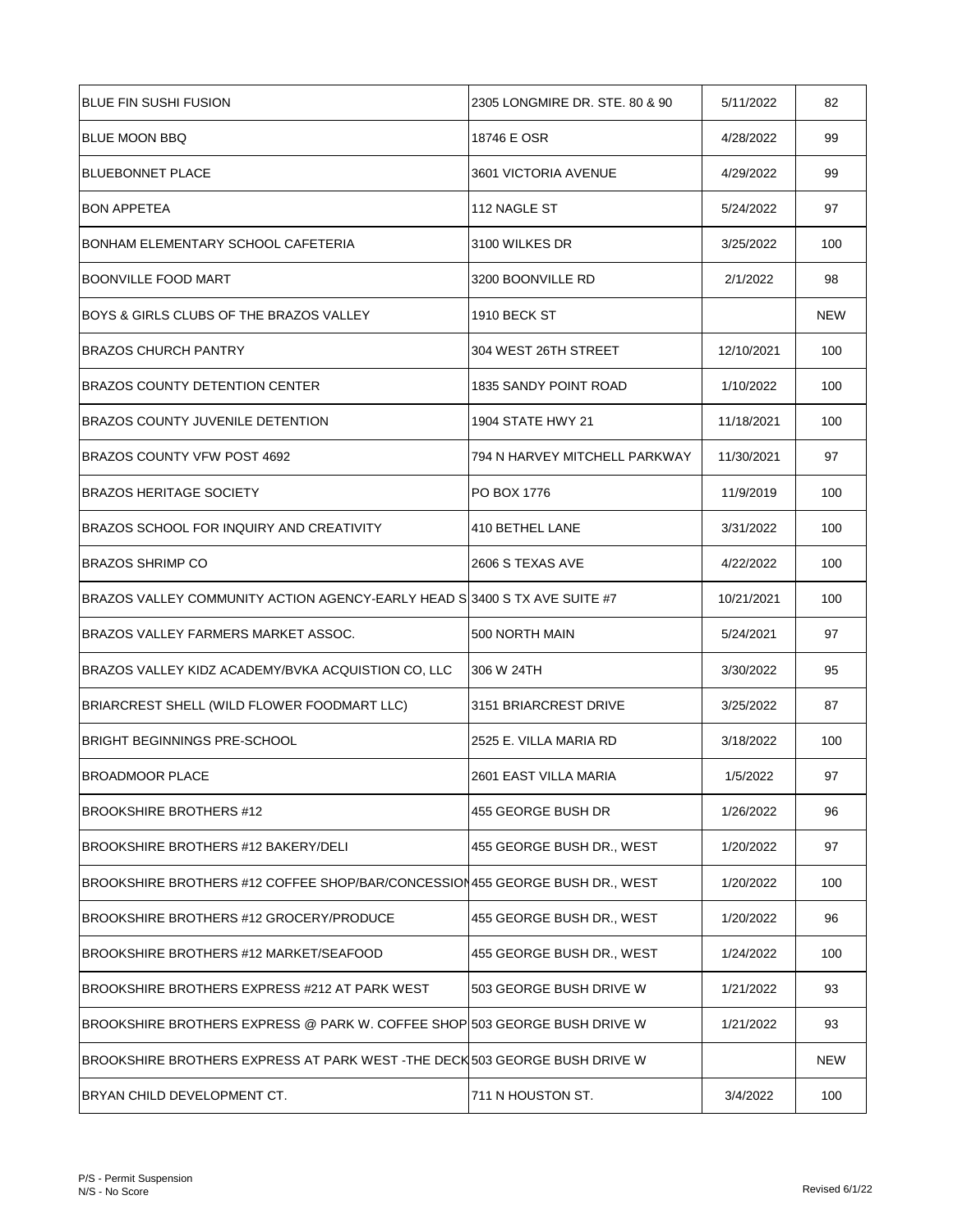| <b>BLUE FIN SUSHI FUSION</b>                                                | 2305 LONGMIRE DR. STE, 80 & 90 | 5/11/2022  | 82         |
|-----------------------------------------------------------------------------|--------------------------------|------------|------------|
| BLUE MOON BBQ                                                               | 18746 E OSR                    | 4/28/2022  | 99         |
| <b>BLUEBONNET PLACE</b>                                                     | 3601 VICTORIA AVENUE           | 4/29/2022  | 99         |
| <b>BON APPETEA</b>                                                          | 112 NAGLE ST                   | 5/24/2022  | 97         |
| BONHAM ELEMENTARY SCHOOL CAFETERIA                                          | 3100 WILKES DR                 | 3/25/2022  | 100        |
| <b>BOONVILLE FOOD MART</b>                                                  | 3200 BOONVILLE RD              | 2/1/2022   | 98         |
| BOYS & GIRLS CLUBS OF THE BRAZOS VALLEY                                     | <b>1910 BECK ST</b>            |            | <b>NEW</b> |
| <b>BRAZOS CHURCH PANTRY</b>                                                 | 304 WEST 26TH STREET           | 12/10/2021 | 100        |
| <b>BRAZOS COUNTY DETENTION CENTER</b>                                       | 1835 SANDY POINT ROAD          | 1/10/2022  | 100        |
| <b>BRAZOS COUNTY JUVENILE DETENTION</b>                                     | 1904 STATE HWY 21              | 11/18/2021 | 100        |
| BRAZOS COUNTY VFW POST 4692                                                 | 794 N HARVEY MITCHELL PARKWAY  | 11/30/2021 | 97         |
| <b>BRAZOS HERITAGE SOCIETY</b>                                              | <b>PO BOX 1776</b>             | 11/9/2019  | 100        |
| BRAZOS SCHOOL FOR INQUIRY AND CREATIVITY                                    | 410 BETHEL LANE                | 3/31/2022  | 100        |
| <b>BRAZOS SHRIMP CO</b>                                                     | 2606 S TEXAS AVE               | 4/22/2022  | 100        |
| BRAZOS VALLEY COMMUNITY ACTION AGENCY-EARLY HEAD S 3400 S TX AVE SUITE #7   |                                | 10/21/2021 | 100        |
| BRAZOS VALLEY FARMERS MARKET ASSOC.                                         | 500 NORTH MAIN                 | 5/24/2021  | 97         |
| BRAZOS VALLEY KIDZ ACADEMY/BVKA ACQUISTION CO, LLC                          | 306 W 24TH                     | 3/30/2022  | 95         |
| BRIARCREST SHELL (WILD FLOWER FOODMART LLC)                                 | 3151 BRIARCREST DRIVE          | 3/25/2022  | 87         |
| <b>BRIGHT BEGINNINGS PRE-SCHOOL</b>                                         | 2525 E. VILLA MARIA RD         | 3/18/2022  | 100        |
| BROADMOOR PLACE                                                             | 2601 EAST VILLA MARIA          | 1/5/2022   | 97         |
| <b>BROOKSHIRE BROTHERS #12</b>                                              | 455 GEORGE BUSH DR             | 1/26/2022  | 96         |
| BROOKSHIRE BROTHERS #12 BAKERY/DELI                                         | 455 GEORGE BUSH DR., WEST      | 1/20/2022  | 97         |
| BROOKSHIRE BROTHERS #12 COFFEE SHOP/BAR/CONCESSION455 GEORGE BUSH DR., WEST |                                | 1/20/2022  | 100        |
| BROOKSHIRE BROTHERS #12 GROCERY/PRODUCE                                     | 455 GEORGE BUSH DR., WEST      | 1/20/2022  | 96         |
| BROOKSHIRE BROTHERS #12 MARKET/SEAFOOD                                      | 455 GEORGE BUSH DR., WEST      | 1/24/2022  | 100        |
| BROOKSHIRE BROTHERS EXPRESS #212 AT PARK WEST                               | 503 GEORGE BUSH DRIVE W        | 1/21/2022  | 93         |
| BROOKSHIRE BROTHERS EXPRESS @ PARK W. COFFEE SHOP 503 GEORGE BUSH DRIVE W   |                                | 1/21/2022  | 93         |
| BROOKSHIRE BROTHERS EXPRESS AT PARK WEST -THE DECK 503 GEORGE BUSH DRIVE W  |                                |            | <b>NEW</b> |
| BRYAN CHILD DEVELOPMENT CT.                                                 | 711 N HOUSTON ST.              | 3/4/2022   | 100        |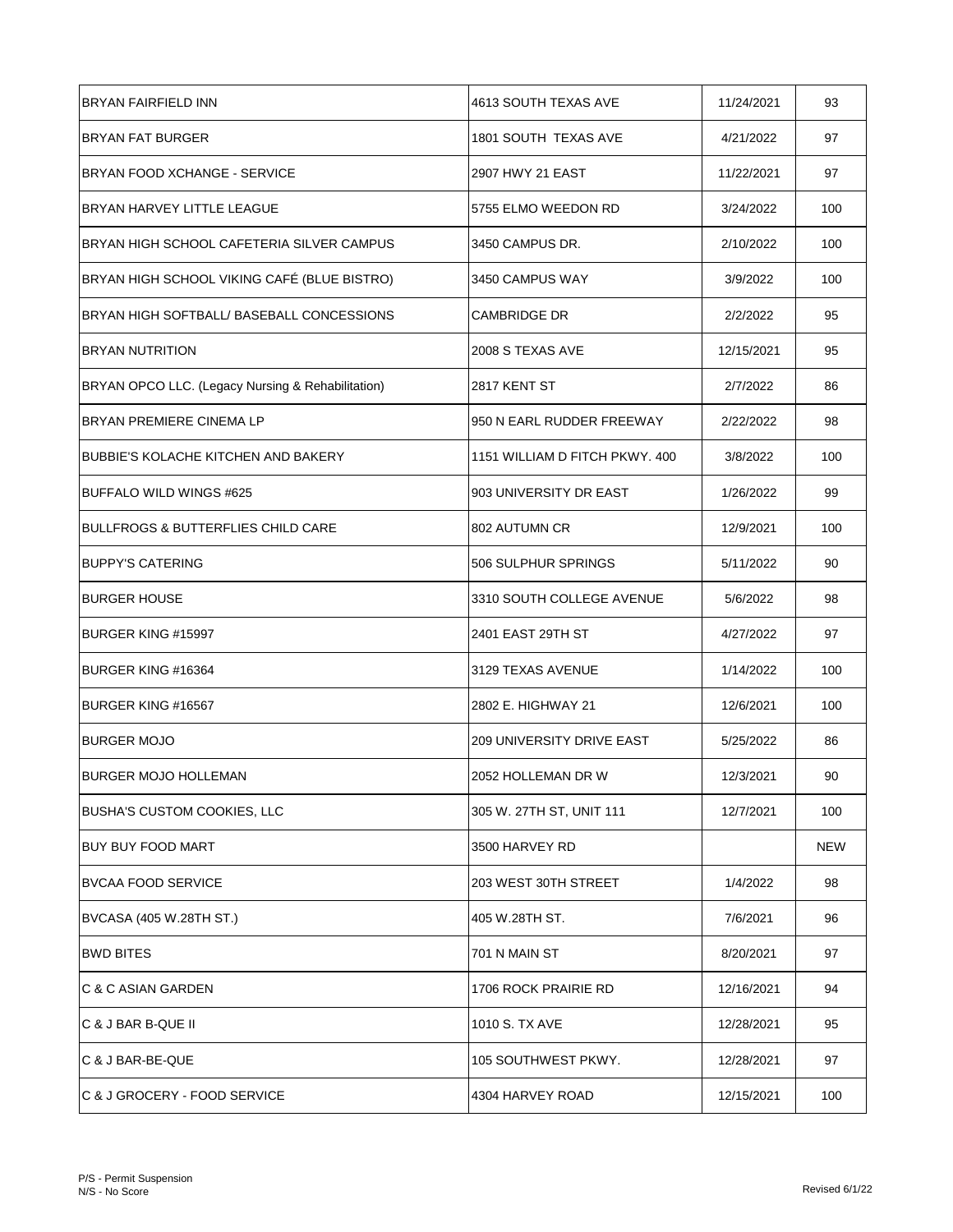| <b>BRYAN FAIRFIELD INN</b>                        | 4613 SOUTH TEXAS AVE             | 11/24/2021 | 93  |
|---------------------------------------------------|----------------------------------|------------|-----|
| <b>BRYAN FAT BURGER</b>                           | 1801 SOUTH TEXAS AVE             | 4/21/2022  | 97  |
| <b>BRYAN FOOD XCHANGE - SERVICE</b>               | 2907 HWY 21 EAST                 | 11/22/2021 | 97  |
| BRYAN HARVEY LITTLE LEAGUE                        | 5755 ELMO WEEDON RD              | 3/24/2022  | 100 |
| BRYAN HIGH SCHOOL CAFETERIA SILVER CAMPUS         | 3450 CAMPUS DR.                  | 2/10/2022  | 100 |
| BRYAN HIGH SCHOOL VIKING CAFÉ (BLUE BISTRO)       | 3450 CAMPUS WAY                  | 3/9/2022   | 100 |
| BRYAN HIGH SOFTBALL/ BASEBALL CONCESSIONS         | <b>CAMBRIDGE DR</b>              | 2/2/2022   | 95  |
| <b>BRYAN NUTRITION</b>                            | 2008 S TEXAS AVE                 | 12/15/2021 | 95  |
| BRYAN OPCO LLC. (Legacy Nursing & Rehabilitation) | 2817 KENT ST                     | 2/7/2022   | 86  |
| BRYAN PREMIERE CINEMA LP                          | 950 N EARL RUDDER FREEWAY        | 2/22/2022  | 98  |
| BUBBIE'S KOLACHE KITCHEN AND BAKERY               | 1151 WILLIAM D FITCH PKWY, 400   | 3/8/2022   | 100 |
| BUFFALO WILD WINGS #625                           | 903 UNIVERSITY DR EAST           | 1/26/2022  | 99  |
| <b>BULLFROGS &amp; BUTTERFLIES CHILD CARE</b>     | 802 AUTUMN CR                    | 12/9/2021  | 100 |
| <b>BUPPY'S CATERING</b>                           | 506 SULPHUR SPRINGS              | 5/11/2022  | 90  |
| <b>BURGER HOUSE</b>                               | 3310 SOUTH COLLEGE AVENUE        | 5/6/2022   | 98  |
| BURGER KING #15997                                | 2401 EAST 29TH ST                | 4/27/2022  | 97  |
| BURGER KING #16364                                | 3129 TEXAS AVENUE                | 1/14/2022  | 100 |
| BURGER KING #16567                                | 2802 E. HIGHWAY 21               | 12/6/2021  | 100 |
| <b>BURGER MOJO</b>                                | <b>209 UNIVERSITY DRIVE EAST</b> | 5/25/2022  | 86  |
| <b>BURGER MOJO HOLLEMAN</b>                       | 2052 HOLLEMAN DR W               | 12/3/2021  | 90  |
| <b>BUSHA'S CUSTOM COOKIES, LLC</b>                | 305 W. 27TH ST, UNIT 111         | 12/7/2021  | 100 |
| <b>BUY BUY FOOD MART</b>                          | 3500 HARVEY RD                   |            | NEW |
| <b>BVCAA FOOD SERVICE</b>                         | 203 WEST 30TH STREET             | 1/4/2022   | 98  |
| BVCASA (405 W.28TH ST.)                           | 405 W.28TH ST.                   | 7/6/2021   | 96  |
| <b>BWD BITES</b>                                  | 701 N MAIN ST                    | 8/20/2021  | 97  |
| C & C ASIAN GARDEN                                | 1706 ROCK PRAIRIE RD             | 12/16/2021 | 94  |
| C & J BAR B-QUE II                                | 1010 S. TX AVE                   | 12/28/2021 | 95  |
| C & J BAR-BE-QUE                                  | 105 SOUTHWEST PKWY.              | 12/28/2021 | 97  |
| C & J GROCERY - FOOD SERVICE                      | 4304 HARVEY ROAD                 | 12/15/2021 | 100 |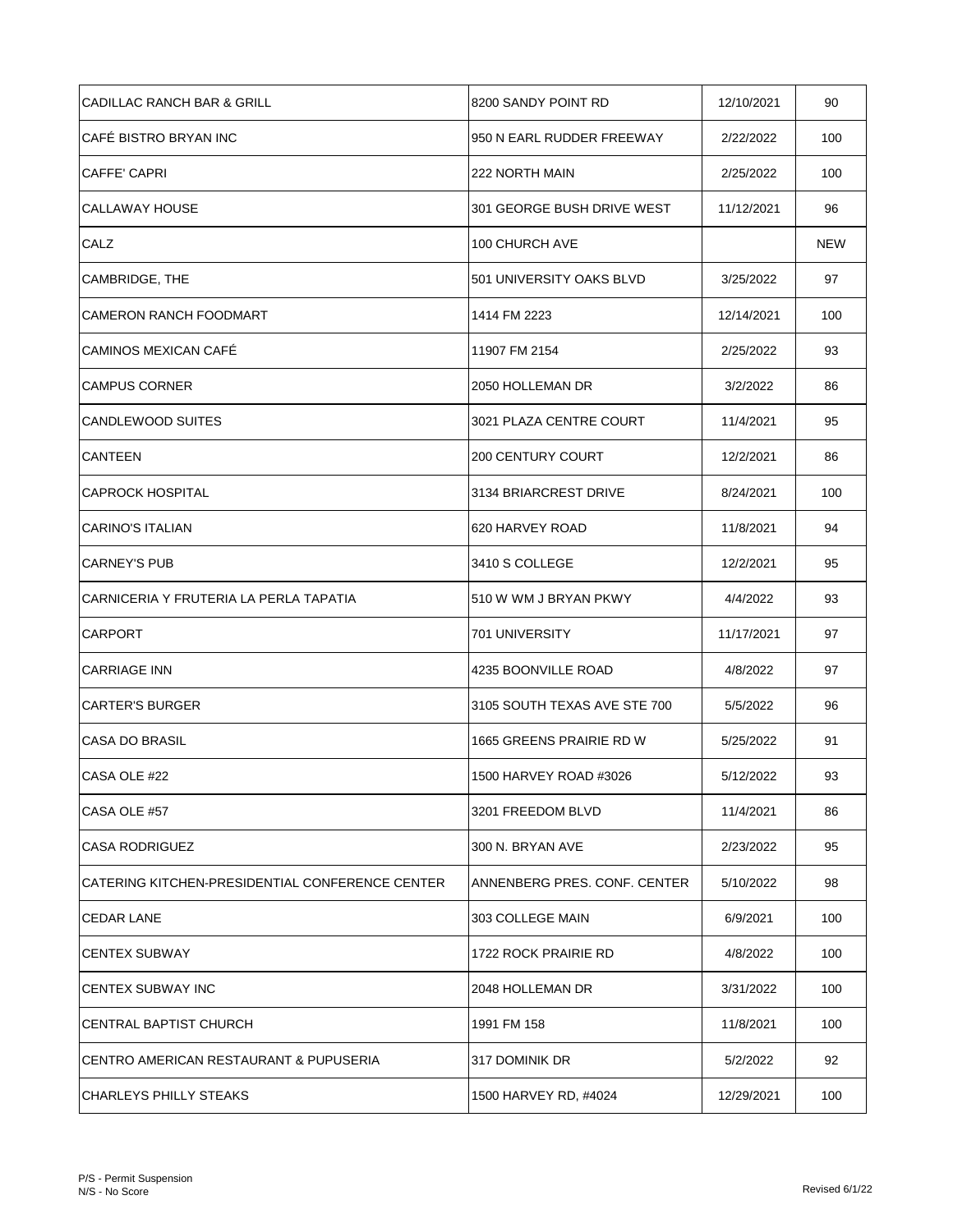| CADILLAC RANCH BAR & GRILL                      | 8200 SANDY POINT RD          | 12/10/2021 | 90  |
|-------------------------------------------------|------------------------------|------------|-----|
| ICAFÉ BISTRO BRYAN INC                          | 950 N EARL RUDDER FREEWAY    | 2/22/2022  | 100 |
| <b>CAFFE' CAPRI</b>                             | 222 NORTH MAIN               | 2/25/2022  | 100 |
| CALLAWAY HOUSE                                  | 301 GEORGE BUSH DRIVE WEST   | 11/12/2021 | 96  |
| CALZ                                            | 100 CHURCH AVE               |            | NEW |
| CAMBRIDGE, THE                                  | 501 UNIVERSITY OAKS BLVD     | 3/25/2022  | 97  |
| <b>CAMERON RANCH FOODMART</b>                   | 1414 FM 2223                 | 12/14/2021 | 100 |
| CAMINOS MEXICAN CAFÉ                            | 11907 FM 2154                | 2/25/2022  | 93  |
| <b>CAMPUS CORNER</b>                            | 2050 HOLLEMAN DR             | 3/2/2022   | 86  |
| <b>CANDLEWOOD SUITES</b>                        | 3021 PLAZA CENTRE COURT      | 11/4/2021  | 95  |
| <b>CANTEEN</b>                                  | <b>200 CENTURY COURT</b>     | 12/2/2021  | 86  |
| <b>CAPROCK HOSPITAL</b>                         | 3134 BRIARCREST DRIVE        | 8/24/2021  | 100 |
| <b>CARINO'S ITALIAN</b>                         | 620 HARVEY ROAD              | 11/8/2021  | 94  |
| <b>CARNEY'S PUB</b>                             | 3410 S COLLEGE               | 12/2/2021  | 95  |
| CARNICERIA Y FRUTERIA LA PERLA TAPATIA          | 510 W WM J BRYAN PKWY        | 4/4/2022   | 93  |
| <b>CARPORT</b>                                  | 701 UNIVERSITY               | 11/17/2021 | 97  |
| <b>CARRIAGE INN</b>                             | 4235 BOONVILLE ROAD          | 4/8/2022   | 97  |
| <b>CARTER'S BURGER</b>                          | 3105 SOUTH TEXAS AVE STE 700 | 5/5/2022   | 96  |
| CASA DO BRASIL                                  | 1665 GREENS PRAIRIE RD W     | 5/25/2022  | 91  |
| CASA OLE #22                                    | 1500 HARVEY ROAD #3026       | 5/12/2022  | 93  |
| CASA OLE #57                                    | 3201 FREEDOM BLVD            | 11/4/2021  | 86  |
| <b>CASA RODRIGUEZ</b>                           | 300 N. BRYAN AVE             | 2/23/2022  | 95  |
| CATERING KITCHEN-PRESIDENTIAL CONFERENCE CENTER | ANNENBERG PRES. CONF. CENTER | 5/10/2022  | 98  |
| <b>CEDAR LANE</b>                               | 303 COLLEGE MAIN             | 6/9/2021   | 100 |
| <b>CENTEX SUBWAY</b>                            | 1722 ROCK PRAIRIE RD         | 4/8/2022   | 100 |
| <b>CENTEX SUBWAY INC</b>                        | 2048 HOLLEMAN DR             | 3/31/2022  | 100 |
| CENTRAL BAPTIST CHURCH                          | 1991 FM 158                  | 11/8/2021  | 100 |
| CENTRO AMERICAN RESTAURANT & PUPUSERIA          | 317 DOMINIK DR               | 5/2/2022   | 92  |
| <b>CHARLEYS PHILLY STEAKS</b>                   | 1500 HARVEY RD, #4024        | 12/29/2021 | 100 |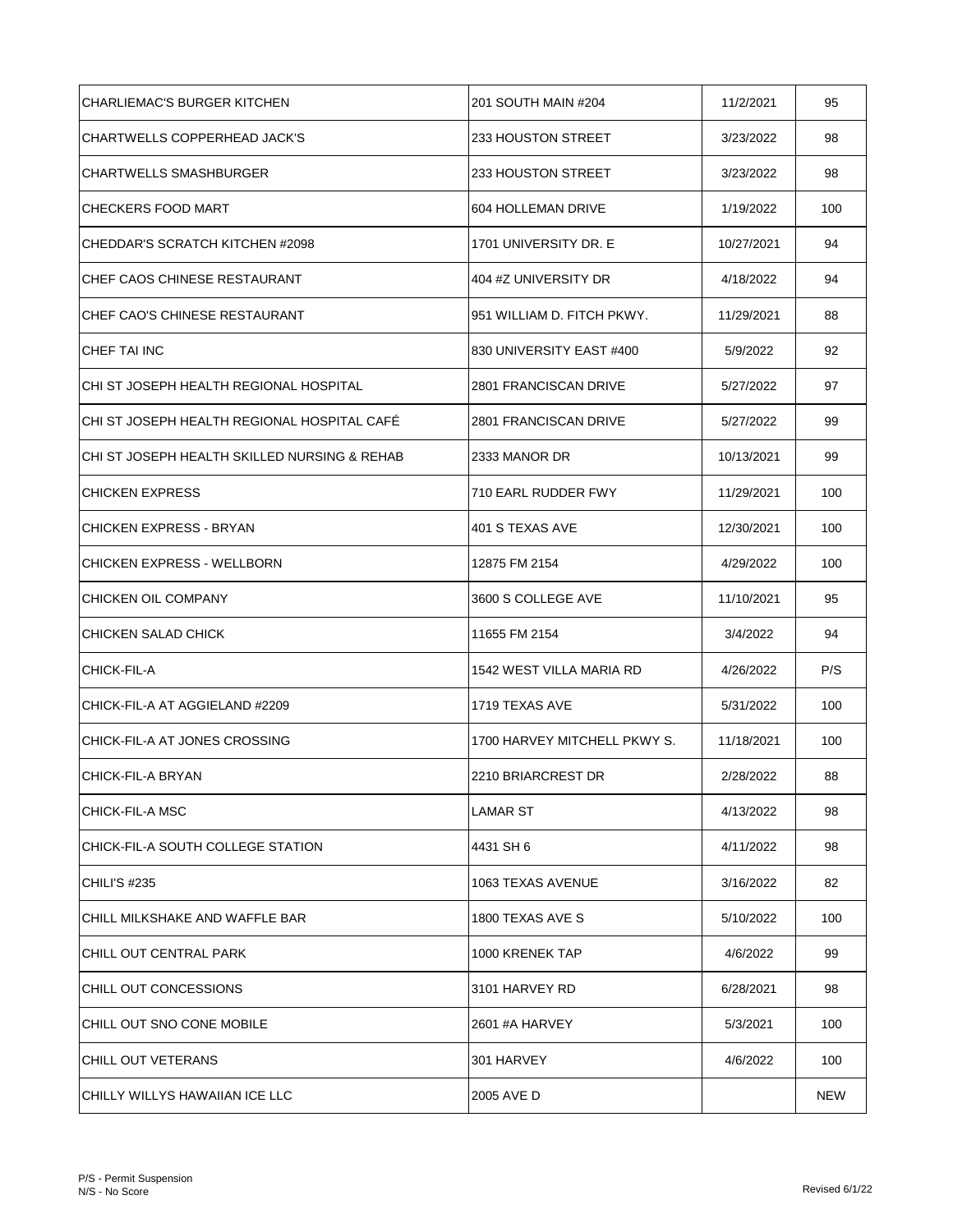| CHARLIEMAC'S BURGER KITCHEN                   | 201 SOUTH MAIN #204          | 11/2/2021  | 95         |
|-----------------------------------------------|------------------------------|------------|------------|
| CHARTWELLS COPPERHEAD JACK'S                  | 233 HOUSTON STREET           | 3/23/2022  | 98         |
| <b>CHARTWELLS SMASHBURGER</b>                 | 233 HOUSTON STREET           | 3/23/2022  | 98         |
| <b>CHECKERS FOOD MART</b>                     | 604 HOLLEMAN DRIVE           | 1/19/2022  | 100        |
| CHEDDAR'S SCRATCH KITCHEN #2098               | 1701 UNIVERSITY DR. E        | 10/27/2021 | 94         |
| CHEF CAOS CHINESE RESTAURANT                  | 404 #Z UNIVERSITY DR         | 4/18/2022  | 94         |
| CHEF CAO'S CHINESE RESTAURANT                 | 951 WILLIAM D. FITCH PKWY.   | 11/29/2021 | 88         |
| <b>CHEF TAI INC</b>                           | 830 UNIVERSITY EAST #400     | 5/9/2022   | 92         |
| ICHI ST JOSEPH HEALTH REGIONAL HOSPITAL       | 2801 FRANCISCAN DRIVE        | 5/27/2022  | 97         |
| ICHI ST JOSEPH HEALTH REGIONAL HOSPITAL CAFE  | 2801 FRANCISCAN DRIVE        | 5/27/2022  | 99         |
| ICHI ST JOSEPH HEALTH SKILLED NURSING & REHAB | 2333 MANOR DR                | 10/13/2021 | 99         |
| <b>CHICKEN EXPRESS</b>                        | 710 EARL RUDDER FWY          | 11/29/2021 | 100        |
| CHICKEN EXPRESS - BRYAN                       | 401 S TEXAS AVE              | 12/30/2021 | 100        |
| <b>CHICKEN EXPRESS - WELLBORN</b>             | 12875 FM 2154                | 4/29/2022  | 100        |
| CHICKEN OIL COMPANY                           | 3600 S COLLEGE AVE           | 11/10/2021 | 95         |
| CHICKEN SALAD CHICK                           | 11655 FM 2154                | 3/4/2022   | 94         |
| CHICK-FIL-A                                   | 1542 WEST VILLA MARIA RD     | 4/26/2022  | P/S        |
| CHICK-FIL-A AT AGGIELAND #2209                | 1719 TEXAS AVE               | 5/31/2022  | 100        |
| CHICK-FIL-A AT JONES CROSSING                 | 1700 HARVEY MITCHELL PKWY S. | 11/18/2021 | 100        |
| CHICK-FIL-A BRYAN                             | 2210 BRIARCREST DR           | 2/28/2022  | 88         |
| CHICK-FIL-A MSC                               | LAMAR ST                     | 4/13/2022  | 98         |
| CHICK-FIL-A SOUTH COLLEGE STATION             | 4431 SH 6                    | 4/11/2022  | 98         |
| CHILI'S #235                                  | 1063 TEXAS AVENUE            | 3/16/2022  | 82         |
| CHILL MILKSHAKE AND WAFFLE BAR                | 1800 TEXAS AVE S             | 5/10/2022  | 100        |
| CHILL OUT CENTRAL PARK                        | 1000 KRENEK TAP              | 4/6/2022   | 99         |
| CHILL OUT CONCESSIONS                         | 3101 HARVEY RD               | 6/28/2021  | 98         |
| CHILL OUT SNO CONE MOBILE                     | 2601 #A HARVEY               | 5/3/2021   | 100        |
| ICHILL OUT VETERANS                           | 301 HARVEY                   | 4/6/2022   | 100        |
| ICHILLY WILLYS HAWAIIAN ICE LLC               | 2005 AVE D                   |            | <b>NEW</b> |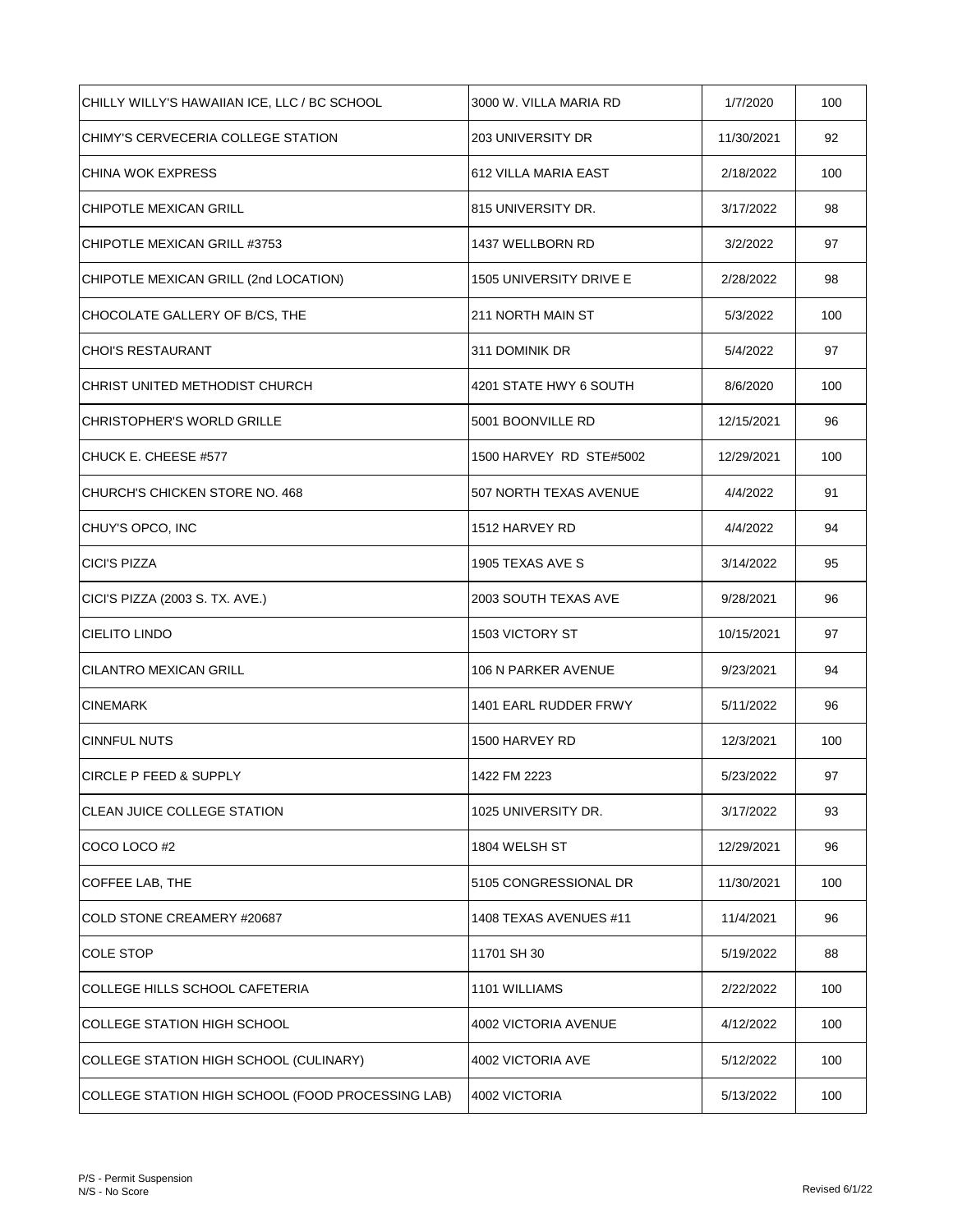| CHILLY WILLY'S HAWAIIAN ICE, LLC / BC SCHOOL      | 3000 W. VILLA MARIA RD  | 1/7/2020   | 100 |
|---------------------------------------------------|-------------------------|------------|-----|
| CHIMY'S CERVECERIA COLLEGE STATION                | 203 UNIVERSITY DR       | 11/30/2021 | 92  |
| CHINA WOK EXPRESS                                 | 612 VILLA MARIA EAST    | 2/18/2022  | 100 |
| CHIPOTLE MEXICAN GRILL                            | 815 UNIVERSITY DR.      | 3/17/2022  | 98  |
| CHIPOTLE MEXICAN GRILL #3753                      | 1437 WELLBORN RD        | 3/2/2022   | 97  |
| CHIPOTLE MEXICAN GRILL (2nd LOCATION)             | 1505 UNIVERSITY DRIVE E | 2/28/2022  | 98  |
| CHOCOLATE GALLERY OF B/CS, THE                    | 211 NORTH MAIN ST       | 5/3/2022   | 100 |
| <b>CHOI'S RESTAURANT</b>                          | 311 DOMINIK DR          | 5/4/2022   | 97  |
| CHRIST UNITED METHODIST CHURCH                    | 4201 STATE HWY 6 SOUTH  | 8/6/2020   | 100 |
| <b>CHRISTOPHER'S WORLD GRILLE</b>                 | 5001 BOONVILLE RD       | 12/15/2021 | 96  |
| CHUCK E. CHEESE #577                              | 1500 HARVEY RD STE#5002 | 12/29/2021 | 100 |
| CHURCH'S CHICKEN STORE NO. 468                    | 507 NORTH TEXAS AVENUE  | 4/4/2022   | 91  |
| CHUY'S OPCO, INC                                  | 1512 HARVEY RD          | 4/4/2022   | 94  |
| <b>CICI'S PIZZA</b>                               | 1905 TEXAS AVE S        | 3/14/2022  | 95  |
| CICI'S PIZZA (2003 S. TX. AVE.)                   | 2003 SOUTH TEXAS AVE    | 9/28/2021  | 96  |
| <b>CIELITO LINDO</b>                              | 1503 VICTORY ST         | 10/15/2021 | 97  |
| <b>CILANTRO MEXICAN GRILL</b>                     | 106 N PARKER AVENUE     | 9/23/2021  | 94  |
| <b>CINEMARK</b>                                   | 1401 EARL RUDDER FRWY   | 5/11/2022  | 96  |
| <b>CINNFUL NUTS</b>                               | 1500 HARVEY RD          | 12/3/2021  | 100 |
| CIRCLE P FEED & SUPPLY                            | 1422 FM 2223            | 5/23/2022  | 97  |
| <b>CLEAN JUICE COLLEGE STATION</b>                | 1025 UNIVERSITY DR.     | 3/17/2022  | 93  |
| COCO LOCO #2                                      | 1804 WELSH ST           | 12/29/2021 | 96  |
| COFFEE LAB, THE                                   | 5105 CONGRESSIONAL DR   | 11/30/2021 | 100 |
| <b>COLD STONE CREAMERY #20687</b>                 | 1408 TEXAS AVENUES #11  | 11/4/2021  | 96  |
| <b>COLE STOP</b>                                  | 11701 SH 30             | 5/19/2022  | 88  |
| COLLEGE HILLS SCHOOL CAFETERIA                    | 1101 WILLIAMS           | 2/22/2022  | 100 |
| COLLEGE STATION HIGH SCHOOL                       | 4002 VICTORIA AVENUE    | 4/12/2022  | 100 |
| COLLEGE STATION HIGH SCHOOL (CULINARY)            | 4002 VICTORIA AVE       | 5/12/2022  | 100 |
| COLLEGE STATION HIGH SCHOOL (FOOD PROCESSING LAB) | 4002 VICTORIA           | 5/13/2022  | 100 |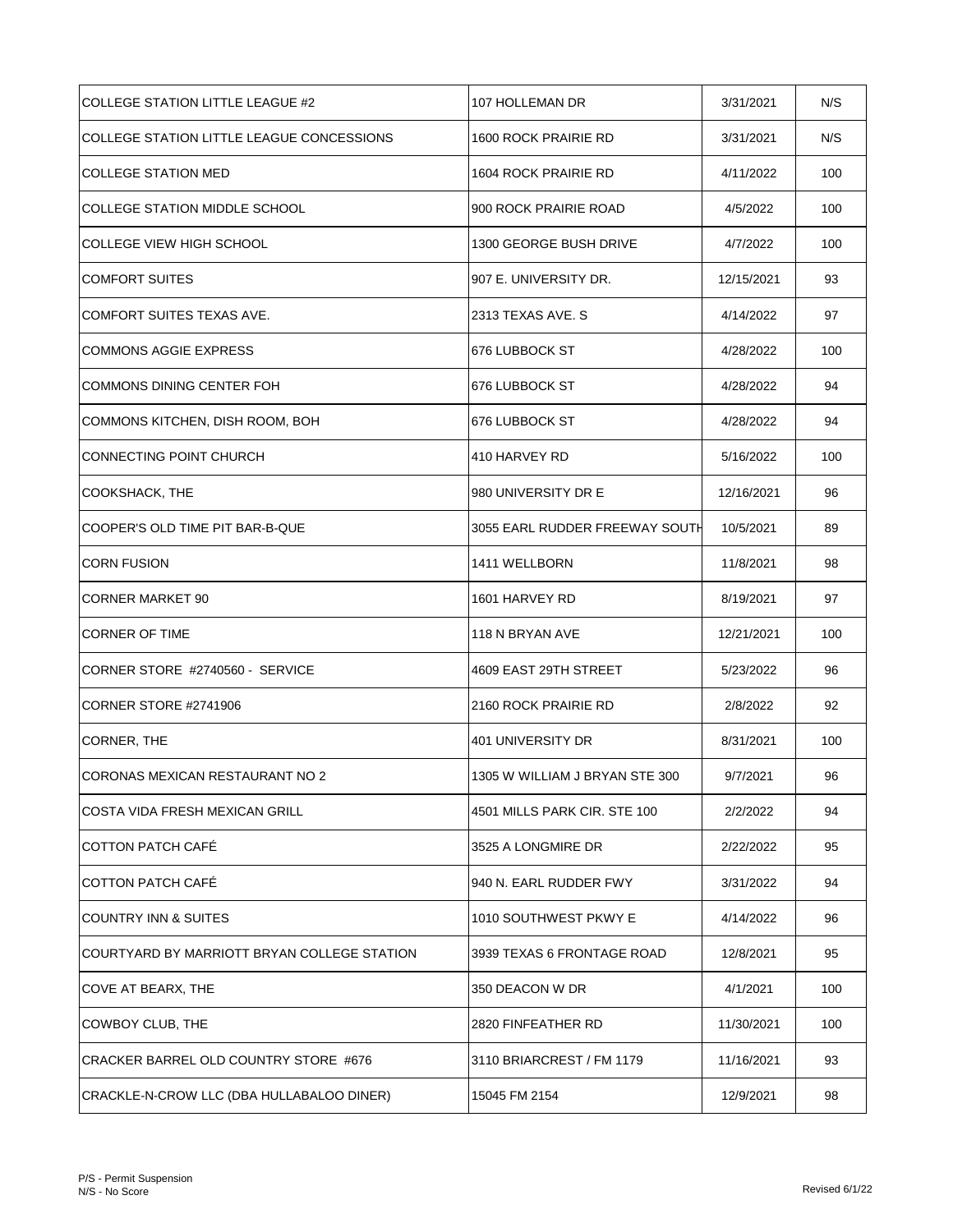| COLLEGE STATION LITTLE LEAGUE #2            | 107 HOLLEMAN DR                | 3/31/2021  | N/S |
|---------------------------------------------|--------------------------------|------------|-----|
| COLLEGE STATION LITTLE LEAGUE CONCESSIONS   | 1600 ROCK PRAIRIE RD           | 3/31/2021  | N/S |
| <b>COLLEGE STATION MED</b>                  | 1604 ROCK PRAIRIE RD           | 4/11/2022  | 100 |
| <b>COLLEGE STATION MIDDLE SCHOOL</b>        | 900 ROCK PRAIRIE ROAD          | 4/5/2022   | 100 |
| COLLEGE VIEW HIGH SCHOOL                    | 1300 GEORGE BUSH DRIVE         | 4/7/2022   | 100 |
| <b>COMFORT SUITES</b>                       | 907 E. UNIVERSITY DR.          | 12/15/2021 | 93  |
| COMFORT SUITES TEXAS AVE.                   | 2313 TEXAS AVE. S              | 4/14/2022  | 97  |
| <b>COMMONS AGGIE EXPRESS</b>                | 676 LUBBOCK ST                 | 4/28/2022  | 100 |
| COMMONS DINING CENTER FOH                   | 676 LUBBOCK ST                 | 4/28/2022  | 94  |
| COMMONS KITCHEN, DISH ROOM, BOH             | 676 LUBBOCK ST                 | 4/28/2022  | 94  |
| <b>CONNECTING POINT CHURCH</b>              | 410 HARVEY RD                  | 5/16/2022  | 100 |
| COOKSHACK, THE                              | 980 UNIVERSITY DR E            | 12/16/2021 | 96  |
| COOPER'S OLD TIME PIT BAR-B-QUE             | 3055 EARL RUDDER FREEWAY SOUTH | 10/5/2021  | 89  |
| <b>CORN FUSION</b>                          | 1411 WELLBORN                  | 11/8/2021  | 98  |
| <b>CORNER MARKET 90</b>                     | 1601 HARVEY RD                 | 8/19/2021  | 97  |
| <b>CORNER OF TIME</b>                       | 118 N BRYAN AVE                | 12/21/2021 | 100 |
| CORNER STORE #2740560 - SERVICE             | 4609 EAST 29TH STREET          | 5/23/2022  | 96  |
| CORNER STORE #2741906                       | 2160 ROCK PRAIRIE RD           | 2/8/2022   | 92  |
| CORNER, THE                                 | 401 UNIVERSITY DR              | 8/31/2021  | 100 |
| CORONAS MEXICAN RESTAURANT NO 2             | 1305 W WILLIAM J BRYAN STE 300 | 9/7/2021   | 96  |
| <b>COSTA VIDA FRESH MEXICAN GRILL</b>       | 4501 MILLS PARK CIR. STE 100   | 2/2/2022   | 94  |
| <b>COTTON PATCH CAFE</b>                    | 3525 A LONGMIRE DR             | 2/22/2022  | 95  |
| <b>COTTON PATCH CAFÉ</b>                    | 940 N. EARL RUDDER FWY         | 3/31/2022  | 94  |
| <b>COUNTRY INN &amp; SUITES</b>             | 1010 SOUTHWEST PKWY E          | 4/14/2022  | 96  |
| COURTYARD BY MARRIOTT BRYAN COLLEGE STATION | 3939 TEXAS 6 FRONTAGE ROAD     | 12/8/2021  | 95  |
| COVE AT BEARX, THE                          | 350 DEACON W DR                | 4/1/2021   | 100 |
| COWBOY CLUB, THE                            | 2820 FINFEATHER RD             | 11/30/2021 | 100 |
| CRACKER BARREL OLD COUNTRY STORE #676       | 3110 BRIARCREST / FM 1179      | 11/16/2021 | 93  |
| CRACKLE-N-CROW LLC (DBA HULLABALOO DINER)   | 15045 FM 2154                  | 12/9/2021  | 98  |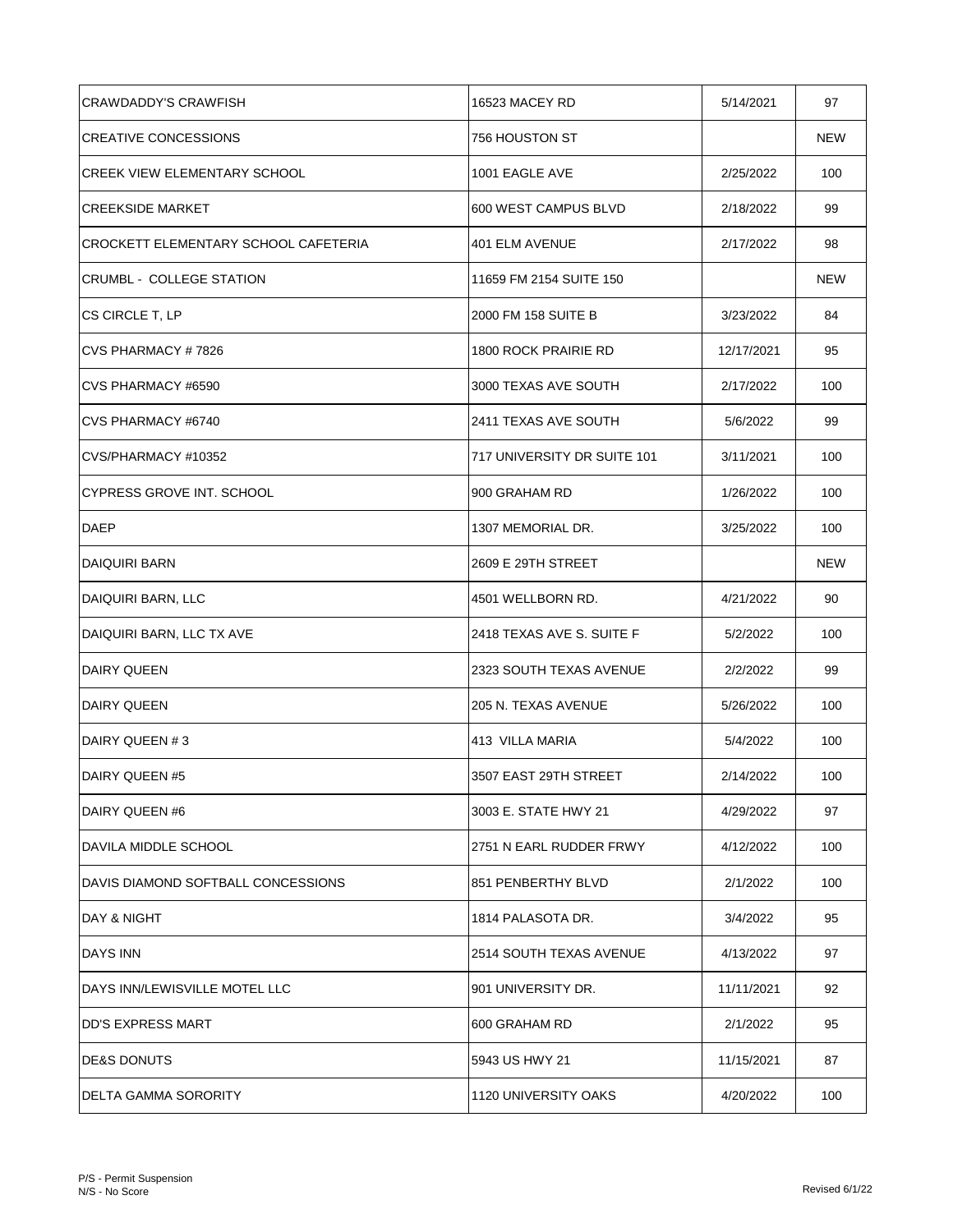| <b>CRAWDADDY'S CRAWFISH</b>          | 16523 MACEY RD              | 5/14/2021  | 97  |
|--------------------------------------|-----------------------------|------------|-----|
| <b>CREATIVE CONCESSIONS</b>          | 756 HOUSTON ST              |            | NEW |
| <b>CREEK VIEW ELEMENTARY SCHOOL</b>  | 1001 EAGLE AVE              | 2/25/2022  | 100 |
| <b>CREEKSIDE MARKET</b>              | 600 WEST CAMPUS BLVD        | 2/18/2022  | 99  |
| CROCKETT ELEMENTARY SCHOOL CAFETERIA | 401 ELM AVENUE              | 2/17/2022  | 98  |
| <b>CRUMBL - COLLEGE STATION</b>      | 11659 FM 2154 SUITE 150     |            | NEW |
| CS CIRCLE T, LP                      | 2000 FM 158 SUITE B         | 3/23/2022  | 84  |
| CVS PHARMACY #7826                   | 1800 ROCK PRAIRIE RD        | 12/17/2021 | 95  |
| CVS PHARMACY #6590                   | 3000 TEXAS AVE SOUTH        | 2/17/2022  | 100 |
| CVS PHARMACY #6740                   | 2411 TEXAS AVE SOUTH        | 5/6/2022   | 99  |
| CVS/PHARMACY #10352                  | 717 UNIVERSITY DR SUITE 101 | 3/11/2021  | 100 |
| CYPRESS GROVE INT. SCHOOL            | 900 GRAHAM RD               | 1/26/2022  | 100 |
| <b>DAEP</b>                          | 1307 MEMORIAL DR.           | 3/25/2022  | 100 |
| <b>DAIQUIRI BARN</b>                 | 2609 E 29TH STREET          |            | NEW |
| DAIQUIRI BARN, LLC                   | 4501 WELLBORN RD.           | 4/21/2022  | 90  |
| DAIQUIRI BARN, LLC TX AVE            | 2418 TEXAS AVE S. SUITE F   | 5/2/2022   | 100 |
| <b>DAIRY QUEEN</b>                   | 2323 SOUTH TEXAS AVENUE     | 2/2/2022   | 99  |
| <b>DAIRY QUEEN</b>                   | 205 N. TEXAS AVENUE         | 5/26/2022  | 100 |
| DAIRY QUEEN #3                       | 413 VILLA MARIA             | 5/4/2022   | 100 |
| DAIRY QUEEN #5                       | 3507 EAST 29TH STREET       | 2/14/2022  | 100 |
| DAIRY QUEEN #6                       | 3003 E. STATE HWY 21        | 4/29/2022  | 97  |
| DAVILA MIDDLE SCHOOL                 | 2751 N EARL RUDDER FRWY     | 4/12/2022  | 100 |
| DAVIS DIAMOND SOFTBALL CONCESSIONS   | 851 PENBERTHY BLVD          | 2/1/2022   | 100 |
| DAY & NIGHT                          | 1814 PALASOTA DR.           | 3/4/2022   | 95  |
| <b>DAYS INN</b>                      | 2514 SOUTH TEXAS AVENUE     | 4/13/2022  | 97  |
| DAYS INN/LEWISVILLE MOTEL LLC        | 901 UNIVERSITY DR.          | 11/11/2021 | 92  |
| DD'S EXPRESS MART                    | 600 GRAHAM RD               | 2/1/2022   | 95  |
| <b>DE&amp;S DONUTS</b>               | 5943 US HWY 21              | 11/15/2021 | 87  |
| DELTA GAMMA SORORITY                 | 1120 UNIVERSITY OAKS        | 4/20/2022  | 100 |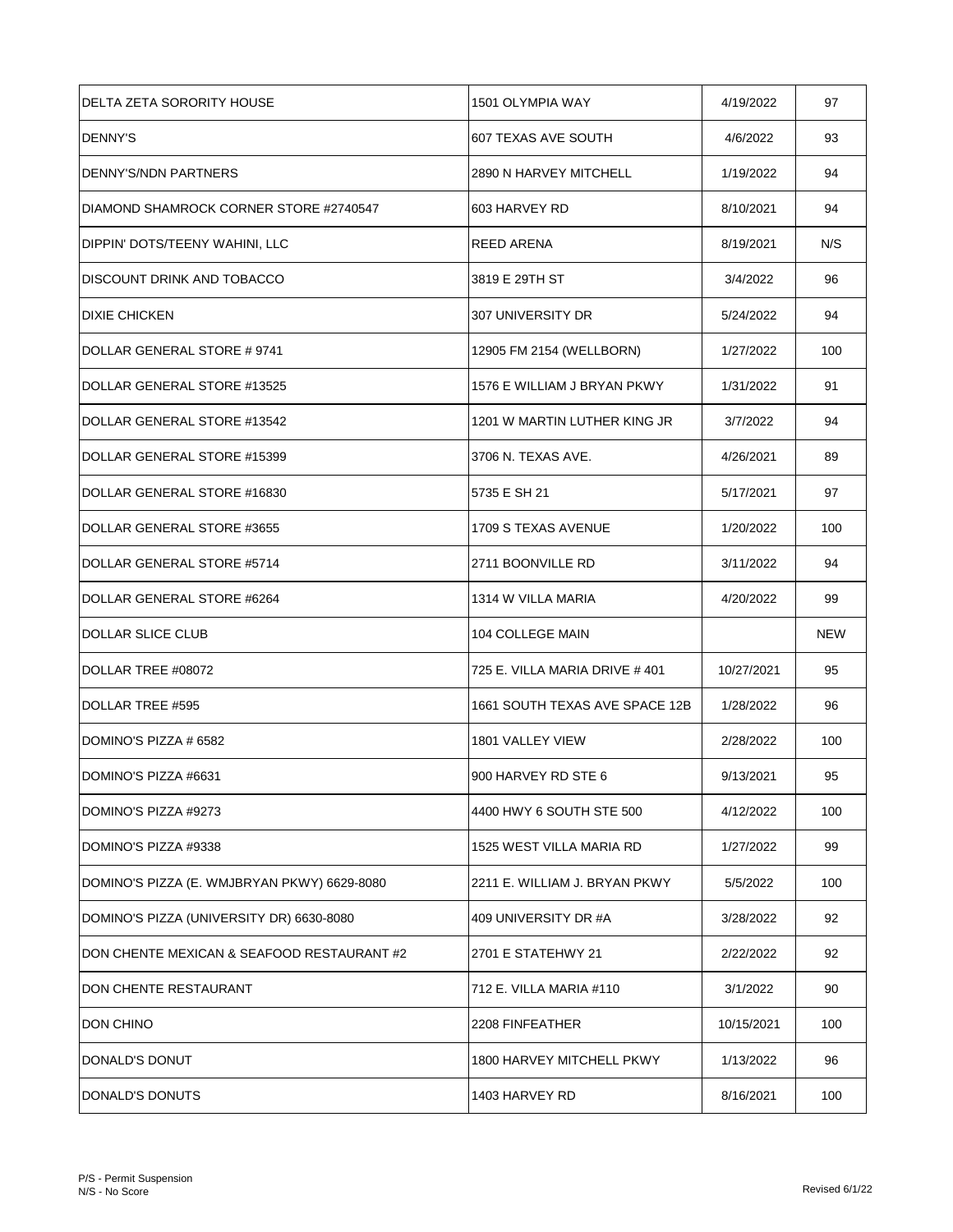| DELTA ZETA SORORITY HOUSE                   | 1501 OLYMPIA WAY               | 4/19/2022  | 97         |
|---------------------------------------------|--------------------------------|------------|------------|
| <b>DENNY'S</b>                              | 607 TEXAS AVE SOUTH            | 4/6/2022   | 93         |
| DENNY'S/NDN PARTNERS                        | 2890 N HARVEY MITCHELL         | 1/19/2022  | 94         |
| DIAMOND SHAMROCK CORNER STORE #2740547      | 603 HARVEY RD                  | 8/10/2021  | 94         |
| DIPPIN' DOTS/TEENY WAHINI, LLC              | REED ARENA                     | 8/19/2021  | N/S        |
| <b>DISCOUNT DRINK AND TOBACCO</b>           | 3819 E 29TH ST                 | 3/4/2022   | 96         |
| <b>DIXIE CHICKEN</b>                        | 307 UNIVERSITY DR              | 5/24/2022  | 94         |
| DOLLAR GENERAL STORE #9741                  | 12905 FM 2154 (WELLBORN)       | 1/27/2022  | 100        |
| DOLLAR GENERAL STORE #13525                 | 1576 E WILLIAM J BRYAN PKWY    | 1/31/2022  | 91         |
| DOLLAR GENERAL STORE #13542                 | 1201 W MARTIN LUTHER KING JR   | 3/7/2022   | 94         |
| DOLLAR GENERAL STORE #15399                 | 3706 N. TEXAS AVE.             | 4/26/2021  | 89         |
| DOLLAR GENERAL STORE #16830                 | 5735 E SH 21                   | 5/17/2021  | 97         |
| DOLLAR GENERAL STORE #3655                  | 1709 S TEXAS AVENUE            | 1/20/2022  | 100        |
| DOLLAR GENERAL STORE #5714                  | 2711 BOONVILLE RD              | 3/11/2022  | 94         |
| DOLLAR GENERAL STORE #6264                  | 1314 W VILLA MARIA             | 4/20/2022  | 99         |
| <b>DOLLAR SLICE CLUB</b>                    | 104 COLLEGE MAIN               |            | <b>NEW</b> |
| DOLLAR TREE #08072                          | 725 E. VILLA MARIA DRIVE # 401 | 10/27/2021 | 95         |
| DOLLAR TREE #595                            | 1661 SOUTH TEXAS AVE SPACE 12B | 1/28/2022  | 96         |
| DOMINO'S PIZZA # 6582                       | 1801 VALLEY VIEW               | 2/28/2022  | 100        |
| DOMINO'S PIZZA #6631                        | 900 HARVEY RD STE 6            | 9/13/2021  | 95         |
| DOMINO'S PIZZA #9273                        | 4400 HWY 6 SOUTH STE 500       | 4/12/2022  | 100        |
| DOMINO'S PIZZA #9338                        | 1525 WEST VILLA MARIA RD       | 1/27/2022  | 99         |
| DOMINO'S PIZZA (E. WMJBRYAN PKWY) 6629-8080 | 2211 E. WILLIAM J. BRYAN PKWY  | 5/5/2022   | 100        |
| DOMINO'S PIZZA (UNIVERSITY DR) 6630-8080    | 409 UNIVERSITY DR #A           | 3/28/2022  | 92         |
| DON CHENTE MEXICAN & SEAFOOD RESTAURANT #2  | 2701 E STATEHWY 21             | 2/22/2022  | 92         |
| DON CHENTE RESTAURANT                       | 712 E. VILLA MARIA #110        | 3/1/2022   | 90         |
| DON CHINO                                   | 2208 FINFEATHER                | 10/15/2021 | 100        |
| DONALD'S DONUT                              | 1800 HARVEY MITCHELL PKWY      | 1/13/2022  | 96         |
| DONALD'S DONUTS                             | 1403 HARVEY RD                 | 8/16/2021  | 100        |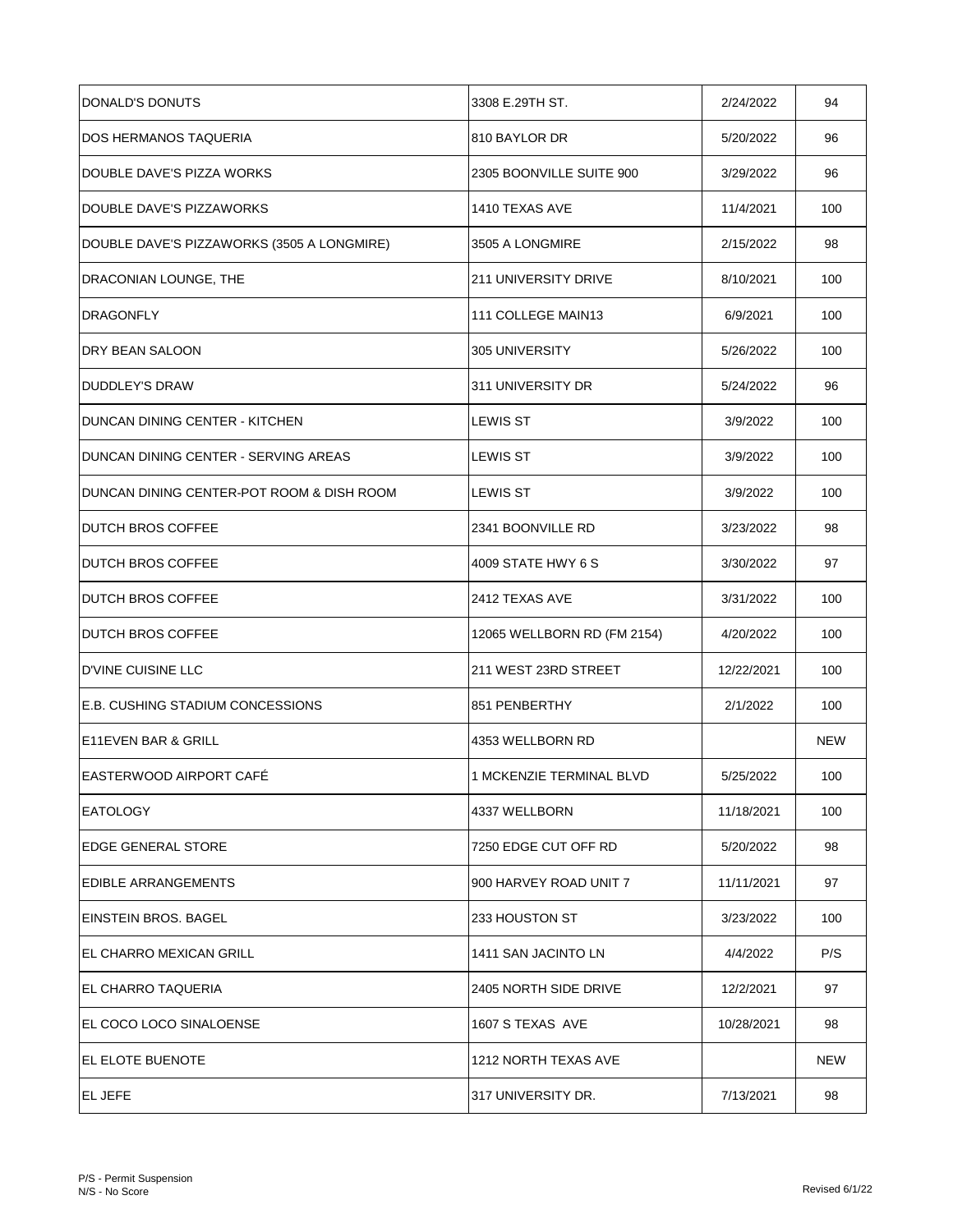| DONALD'S DONUTS                            | 3308 E.29TH ST.             | 2/24/2022  | 94         |
|--------------------------------------------|-----------------------------|------------|------------|
| DOS HERMANOS TAQUERIA                      | 810 BAYLOR DR               | 5/20/2022  | 96         |
| DOUBLE DAVE'S PIZZA WORKS                  | 2305 BOONVILLE SUITE 900    | 3/29/2022  | 96         |
| DOUBLE DAVE'S PIZZAWORKS                   | 1410 TEXAS AVE              | 11/4/2021  | 100        |
| DOUBLE DAVE'S PIZZAWORKS (3505 A LONGMIRE) | 3505 A LONGMIRE             | 2/15/2022  | 98         |
| DRACONIAN LOUNGE, THE                      | <b>211 UNIVERSITY DRIVE</b> | 8/10/2021  | 100        |
| <b>DRAGONFLY</b>                           | 111 COLLEGE MAIN13          | 6/9/2021   | 100        |
| DRY BEAN SALOON                            | 305 UNIVERSITY              | 5/26/2022  | 100        |
| <b>DUDDLEY'S DRAW</b>                      | 311 UNIVERSITY DR           | 5/24/2022  | 96         |
| DUNCAN DINING CENTER - KITCHEN             | <b>LEWIS ST</b>             | 3/9/2022   | 100        |
| DUNCAN DINING CENTER - SERVING AREAS       | <b>LEWIS ST</b>             | 3/9/2022   | 100        |
| DUNCAN DINING CENTER-POT ROOM & DISH ROOM  | <b>LEWIS ST</b>             | 3/9/2022   | 100        |
| <b>DUTCH BROS COFFEE</b>                   | 2341 BOONVILLE RD           | 3/23/2022  | 98         |
| <b>DUTCH BROS COFFEE</b>                   | 4009 STATE HWY 6 S          | 3/30/2022  | 97         |
| <b>DUTCH BROS COFFEE</b>                   | 2412 TEXAS AVE              | 3/31/2022  | 100        |
| <b>DUTCH BROS COFFEE</b>                   | 12065 WELLBORN RD (FM 2154) | 4/20/2022  | 100        |
| <b>D'VINE CUISINE LLC</b>                  | 211 WEST 23RD STREET        | 12/22/2021 | 100        |
| <b>E.B. CUSHING STADIUM CONCESSIONS</b>    | 851 PENBERTHY               | 2/1/2022   | 100        |
| E11EVEN BAR & GRILL                        | 4353 WELLBORN RD            |            | <b>NEW</b> |
| EASTERWOOD AIRPORT CAFÉ                    | 1 MCKENZIE TERMINAL BLVD    | 5/25/2022  | 100        |
| <b>EATOLOGY</b>                            | 4337 WELLBORN               | 11/18/2021 | 100        |
| <b>EDGE GENERAL STORE</b>                  | 7250 EDGE CUT OFF RD        | 5/20/2022  | 98         |
| <b>EDIBLE ARRANGEMENTS</b>                 | 900 HARVEY ROAD UNIT 7      | 11/11/2021 | 97         |
| EINSTEIN BROS, BAGEL                       | 233 HOUSTON ST              | 3/23/2022  | 100        |
| IEL CHARRO MEXICAN GRILL                   | 1411 SAN JACINTO LN         | 4/4/2022   | P/S        |
| EL CHARRO TAQUERIA                         | 2405 NORTH SIDE DRIVE       | 12/2/2021  | 97         |
| EL COCO LOCO SINALOENSE                    | 1607 S TEXAS AVE            | 10/28/2021 | 98         |
| IEL ELOTE BUENOTE                          | 1212 NORTH TEXAS AVE        |            | NEW        |
| <b>EL JEFE</b>                             | 317 UNIVERSITY DR.          | 7/13/2021  | 98         |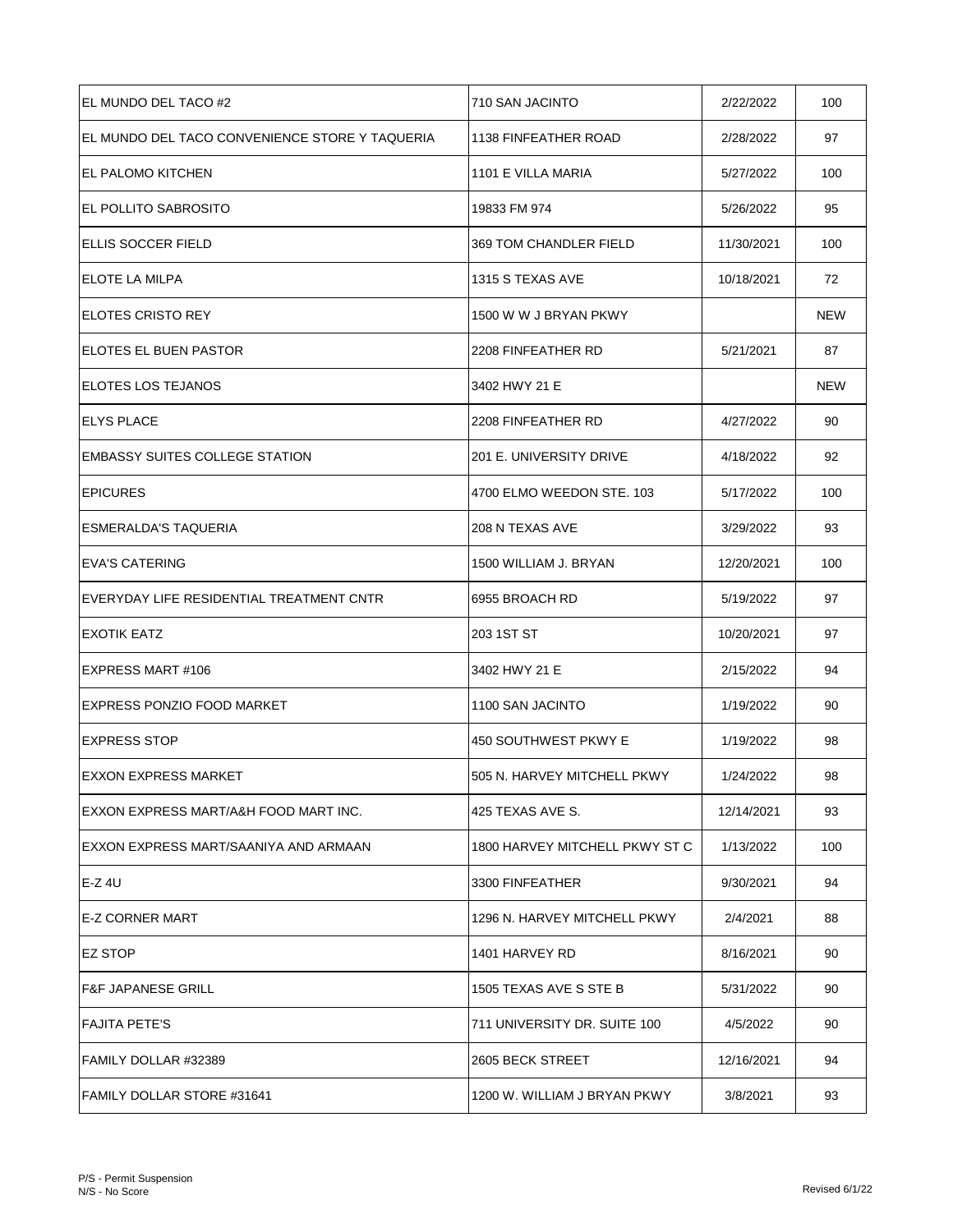| EL MUNDO DEL TACO #2                           | 710 SAN JACINTO                | 2/22/2022  | 100 |
|------------------------------------------------|--------------------------------|------------|-----|
| EL MUNDO DEL TACO CONVENIENCE STORE Y TAQUERIA | 1138 FINFEATHER ROAD           | 2/28/2022  | 97  |
| IEL PALOMO KITCHEN                             | 1101 E VILLA MARIA             | 5/27/2022  | 100 |
| IEL POLLITO SABROSITO                          | 19833 FM 974                   | 5/26/2022  | 95  |
| ELLIS SOCCER FIELD                             | 369 TOM CHANDLER FIELD         | 11/30/2021 | 100 |
| IELOTE LA MILPA                                | 1315 S TEXAS AVE               | 10/18/2021 | 72  |
| IELOTES CRISTO REY                             | 1500 W W J BRYAN PKWY          |            | NEW |
| <b>ELOTES EL BUEN PASTOR</b>                   | 2208 FINFEATHER RD             | 5/21/2021  | 87  |
| IELOTES LOS TEJANOS                            | 3402 HWY 21 E                  |            | NEW |
| <b>IELYS PLACE</b>                             | 2208 FINFEATHER RD             | 4/27/2022  | 90  |
| EMBASSY SUITES COLLEGE STATION                 | 201 E. UNIVERSITY DRIVE        | 4/18/2022  | 92  |
| <b>EPICURES</b>                                | 4700 ELMO WEEDON STE. 103      | 5/17/2022  | 100 |
| ESMERALDA'S TAQUERIA                           | 208 N TEXAS AVE                | 3/29/2022  | 93  |
| IEVA'S CATERING                                | 1500 WILLIAM J. BRYAN          | 12/20/2021 | 100 |
| EVERYDAY LIFE RESIDENTIAL TREATMENT CNTR       | 6955 BROACH RD                 | 5/19/2022  | 97  |
| <b>EXOTIK EATZ</b>                             | 203 1ST ST                     | 10/20/2021 | 97  |
| EXPRESS MART #106                              | 3402 HWY 21 E                  | 2/15/2022  | 94  |
| EXPRESS PONZIO FOOD MARKET                     | 1100 SAN JACINTO               | 1/19/2022  | 90  |
| EXPRESS STOP                                   | 450 SOUTHWEST PKWY E           | 1/19/2022  | 98  |
| <b>EXXON EXPRESS MARKET</b>                    | 505 N. HARVEY MITCHELL PKWY    | 1/24/2022  | 98  |
| IEXXON EXPRESS MART/A&H FOOD MART INC.         | 425 TEXAS AVE S.               | 12/14/2021 | 93  |
| EXXON EXPRESS MART/SAANIYA AND ARMAAN          | 1800 HARVEY MITCHELL PKWY ST C | 1/13/2022  | 100 |
| $E-Z$ 4U                                       | 3300 FINFEATHER                | 9/30/2021  | 94  |
| IE-Z CORNER MART                               | 1296 N. HARVEY MITCHELL PKWY   | 2/4/2021   | 88  |
| IEZ STOP                                       | 1401 HARVEY RD                 | 8/16/2021  | 90  |
| IF&F JAPANESE GRILL                            | 1505 TEXAS AVE S STE B         | 5/31/2022  | 90  |
| <b>FAJITA PETE'S</b>                           | 711 UNIVERSITY DR. SUITE 100   | 4/5/2022   | 90  |
| FAMILY DOLLAR #32389                           | 2605 BECK STREET               | 12/16/2021 | 94  |
| IFAMILY DOLLAR STORE #31641                    | 1200 W. WILLIAM J BRYAN PKWY   | 3/8/2021   | 93  |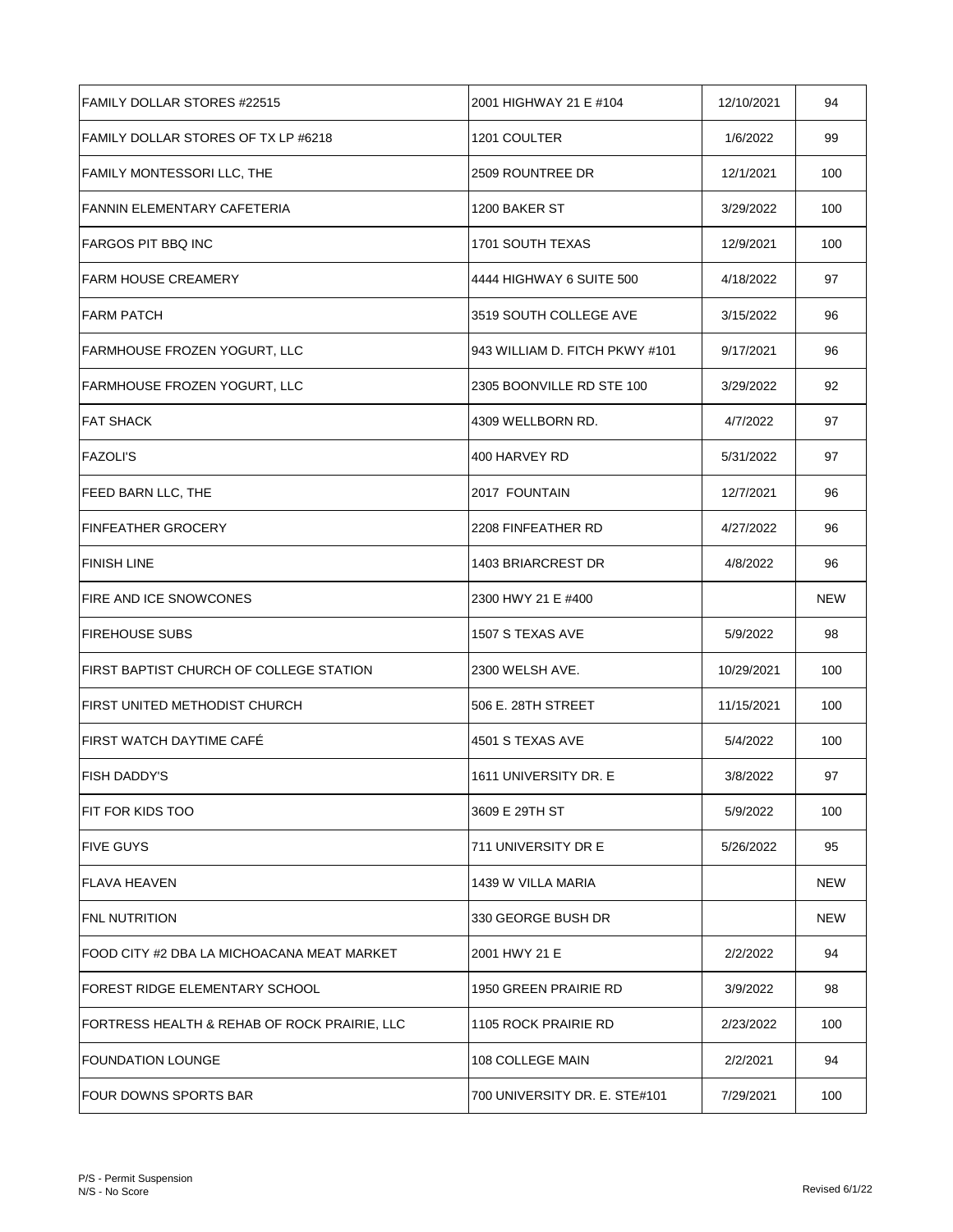| <b>FAMILY DOLLAR STORES #22515</b>           | 2001 HIGHWAY 21 E #104         | 12/10/2021 | 94  |
|----------------------------------------------|--------------------------------|------------|-----|
| FAMILY DOLLAR STORES OF TX LP #6218          | 1201 COULTER                   | 1/6/2022   | 99  |
| FAMILY MONTESSORI LLC, THE                   | 2509 ROUNTREE DR               | 12/1/2021  | 100 |
| <b>FANNIN ELEMENTARY CAFETERIA</b>           | 1200 BAKER ST                  | 3/29/2022  | 100 |
| <b>FARGOS PIT BBQ INC</b>                    | 1701 SOUTH TEXAS               | 12/9/2021  | 100 |
| <b>FARM HOUSE CREAMERY</b>                   | 4444 HIGHWAY 6 SUITE 500       | 4/18/2022  | 97  |
| <b>FARM PATCH</b>                            | 3519 SOUTH COLLEGE AVE         | 3/15/2022  | 96  |
| FARMHOUSE FROZEN YOGURT, LLC                 | 943 WILLIAM D. FITCH PKWY #101 | 9/17/2021  | 96  |
| FARMHOUSE FROZEN YOGURT, LLC                 | 2305 BOONVILLE RD STE 100      | 3/29/2022  | 92  |
| <b>FAT SHACK</b>                             | 4309 WELLBORN RD.              | 4/7/2022   | 97  |
| <b>FAZOLI'S</b>                              | 400 HARVEY RD                  | 5/31/2022  | 97  |
| <b>FEED BARN LLC, THE</b>                    | 2017 FOUNTAIN                  | 12/7/2021  | 96  |
| FINFEATHER GROCERY                           | 2208 FINFEATHER RD             | 4/27/2022  | 96  |
| <b>FINISH LINE</b>                           | 1403 BRIARCREST DR             | 4/8/2022   | 96  |
| <b>FIRE AND ICE SNOWCONES</b>                | 2300 HWY 21 E #400             |            | NEW |
| FIREHOUSE SUBS                               | 1507 S TEXAS AVE               | 5/9/2022   | 98  |
| FIRST BAPTIST CHURCH OF COLLEGE STATION      | 2300 WELSH AVE.                | 10/29/2021 | 100 |
| FIRST UNITED METHODIST CHURCH                | 506 E. 28TH STREET             | 11/15/2021 | 100 |
| IFIRST WATCH DAYTIME CAFE                    | 4501 S TEXAS AVE               | 5/4/2022   | 100 |
| <b>FISH DADDY'S</b>                          | 1611 UNIVERSITY DR. E          | 3/8/2022   | 97  |
| IFIT FOR KIDS TOO                            | 3609 E 29TH ST                 | 5/9/2022   | 100 |
| FIVE GUYS                                    | 711 UNIVERSITY DR E            | 5/26/2022  | 95  |
| lFLAVA HEAVEN                                | 1439 W VILLA MARIA             |            | NEW |
| <b>FNL NUTRITION</b>                         | 330 GEORGE BUSH DR             |            | NEW |
| FOOD CITY #2 DBA LA MICHOACANA MEAT MARKET   | 2001 HWY 21 E                  | 2/2/2022   | 94  |
| IFOREST RIDGE ELEMENTARY SCHOOL              | 1950 GREEN PRAIRIE RD          | 3/9/2022   | 98  |
| FORTRESS HEALTH & REHAB OF ROCK PRAIRIE, LLC | 1105 ROCK PRAIRIE RD           | 2/23/2022  | 100 |
| IFOUNDATION LOUNGE                           | 108 COLLEGE MAIN               | 2/2/2021   | 94  |
| IFOUR DOWNS SPORTS BAR                       | 700 UNIVERSITY DR. E. STE#101  | 7/29/2021  | 100 |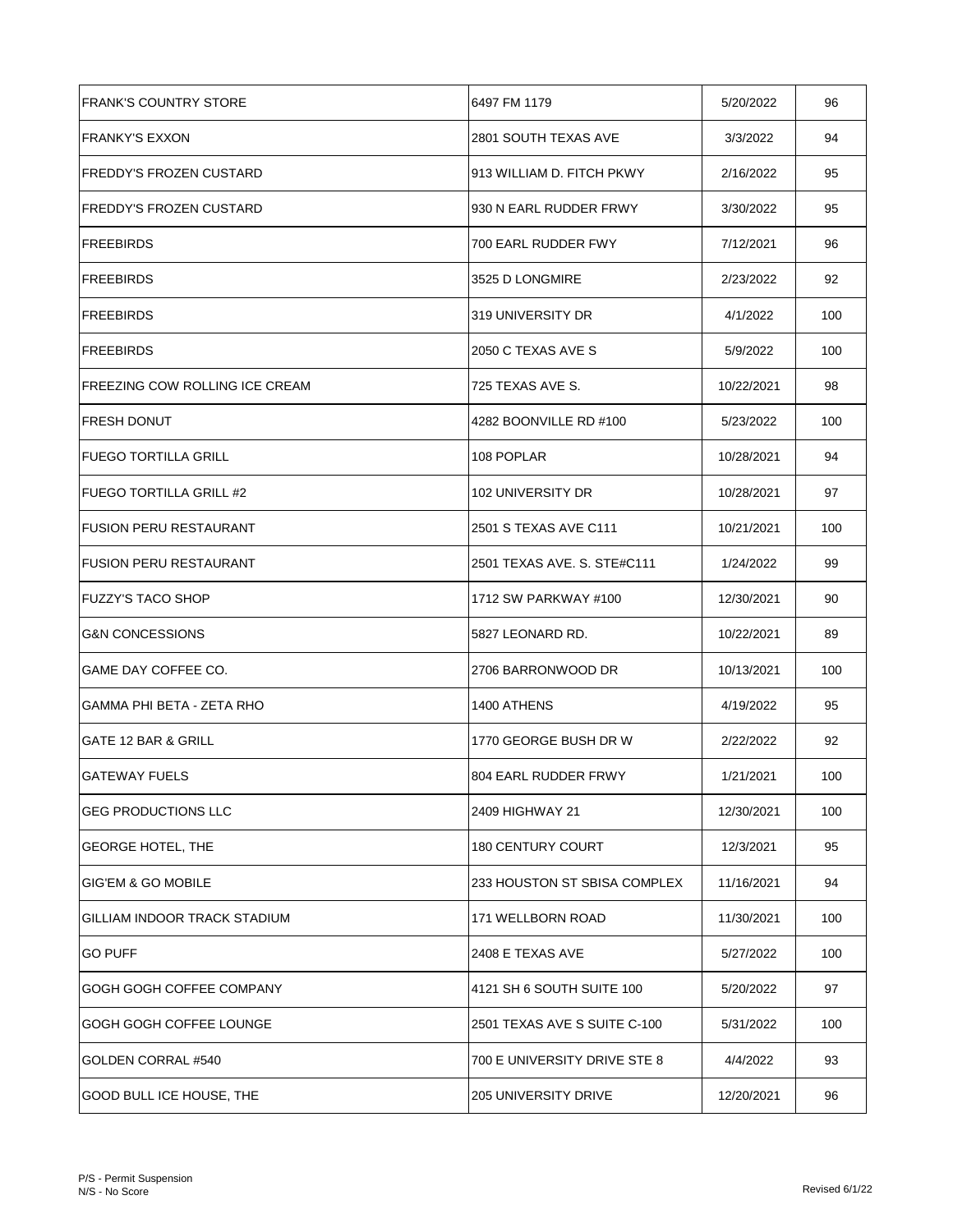| <b>FRANK'S COUNTRY STORE</b>    | 6497 FM 1179                 | 5/20/2022  | 96  |
|---------------------------------|------------------------------|------------|-----|
| <b>FRANKY'S EXXON</b>           | 2801 SOUTH TEXAS AVE         | 3/3/2022   | 94  |
| FREDDY'S FROZEN CUSTARD         | 913 WILLIAM D. FITCH PKWY    | 2/16/2022  | 95  |
| FREDDY'S FROZEN CUSTARD         | 930 N EARL RUDDER FRWY       | 3/30/2022  | 95  |
| FREEBIRDS                       | 700 EARL RUDDER FWY          | 7/12/2021  | 96  |
| FREEBIRDS                       | 3525 D LONGMIRE              | 2/23/2022  | 92  |
| FREEBIRDS                       | 319 UNIVERSITY DR            | 4/1/2022   | 100 |
| <b>FREEBIRDS</b>                | 2050 C TEXAS AVE S           | 5/9/2022   | 100 |
| IFREEZING COW ROLLING ICE CREAM | 725 TEXAS AVE S.             | 10/22/2021 | 98  |
| <b>FRESH DONUT</b>              | 4282 BOONVILLE RD #100       | 5/23/2022  | 100 |
| IFUEGO TORTILLA GRILL           | 108 POPLAR                   | 10/28/2021 | 94  |
| FUEGO TORTILLA GRILL #2         | 102 UNIVERSITY DR            | 10/28/2021 | 97  |
| <b>IFUSION PERU RESTAURANT</b>  | 2501 S TEXAS AVE C111        | 10/21/2021 | 100 |
| <b>FUSION PERU RESTAURANT</b>   | 2501 TEXAS AVE. S. STE#C111  | 1/24/2022  | 99  |
| FUZZY'S TACO SHOP               | 1712 SW PARKWAY #100         | 12/30/2021 | 90  |
| <b>G&amp;N CONCESSIONS</b>      | 5827 LEONARD RD.             | 10/22/2021 | 89  |
| GAME DAY COFFEE CO.             | 2706 BARRONWOOD DR           | 10/13/2021 | 100 |
| GAMMA PHI BETA - ZETA RHO       | 1400 ATHENS                  | 4/19/2022  | 95  |
| <b>GATE 12 BAR &amp; GRILL</b>  | 1770 GEORGE BUSH DR W        | 2/22/2022  | 92  |
| <b>GATEWAY FUELS</b>            | 804 EARL RUDDER FRWY         | 1/21/2021  | 100 |
| <b>GEG PRODUCTIONS LLC</b>      | 2409 HIGHWAY 21              | 12/30/2021 | 100 |
| <b>GEORGE HOTEL, THE</b>        | <b>180 CENTURY COURT</b>     | 12/3/2021  | 95  |
| <b>GIG'EM &amp; GO MOBILE</b>   | 233 HOUSTON ST SBISA COMPLEX | 11/16/2021 | 94  |
| GILLIAM INDOOR TRACK STADIUM    | 171 WELLBORN ROAD            | 11/30/2021 | 100 |
| <b>GO PUFF</b>                  | 2408 E TEXAS AVE             | 5/27/2022  | 100 |
| GOGH GOGH COFFEE COMPANY        | 4121 SH 6 SOUTH SUITE 100    | 5/20/2022  | 97  |
| GOGH GOGH COFFEE LOUNGE         | 2501 TEXAS AVE S SUITE C-100 | 5/31/2022  | 100 |
| GOLDEN CORRAL #540              | 700 E UNIVERSITY DRIVE STE 8 | 4/4/2022   | 93  |
| <b>GOOD BULL ICE HOUSE, THE</b> | 205 UNIVERSITY DRIVE         | 12/20/2021 | 96  |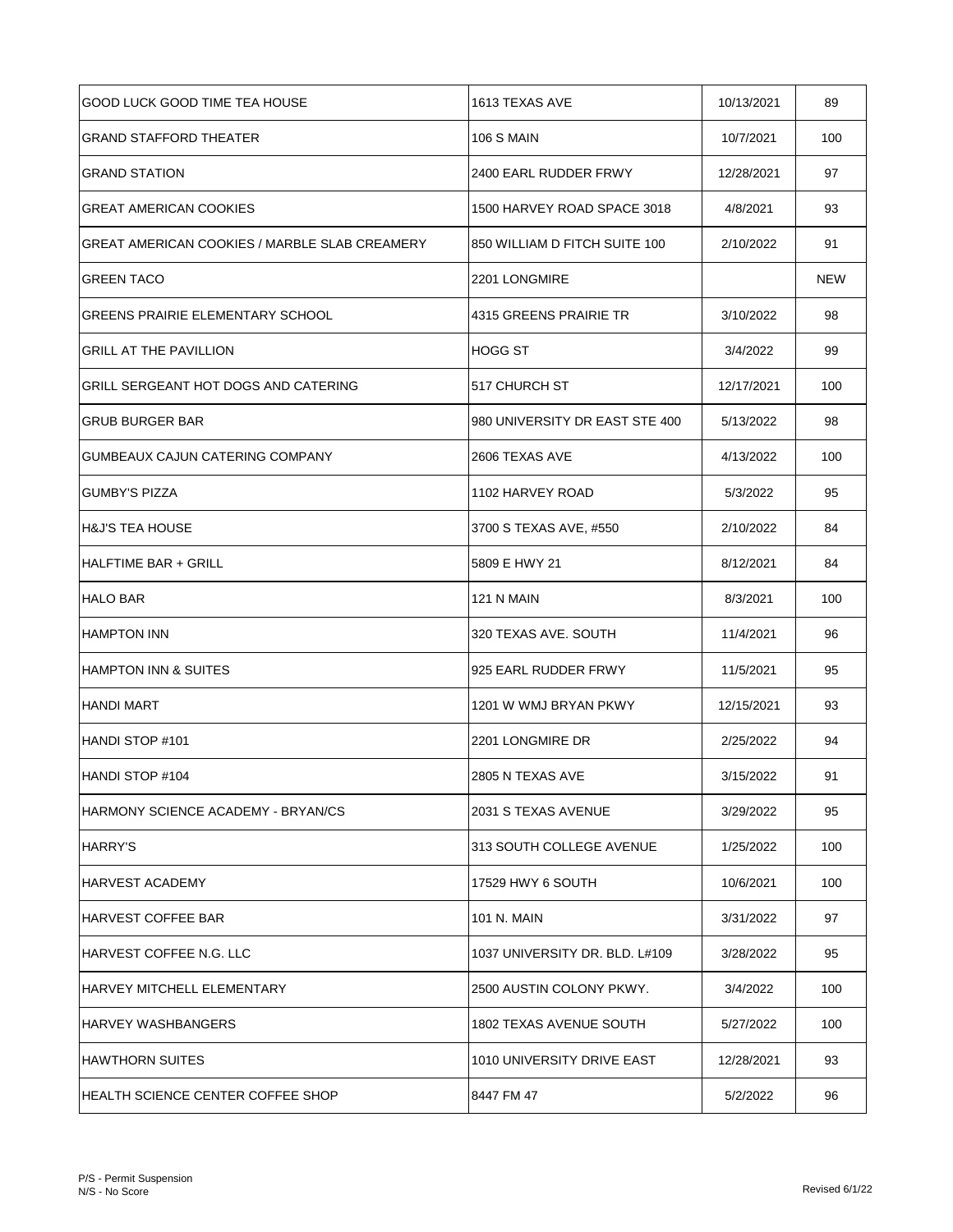| <b>GOOD LUCK GOOD TIME TEA HOUSE</b>                 | 1613 TEXAS AVE                 | 10/13/2021 | 89         |
|------------------------------------------------------|--------------------------------|------------|------------|
| <b>GRAND STAFFORD THEATER</b>                        | <b>106 S MAIN</b>              | 10/7/2021  | 100        |
| <b>GRAND STATION</b>                                 | 2400 EARL RUDDER FRWY          | 12/28/2021 | 97         |
| <b>GREAT AMERICAN COOKIES</b>                        | 1500 HARVEY ROAD SPACE 3018    | 4/8/2021   | 93         |
| <b>GREAT AMERICAN COOKIES / MARBLE SLAB CREAMERY</b> | 850 WILLIAM D FITCH SUITE 100  | 2/10/2022  | 91         |
| <b>GREEN TACO</b>                                    | 2201 LONGMIRE                  |            | <b>NEW</b> |
| GREENS PRAIRIE ELEMENTARY SCHOOL                     | 4315 GREENS PRAIRIE TR         | 3/10/2022  | 98         |
| <b>GRILL AT THE PAVILLION</b>                        | <b>HOGG ST</b>                 | 3/4/2022   | 99         |
| GRILL SERGEANT HOT DOGS AND CATERING                 | 517 CHURCH ST                  | 12/17/2021 | 100        |
| <b>GRUB BURGER BAR</b>                               | 980 UNIVERSITY DR EAST STE 400 | 5/13/2022  | 98         |
| GUMBEAUX CAJUN CATERING COMPANY                      | 2606 TEXAS AVE                 | 4/13/2022  | 100        |
| <b>GUMBY'S PIZZA</b>                                 | 1102 HARVEY ROAD               | 5/3/2022   | 95         |
| H&J'S TEA HOUSE                                      | 3700 S TEXAS AVE, #550         | 2/10/2022  | 84         |
| HALFTIME BAR + GRILL                                 | 5809 E HWY 21                  | 8/12/2021  | 84         |
| <b>HALO BAR</b>                                      | 121 N MAIN                     | 8/3/2021   | 100        |
| <b>HAMPTON INN</b>                                   | 320 TEXAS AVE. SOUTH           | 11/4/2021  | 96         |
| IHAMPTON INN & SUITES                                | 925 EARL RUDDER FRWY           | 11/5/2021  | 95         |
| <b>HANDI MART</b>                                    | 1201 W WMJ BRYAN PKWY          | 12/15/2021 | 93         |
| IHANDI STOP #101                                     | 2201 LONGMIRE DR               | 2/25/2022  | 94         |
| HANDI STOP #104                                      | 2805 N TEXAS AVE               | 3/15/2022  | 91         |
| IHARMONY SCIENCE ACADEMY - BRYAN/CS                  | 2031 S TEXAS AVENUE            | 3/29/2022  | 95         |
| HARRY'S                                              | 313 SOUTH COLLEGE AVENUE       | 1/25/2022  | 100        |
| IHARVEST ACADEMY                                     | 17529 HWY 6 SOUTH              | 10/6/2021  | 100        |
| IHARVEST COFFEE BAR                                  | 101 N. MAIN                    | 3/31/2022  | 97         |
| IHARVEST COFFEE N.G. LLC                             | 1037 UNIVERSITY DR. BLD. L#109 | 3/28/2022  | 95         |
| IHARVEY MITCHELL ELEMENTARY                          | 2500 AUSTIN COLONY PKWY.       | 3/4/2022   | 100        |
| IHARVEY WASHBANGERS                                  | 1802 TEXAS AVENUE SOUTH        | 5/27/2022  | 100        |
| HAWTHORN SUITES                                      | 1010 UNIVERSITY DRIVE EAST     | 12/28/2021 | 93         |
| IHEALTH SCIENCE CENTER COFFEE SHOP                   | 8447 FM 47                     | 5/2/2022   | 96         |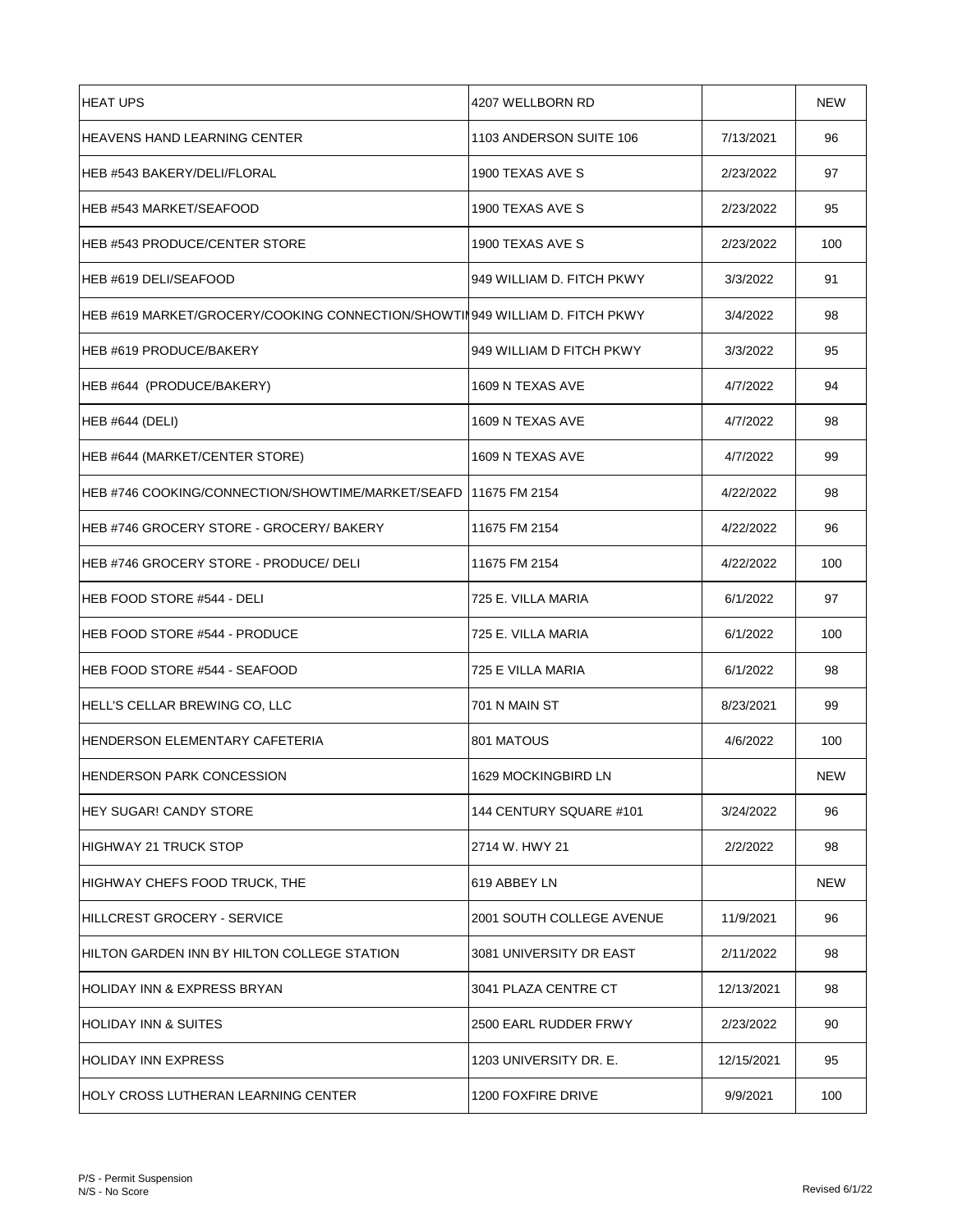| <b>HEAT UPS</b>                                                             | 4207 WELLBORN RD          |            | <b>NEW</b> |
|-----------------------------------------------------------------------------|---------------------------|------------|------------|
| <b>HEAVENS HAND LEARNING CENTER</b>                                         | 1103 ANDERSON SUITE 106   | 7/13/2021  | 96         |
| HEB #543 BAKERY/DELI/FLORAL                                                 | 1900 TEXAS AVE S          | 2/23/2022  | 97         |
| HEB #543 MARKET/SEAFOOD                                                     | 1900 TEXAS AVE S          | 2/23/2022  | 95         |
| <b>HEB #543 PRODUCE/CENTER STORE</b>                                        | 1900 TEXAS AVE S          | 2/23/2022  | 100        |
| HEB #619 DELI/SEAFOOD                                                       | 949 WILLIAM D. FITCH PKWY | 3/3/2022   | 91         |
| HEB #619 MARKET/GROCERY/COOKING CONNECTION/SHOWTIN949 WILLIAM D. FITCH PKWY |                           | 3/4/2022   | 98         |
| HEB #619 PRODUCE/BAKERY                                                     | 949 WILLIAM D FITCH PKWY  | 3/3/2022   | 95         |
| HEB #644 (PRODUCE/BAKERY)                                                   | 1609 N TEXAS AVE          | 4/7/2022   | 94         |
| <b>HEB #644 (DELI)</b>                                                      | 1609 N TEXAS AVE          | 4/7/2022   | 98         |
| HEB #644 (MARKET/CENTER STORE)                                              | 1609 N TEXAS AVE          | 4/7/2022   | 99         |
| HEB #746 COOKING/CONNECTION/SHOWTIME/MARKET/SEAFD   11675 FM 2154           |                           | 4/22/2022  | 98         |
| HEB #746 GROCERY STORE - GROCERY/ BAKERY                                    | 11675 FM 2154             | 4/22/2022  | 96         |
| HEB #746 GROCERY STORE - PRODUCE/ DELI                                      | 11675 FM 2154             | 4/22/2022  | 100        |
| HEB FOOD STORE #544 - DELI                                                  | 725 E. VILLA MARIA        | 6/1/2022   | 97         |
| <b>HEB FOOD STORE #544 - PRODUCE</b>                                        | 725 E. VILLA MARIA        | 6/1/2022   | 100        |
| HEB FOOD STORE #544 - SEAFOOD                                               | 725 E VILLA MARIA         | 6/1/2022   | 98         |
| HELL'S CELLAR BREWING CO, LLC                                               | 701 N MAIN ST             | 8/23/2021  | 99         |
| IHENDERSON ELEMENTARY CAFETERIA                                             | 801 MATOUS                | 4/6/2022   | 100        |
| HENDERSON PARK CONCESSION                                                   | 1629 MOCKINGBIRD LN       |            | <b>NEW</b> |
| <b>HEY SUGAR! CANDY STORE</b>                                               | 144 CENTURY SQUARE #101   | 3/24/2022  | 96         |
| <b>HIGHWAY 21 TRUCK STOP</b>                                                | 2714 W. HWY 21            | 2/2/2022   | 98         |
| HIGHWAY CHEFS FOOD TRUCK, THE                                               | 619 ABBEY LN              |            | NEW        |
| <b>HILLCREST GROCERY - SERVICE</b>                                          | 2001 SOUTH COLLEGE AVENUE | 11/9/2021  | 96         |
| HILTON GARDEN INN BY HILTON COLLEGE STATION                                 | 3081 UNIVERSITY DR EAST   | 2/11/2022  | 98         |
| HOLIDAY INN & EXPRESS BRYAN                                                 | 3041 PLAZA CENTRE CT      | 12/13/2021 | 98         |
| <b>HOLIDAY INN &amp; SUITES</b>                                             | 2500 EARL RUDDER FRWY     | 2/23/2022  | 90         |
| <b>HOLIDAY INN EXPRESS</b>                                                  | 1203 UNIVERSITY DR. E.    | 12/15/2021 | 95         |
| IHOLY CROSS LUTHERAN LEARNING CENTER                                        | 1200 FOXFIRE DRIVE        | 9/9/2021   | 100        |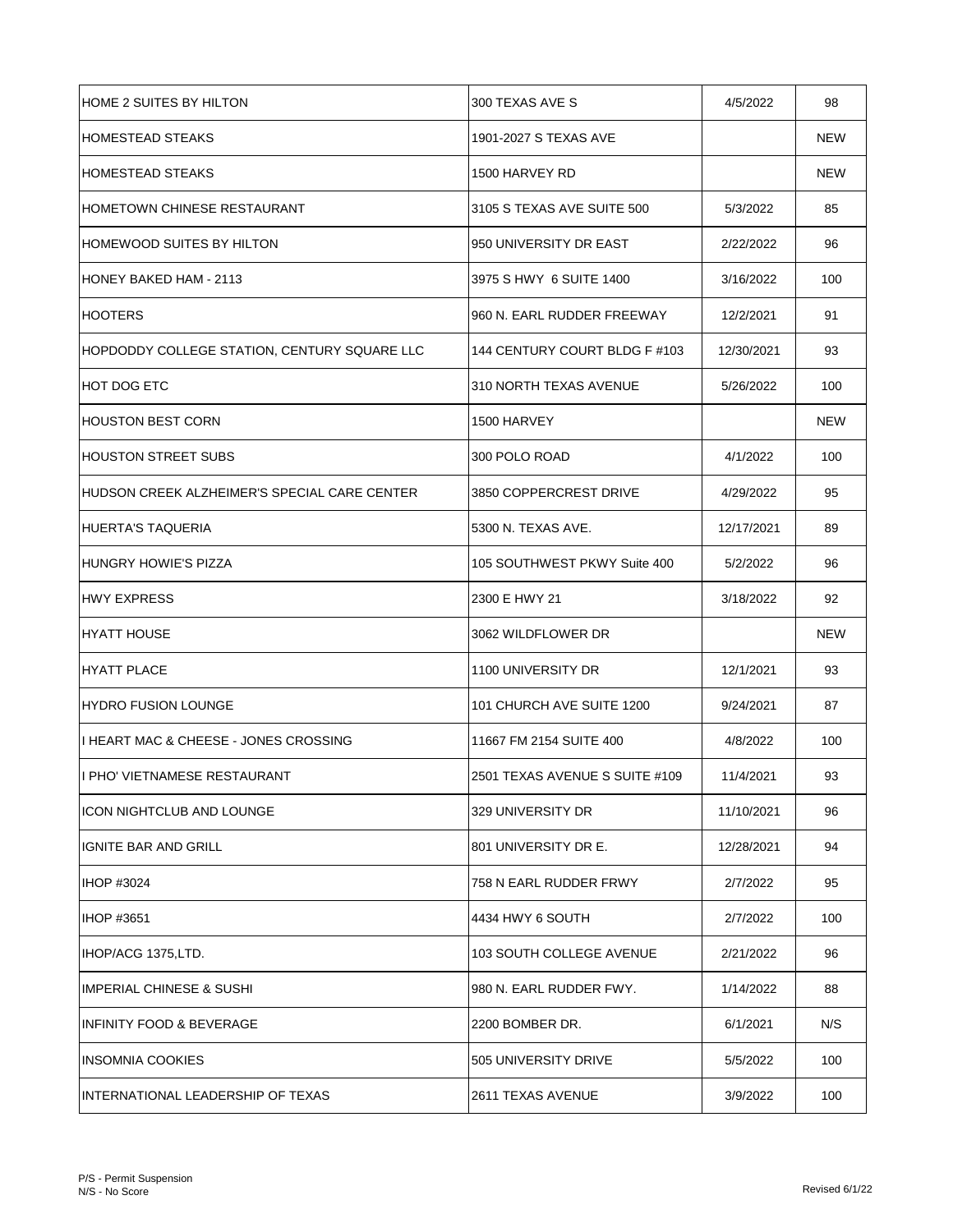| <b>HOME 2 SUITES BY HILTON</b>                | 300 TEXAS AVE S                | 4/5/2022   | 98         |
|-----------------------------------------------|--------------------------------|------------|------------|
| IHOMESTEAD STEAKS                             | 1901-2027 S TEXAS AVE          |            | <b>NEW</b> |
| IHOMESTEAD STEAKS                             | 1500 HARVEY RD                 |            | <b>NEW</b> |
| HOMETOWN CHINESE RESTAURANT                   | 3105 S TEXAS AVE SUITE 500     | 5/3/2022   | 85         |
| <b>HOMEWOOD SUITES BY HILTON</b>              | 950 UNIVERSITY DR EAST         | 2/22/2022  | 96         |
| IHONEY BAKED HAM - 2113                       | 3975 S HWY 6 SUITE 1400        | 3/16/2022  | 100        |
| HOOTERS                                       | 960 N. EARL RUDDER FREEWAY     | 12/2/2021  | 91         |
| HOPDODDY COLLEGE STATION, CENTURY SQUARE LLC  | 144 CENTURY COURT BLDG F #103  | 12/30/2021 | 93         |
| <b>HOT DOG ETC</b>                            | 310 NORTH TEXAS AVENUE         | 5/26/2022  | 100        |
| <b>HOUSTON BEST CORN</b>                      | 1500 HARVEY                    |            | <b>NEW</b> |
| HOUSTON STREET SUBS                           | 300 POLO ROAD                  | 4/1/2022   | 100        |
| IHUDSON CREEK ALZHEIMER'S SPECIAL CARE CENTER | 3850 COPPERCREST DRIVE         | 4/29/2022  | 95         |
| HUERTA'S TAQUERIA                             | 5300 N. TEXAS AVE.             | 12/17/2021 | 89         |
| HUNGRY HOWIE'S PIZZA                          | 105 SOUTHWEST PKWY Suite 400   | 5/2/2022   | 96         |
| HWY EXPRESS                                   | 2300 E HWY 21                  | 3/18/2022  | 92         |
| HYATT HOUSE                                   | 3062 WILDFLOWER DR             |            | <b>NEW</b> |
| HYATT PLACE                                   | 1100 UNIVERSITY DR             | 12/1/2021  | 93         |
| IHYDRO FUSION LOUNGE                          | 101 CHURCH AVE SUITE 1200      | 9/24/2021  | 87         |
| I HEART MAC & CHEESE - JONES CROSSING         | 11667 FM 2154 SUITE 400        | 4/8/2022   | 100        |
| I PHO' VIETNAMESE RESTAURANT                  | 2501 TEXAS AVENUE S SUITE #109 | 11/4/2021  | 93         |
| <b>ICON NIGHTCLUB AND LOUNGE</b>              | 329 UNIVERSITY DR              | 11/10/2021 | 96         |
| IGNITE BAR AND GRILL                          | 801 UNIVERSITY DR E.           | 12/28/2021 | 94         |
| <b>IHOP #3024</b>                             | 758 N EARL RUDDER FRWY         | 2/7/2022   | 95         |
| <b>IHOP #3651</b>                             | 4434 HWY 6 SOUTH               | 2/7/2022   | 100        |
| IHOP/ACG 1375, LTD.                           | 103 SOUTH COLLEGE AVENUE       | 2/21/2022  | 96         |
| <b>IMPERIAL CHINESE &amp; SUSHI</b>           | 980 N. EARL RUDDER FWY.        | 1/14/2022  | 88         |
| INFINITY FOOD & BEVERAGE                      | 2200 BOMBER DR.                | 6/1/2021   | N/S        |
| INSOMNIA COOKIES                              | 505 UNIVERSITY DRIVE           | 5/5/2022   | 100        |
| INTERNATIONAL LEADERSHIP OF TEXAS             | 2611 TEXAS AVENUE              | 3/9/2022   | 100        |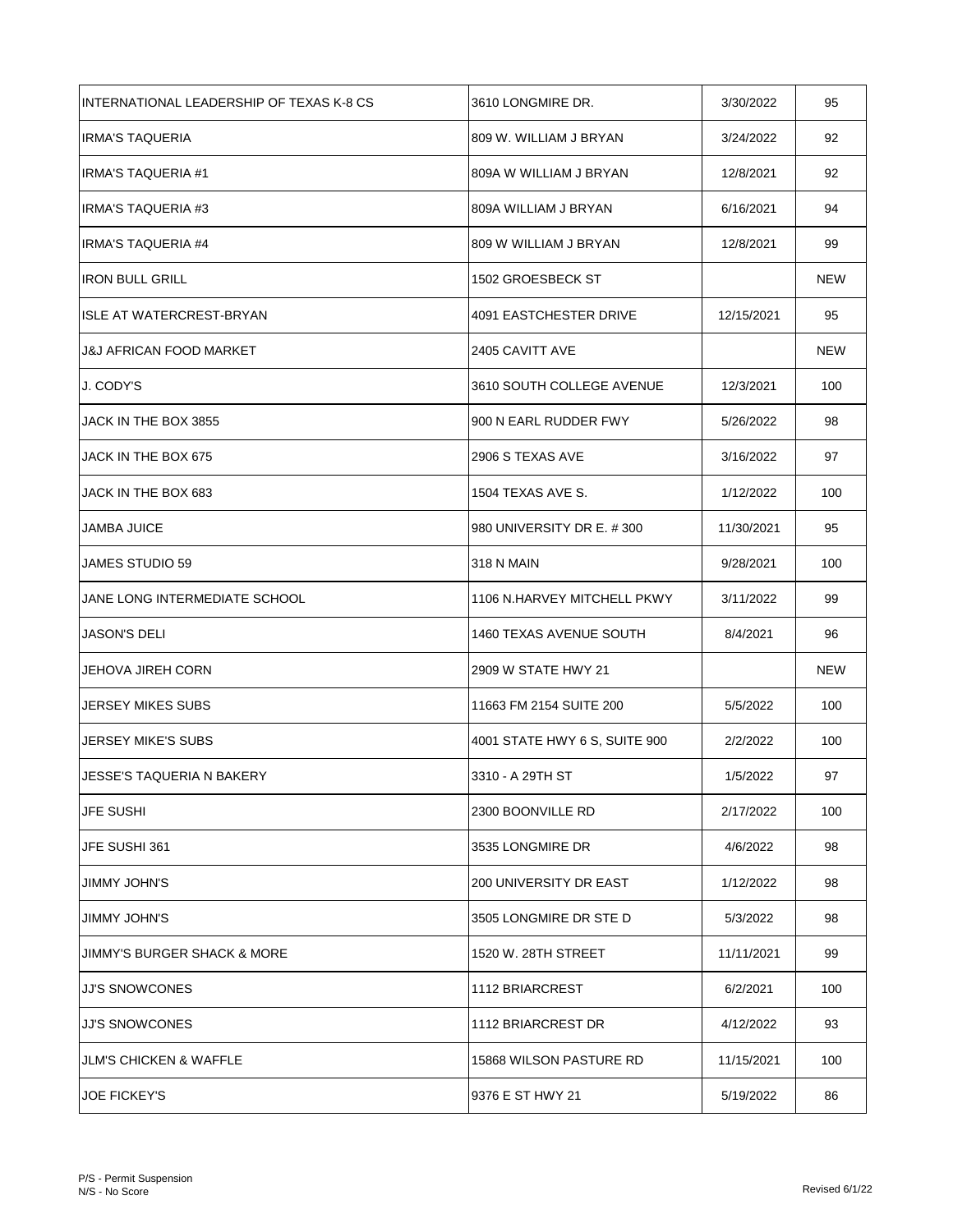| INTERNATIONAL LEADERSHIP OF TEXAS K-8 CS | 3610 LONGMIRE DR.             | 3/30/2022  | 95         |
|------------------------------------------|-------------------------------|------------|------------|
| IRMA'S TAQUERIA                          | 809 W. WILLIAM J BRYAN        | 3/24/2022  | 92         |
| IRMA'S TAQUERIA #1                       | 809A W WILLIAM J BRYAN        | 12/8/2021  | 92         |
| <b>IRMA'S TAQUERIA #3</b>                | 809A WILLIAM J BRYAN          | 6/16/2021  | 94         |
| <b>IRMA'S TAQUERIA #4</b>                | 809 W WILLIAM J BRYAN         | 12/8/2021  | 99         |
| <b>IRON BULL GRILL</b>                   | 1502 GROESBECK ST             |            | <b>NEW</b> |
| ISLE AT WATERCREST-BRYAN                 | 4091 EASTCHESTER DRIVE        | 12/15/2021 | 95         |
| J&J AFRICAN FOOD MARKET                  | 2405 CAVITT AVE               |            | NEW        |
| J. CODY'S                                | 3610 SOUTH COLLEGE AVENUE     | 12/3/2021  | 100        |
| JACK IN THE BOX 3855                     | 900 N EARL RUDDER FWY         | 5/26/2022  | 98         |
| JACK IN THE BOX 675                      | 2906 S TEXAS AVE              | 3/16/2022  | 97         |
| JACK IN THE BOX 683                      | 1504 TEXAS AVE S.             | 1/12/2022  | 100        |
| JAMBA JUICE                              | 980 UNIVERSITY DR E. #300     | 11/30/2021 | 95         |
| JAMES STUDIO 59                          | <b>318 N MAIN</b>             | 9/28/2021  | 100        |
| JANE LONG INTERMEDIATE SCHOOL            | 1106 N.HARVEY MITCHELL PKWY   | 3/11/2022  | 99         |
| JASON'S DELI                             | 1460 TEXAS AVENUE SOUTH       | 8/4/2021   | 96         |
| JEHOVA JIREH CORN                        | 2909 W STATE HWY 21           |            | NEW        |
| <b>JERSEY MIKES SUBS</b>                 | 11663 FM 2154 SUITE 200       | 5/5/2022   | 100        |
| JERSEY MIKE'S SUBS                       | 4001 STATE HWY 6 S, SUITE 900 | 2/2/2022   | 100        |
| JESSE'S TAQUERIA N BAKERY                | 3310 - A 29TH ST              | 1/5/2022   | 97         |
| JFE SUSHI                                | 2300 BOONVILLE RD             | 2/17/2022  | 100        |
| JFE SUSHI 361                            | 3535 LONGMIRE DR              | 4/6/2022   | 98         |
| JIMMY JOHN'S                             | 200 UNIVERSITY DR EAST        | 1/12/2022  | 98         |
| JIMMY JOHN'S                             | 3505 LONGMIRE DR STE D        | 5/3/2022   | 98         |
| JIMMY'S BURGER SHACK & MORE              | 1520 W. 28TH STREET           | 11/11/2021 | 99         |
| JJ'S SNOWCONES                           | 1112 BRIARCREST               | 6/2/2021   | 100        |
| JJ'S SNOWCONES                           | 1112 BRIARCREST DR            | 4/12/2022  | 93         |
| JLM'S CHICKEN & WAFFLE                   | 15868 WILSON PASTURE RD       | 11/15/2021 | 100        |
| <b>JOE FICKEY'S</b>                      | 9376 E ST HWY 21              | 5/19/2022  | 86         |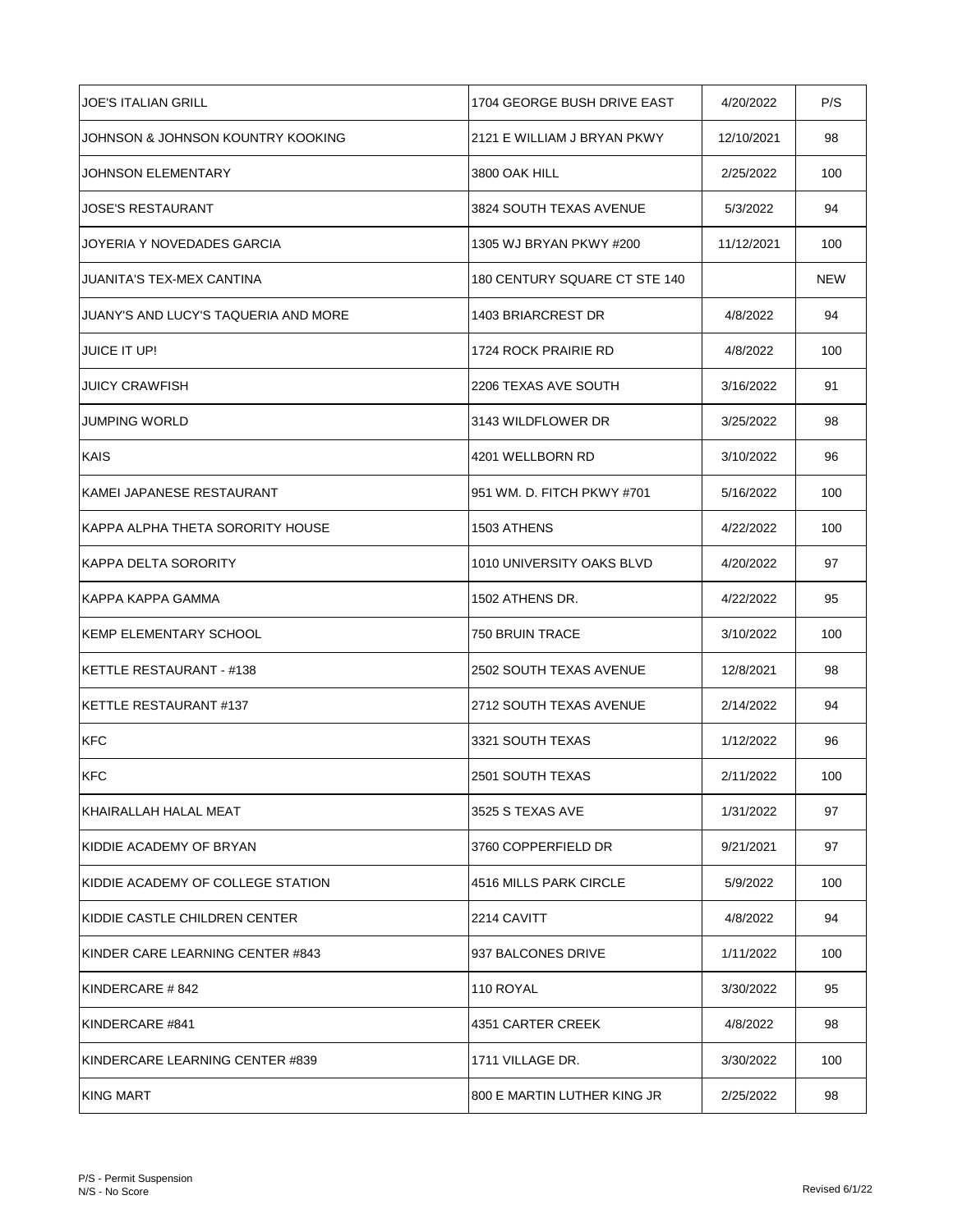| JOE'S ITALIAN GRILL                  | 1704 GEORGE BUSH DRIVE EAST   | 4/20/2022  | P/S        |
|--------------------------------------|-------------------------------|------------|------------|
| JOHNSON & JOHNSON KOUNTRY KOOKING    | 2121 E WILLIAM J BRYAN PKWY   | 12/10/2021 | 98         |
| JOHNSON ELEMENTARY                   | 3800 OAK HILL                 | 2/25/2022  | 100        |
| JOSE'S RESTAURANT                    | 3824 SOUTH TEXAS AVENUE       | 5/3/2022   | 94         |
| JOYERIA Y NOVEDADES GARCIA           | 1305 WJ BRYAN PKWY #200       | 11/12/2021 | 100        |
| JUANITA'S TEX-MEX CANTINA            | 180 CENTURY SQUARE CT STE 140 |            | <b>NEW</b> |
| JUANY'S AND LUCY'S TAQUERIA AND MORE | 1403 BRIARCREST DR            | 4/8/2022   | 94         |
| JUICE IT UP!                         | 1724 ROCK PRAIRIE RD          | 4/8/2022   | 100        |
| <b>JUICY CRAWFISH</b>                | 2206 TEXAS AVE SOUTH          | 3/16/2022  | 91         |
| JUMPING WORLD                        | 3143 WILDFLOWER DR            | 3/25/2022  | 98         |
| <b>KAIS</b>                          | 4201 WELLBORN RD              | 3/10/2022  | 96         |
| IKAMEI JAPANESE RESTAURANT           | 951 WM, D. FITCH PKWY #701    | 5/16/2022  | 100        |
| KAPPA ALPHA THETA SORORITY HOUSE     | 1503 ATHENS                   | 4/22/2022  | 100        |
| IKAPPA DELTA SORORITY                | 1010 UNIVERSITY OAKS BLVD     | 4/20/2022  | 97         |
| IKAPPA KAPPA GAMMA                   | 1502 ATHENS DR.               | 4/22/2022  | 95         |
| <b>IKEMP ELEMENTARY SCHOOL</b>       | 750 BRUIN TRACE               | 3/10/2022  | 100        |
| KETTLE RESTAURANT - #138             | 2502 SOUTH TEXAS AVENUE       | 12/8/2021  | 98         |
| <b>IKETTLE RESTAURANT #137</b>       | 2712 SOUTH TEXAS AVENUE       | 2/14/2022  | 94         |
| <b>KFC</b>                           | 3321 SOUTH TEXAS              | 1/12/2022  | 96         |
| <b>KFC</b>                           | 2501 SOUTH TEXAS              | 2/11/2022  | 100        |
| İKHAIRALLAH HALAL MEAT               | 3525 S TEXAS AVE              | 1/31/2022  | 97         |
| KIDDIE ACADEMY OF BRYAN              | 3760 COPPERFIELD DR           | 9/21/2021  | 97         |
| IKIDDIE ACADEMY OF COLLEGE STATION   | 4516 MILLS PARK CIRCLE        | 5/9/2022   | 100        |
| IKIDDIE CASTLE CHILDREN CENTER       | 2214 CAVITT                   | 4/8/2022   | 94         |
| IKINDER CARE LEARNING CENTER #843    | 937 BALCONES DRIVE            | 1/11/2022  | 100        |
| IKINDERCARE # 842                    | 110 ROYAL                     | 3/30/2022  | 95         |
| IKINDERCARE #841                     | 4351 CARTER CREEK             | 4/8/2022   | 98         |
| KINDERCARE LEARNING CENTER #839      | 1711 VILLAGE DR.              | 3/30/2022  | 100        |
| <b>IKING MART</b>                    | 800 E MARTIN LUTHER KING JR   | 2/25/2022  | 98         |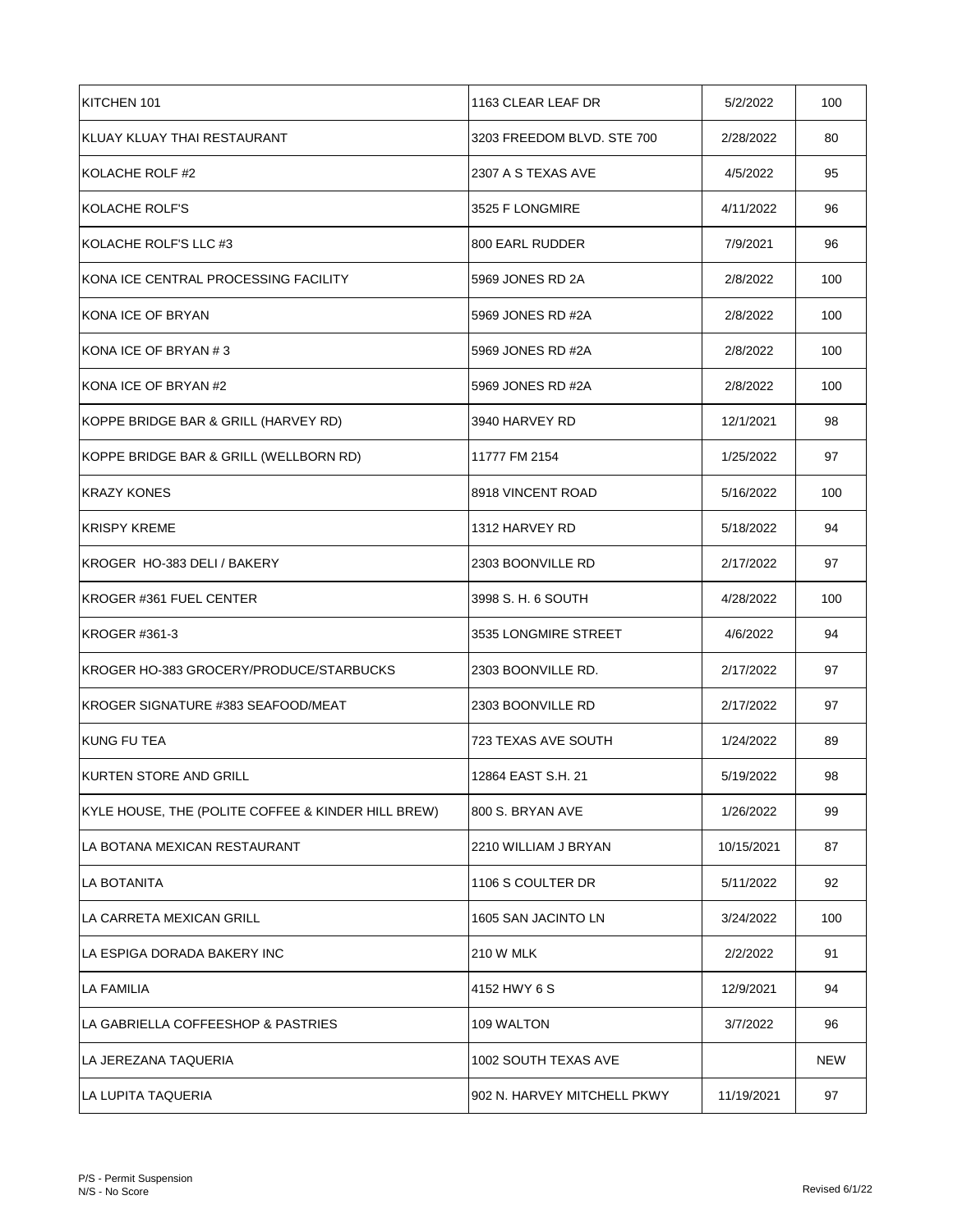| KITCHEN 101                                        | 1163 CLEAR LEAF DR          | 5/2/2022   | 100 |
|----------------------------------------------------|-----------------------------|------------|-----|
| KLUAY KLUAY THAI RESTAURANT                        | 3203 FREEDOM BLVD. STE 700  | 2/28/2022  | 80  |
| KOLACHE ROLF #2                                    | 2307 A S TEXAS AVE          | 4/5/2022   | 95  |
| KOLACHE ROLF'S                                     | 3525 F LONGMIRE             | 4/11/2022  | 96  |
| KOLACHE ROLF'S LLC #3                              | <b>800 EARL RUDDER</b>      | 7/9/2021   | 96  |
| KONA ICE CENTRAL PROCESSING FACILITY               | 5969 JONES RD 2A            | 2/8/2022   | 100 |
| KONA ICE OF BRYAN                                  | 5969 JONES RD #2A           | 2/8/2022   | 100 |
| KONA ICE OF BRYAN #3                               | 5969 JONES RD #2A           | 2/8/2022   | 100 |
| IKONA ICE OF BRYAN #2                              | 5969 JONES RD #2A           | 2/8/2022   | 100 |
| KOPPE BRIDGE BAR & GRILL (HARVEY RD)               | 3940 HARVEY RD              | 12/1/2021  | 98  |
| KOPPE BRIDGE BAR & GRILL (WELLBORN RD)             | 11777 FM 2154               | 1/25/2022  | 97  |
| KRAZY KONES                                        | 8918 VINCENT ROAD           | 5/16/2022  | 100 |
| <b>KRISPY KREME</b>                                | 1312 HARVEY RD              | 5/18/2022  | 94  |
| KROGER HO-383 DELI / BAKERY                        | 2303 BOONVILLE RD           | 2/17/2022  | 97  |
| KROGER #361 FUEL CENTER                            | 3998 S. H. 6 SOUTH          | 4/28/2022  | 100 |
| KROGER #361-3                                      | 3535 LONGMIRE STREET        | 4/6/2022   | 94  |
| KROGER HO-383 GROCERY/PRODUCE/STARBUCKS            | 2303 BOONVILLE RD.          | 2/17/2022  | 97  |
| IKROGER SIGNATURE #383 SEAFOOD/MEAT                | 2303 BOONVILLE RD           | 2/17/2022  | 97  |
| <b>KUNG FU TEA</b>                                 | 723 TEXAS AVE SOUTH         | 1/24/2022  | 89  |
| KURTEN STORE AND GRILL                             | 12864 EAST S.H. 21          | 5/19/2022  | 98  |
| KYLE HOUSE, THE (POLITE COFFEE & KINDER HILL BREW) | 800 S. BRYAN AVE            | 1/26/2022  | 99  |
| ILA BOTANA MEXICAN RESTAURANT                      | 2210 WILLIAM J BRYAN        | 10/15/2021 | 87  |
| LA BOTANITA                                        | 1106 S COULTER DR           | 5/11/2022  | 92  |
| LA CARRETA MEXICAN GRILL                           | 1605 SAN JACINTO LN         | 3/24/2022  | 100 |
| LA ESPIGA DORADA BAKERY INC                        | <b>210 W MLK</b>            | 2/2/2022   | 91  |
| <b>LA FAMILIA</b>                                  | 4152 HWY 6 S                | 12/9/2021  | 94  |
| LA GABRIELLA COFFEESHOP & PASTRIES                 | 109 WALTON                  | 3/7/2022   | 96  |
| ILA JEREZANA TAQUERIA                              | 1002 SOUTH TEXAS AVE        |            | NEW |
| LA LUPITA TAQUERIA                                 | 902 N. HARVEY MITCHELL PKWY | 11/19/2021 | 97  |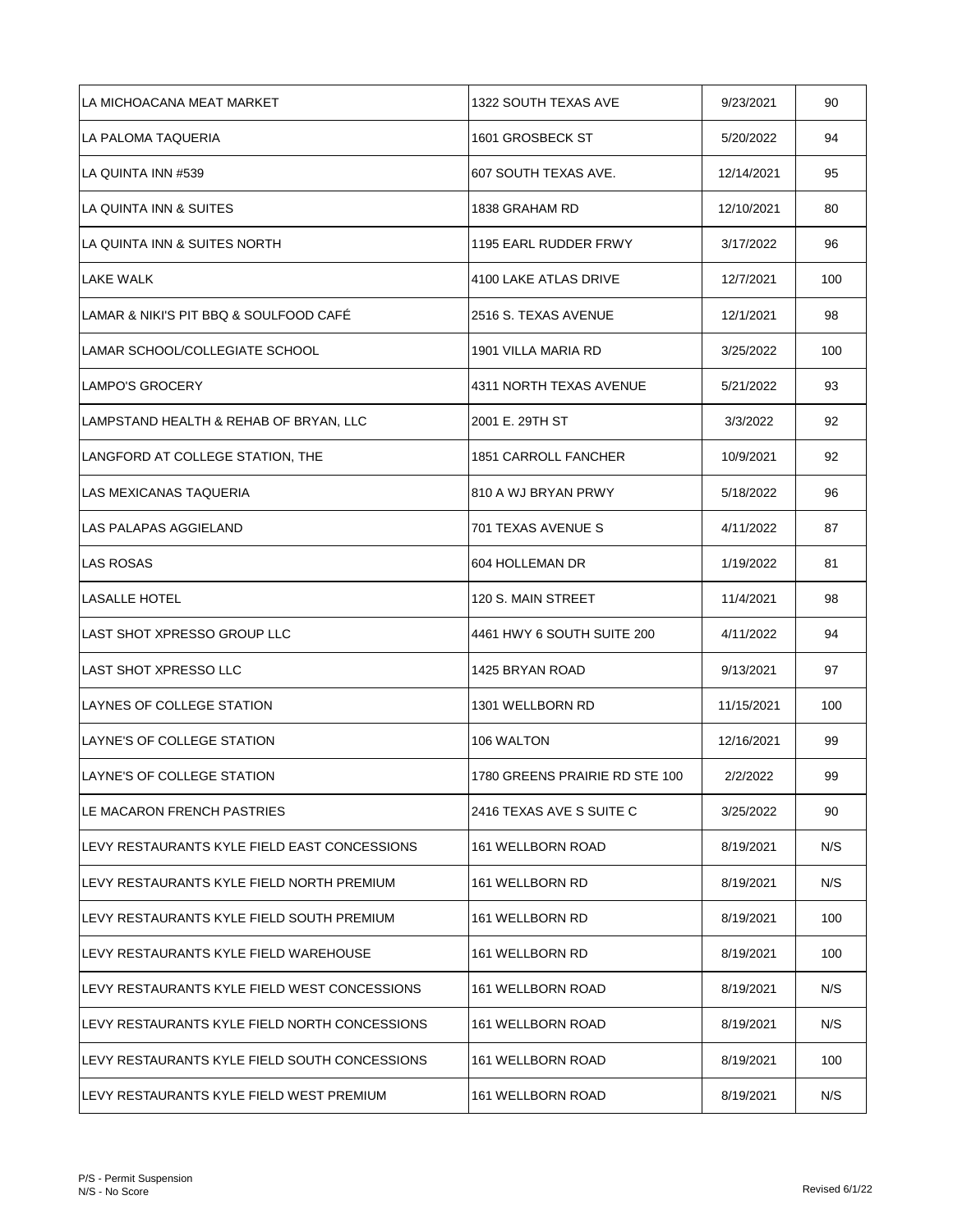| LA MICHOACANA MEAT MARKET                      | 1322 SOUTH TEXAS AVE           | 9/23/2021  | 90  |
|------------------------------------------------|--------------------------------|------------|-----|
| LA PALOMA TAQUERIA                             | 1601 GROSBECK ST               | 5/20/2022  | 94  |
| LA QUINTA INN #539                             | 607 SOUTH TEXAS AVE.           | 12/14/2021 | 95  |
| LA QUINTA INN & SUITES                         | 1838 GRAHAM RD                 | 12/10/2021 | 80  |
| LA QUINTA INN & SUITES NORTH                   | 1195 EARL RUDDER FRWY          | 3/17/2022  | 96  |
| <b>LAKE WALK</b>                               | 4100 LAKE ATLAS DRIVE          | 12/7/2021  | 100 |
| LAMAR & NIKI'S PIT BBQ & SOULFOOD CAFE         | 2516 S. TEXAS AVENUE           | 12/1/2021  | 98  |
| LAMAR SCHOOL/COLLEGIATE SCHOOL                 | 1901 VILLA MARIA RD            | 3/25/2022  | 100 |
| <b>LAMPO'S GROCERY</b>                         | 4311 NORTH TEXAS AVENUE        | 5/21/2022  | 93  |
| LAMPSTAND HEALTH & REHAB OF BRYAN, LLC         | 2001 E. 29TH ST                | 3/3/2022   | 92  |
| LANGFORD AT COLLEGE STATION, THE               | <b>1851 CARROLL FANCHER</b>    | 10/9/2021  | 92  |
| LAS MEXICANAS TAQUERIA                         | 810 A WJ BRYAN PRWY            | 5/18/2022  | 96  |
| LAS PALAPAS AGGIELAND                          | 701 TEXAS AVENUE S             | 4/11/2022  | 87  |
| <b>LAS ROSAS</b>                               | 604 HOLLEMAN DR                | 1/19/2022  | 81  |
| <b>LASALLE HOTEL</b>                           | 120 S. MAIN STREET             | 11/4/2021  | 98  |
| LAST SHOT XPRESSO GROUP LLC                    | 4461 HWY 6 SOUTH SUITE 200     | 4/11/2022  | 94  |
| LAST SHOT XPRESSO LLC                          | 1425 BRYAN ROAD                | 9/13/2021  | 97  |
| LAYNES OF COLLEGE STATION                      | 1301 WELLBORN RD               | 11/15/2021 | 100 |
| ILAYNE'S OF COLLEGE STATION                    | 106 WALTON                     | 12/16/2021 | 99  |
| LAYNE'S OF COLLEGE STATION                     | 1780 GREENS PRAIRIE RD STE 100 | 2/2/2022   | 99  |
| LE MACARON FRENCH PASTRIES                     | 2416 TEXAS AVE S SUITE C       | 3/25/2022  | 90  |
| ILEVY RESTAURANTS KYLE FIELD EAST CONCESSIONS  | 161 WELLBORN ROAD              | 8/19/2021  | N/S |
| ILEVY RESTAURANTS KYLE FIELD NORTH PREMIUM     | 161 WELLBORN RD                | 8/19/2021  | N/S |
| LEVY RESTAURANTS KYLE FIELD SOUTH PREMIUM      | 161 WELLBORN RD                | 8/19/2021  | 100 |
| LEVY RESTAURANTS KYLE FIELD WAREHOUSE          | 161 WELLBORN RD                | 8/19/2021  | 100 |
| LEVY RESTAURANTS KYLE FIELD WEST CONCESSIONS   | 161 WELLBORN ROAD              | 8/19/2021  | N/S |
| ILEVY RESTAURANTS KYLE FIELD NORTH CONCESSIONS | 161 WELLBORN ROAD              | 8/19/2021  | N/S |
| ILEVY RESTAURANTS KYLE FIELD SOUTH CONCESSIONS | 161 WELLBORN ROAD              | 8/19/2021  | 100 |
| ILEVY RESTAURANTS KYLE FIELD WEST PREMIUM      | 161 WELLBORN ROAD              | 8/19/2021  | N/S |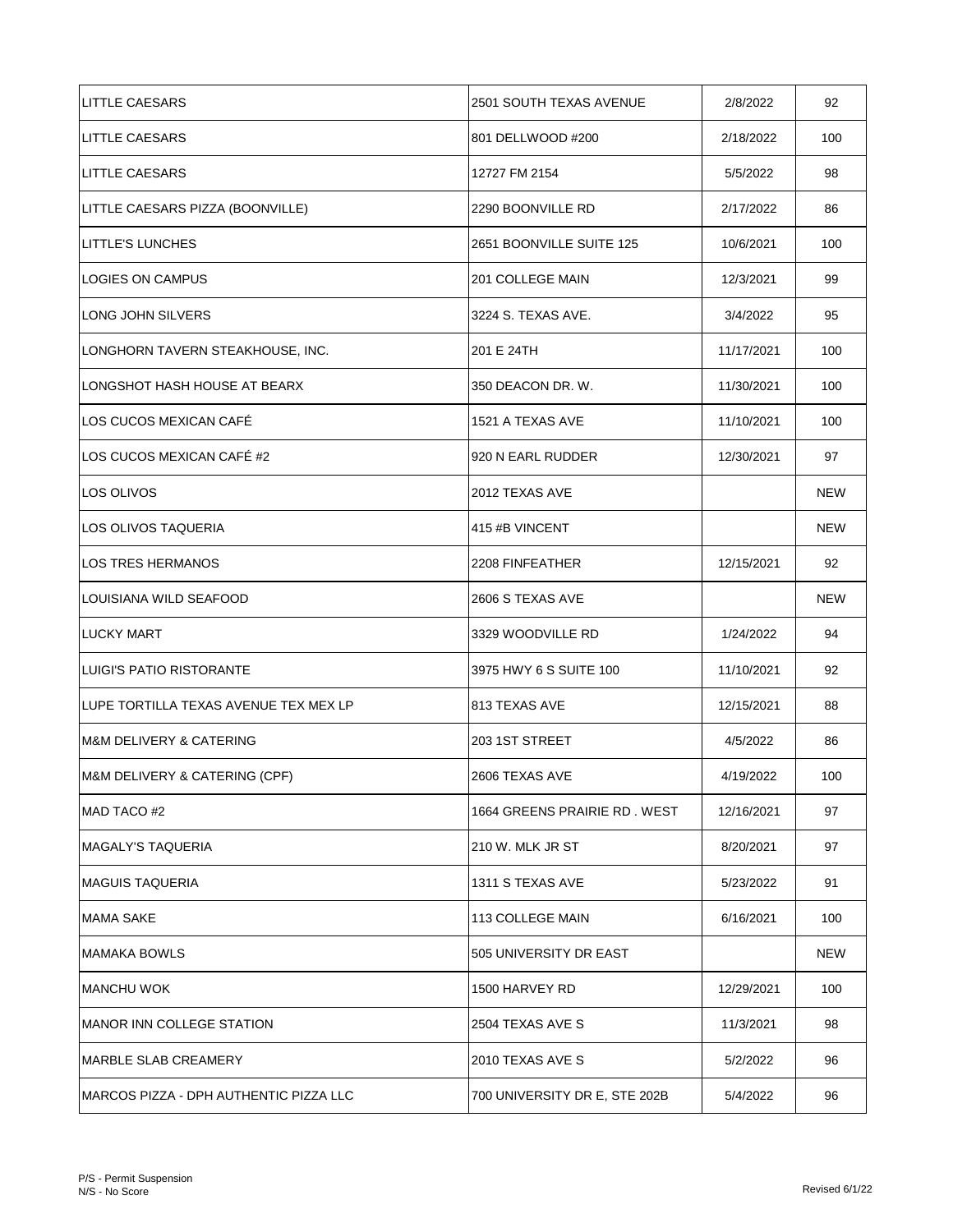| LITTLE CAESARS                         | 2501 SOUTH TEXAS AVENUE       | 2/8/2022   | 92         |
|----------------------------------------|-------------------------------|------------|------------|
| <b>LITTLE CAESARS</b>                  | 801 DELLWOOD #200             | 2/18/2022  | 100        |
| <b>LITTLE CAESARS</b>                  | 12727 FM 2154                 | 5/5/2022   | 98         |
| LITTLE CAESARS PIZZA (BOONVILLE)       | 2290 BOONVILLE RD             | 2/17/2022  | 86         |
| <b>LITTLE'S LUNCHES</b>                | 2651 BOONVILLE SUITE 125      | 10/6/2021  | 100        |
| LOGIES ON CAMPUS                       | 201 COLLEGE MAIN              | 12/3/2021  | 99         |
| LONG JOHN SILVERS                      | 3224 S. TEXAS AVE.            | 3/4/2022   | 95         |
| LONGHORN TAVERN STEAKHOUSE, INC.       | 201 E 24TH                    | 11/17/2021 | 100        |
| LONGSHOT HASH HOUSE AT BEARX           | 350 DEACON DR. W.             | 11/30/2021 | 100        |
| LOS CUCOS MEXICAN CAFÉ                 | 1521 A TEXAS AVE              | 11/10/2021 | 100        |
| LOS CUCOS MEXICAN CAFÉ #2              | 920 N EARL RUDDER             | 12/30/2021 | 97         |
| LOS OLIVOS                             | 2012 TEXAS AVE                |            | <b>NEW</b> |
| LOS OLIVOS TAQUERIA                    | 415 #B VINCENT                |            | <b>NEW</b> |
| <b>LOS TRES HERMANOS</b>               | 2208 FINFEATHER               | 12/15/2021 | 92         |
| LOUISIANA WILD SEAFOOD                 | 2606 S TEXAS AVE              |            | <b>NEW</b> |
| <b>LUCKY MART</b>                      | 3329 WOODVILLE RD             | 1/24/2022  | 94         |
| LUIGI'S PATIO RISTORANTE               | 3975 HWY 6 S SUITE 100        | 11/10/2021 | 92         |
| LUPE TORTILLA TEXAS AVENUE TEX MEX LP  | 1813 TEXAS AVE                | 12/15/2021 | 88         |
| IM&M DELIVERY & CATERING               | 203 1ST STREET                | 4/5/2022   | 86         |
| M&M DELIVERY & CATERING (CPF)          | 2606 TEXAS AVE                | 4/19/2022  | 100        |
| MAD TACO #2                            | 1664 GREENS PRAIRIE RD. WEST  | 12/16/2021 | 97         |
| <b>MAGALY'S TAQUERIA</b>               | 210 W. MLK JR ST              | 8/20/2021  | 97         |
| <b>MAGUIS TAQUERIA</b>                 | 1311 S TEXAS AVE              | 5/23/2022  | 91         |
| <b>MAMA SAKE</b>                       | 113 COLLEGE MAIN              | 6/16/2021  | 100        |
| MAMAKA BOWLS                           | 505 UNIVERSITY DR EAST        |            | NEW        |
| <b>MANCHU WOK</b>                      | 1500 HARVEY RD                | 12/29/2021 | 100        |
| MANOR INN COLLEGE STATION              | 2504 TEXAS AVE S              | 11/3/2021  | 98         |
| MARBLE SLAB CREAMERY                   | 2010 TEXAS AVE S              | 5/2/2022   | 96         |
| MARCOS PIZZA - DPH AUTHENTIC PIZZA LLC | 700 UNIVERSITY DR E, STE 202B | 5/4/2022   | 96         |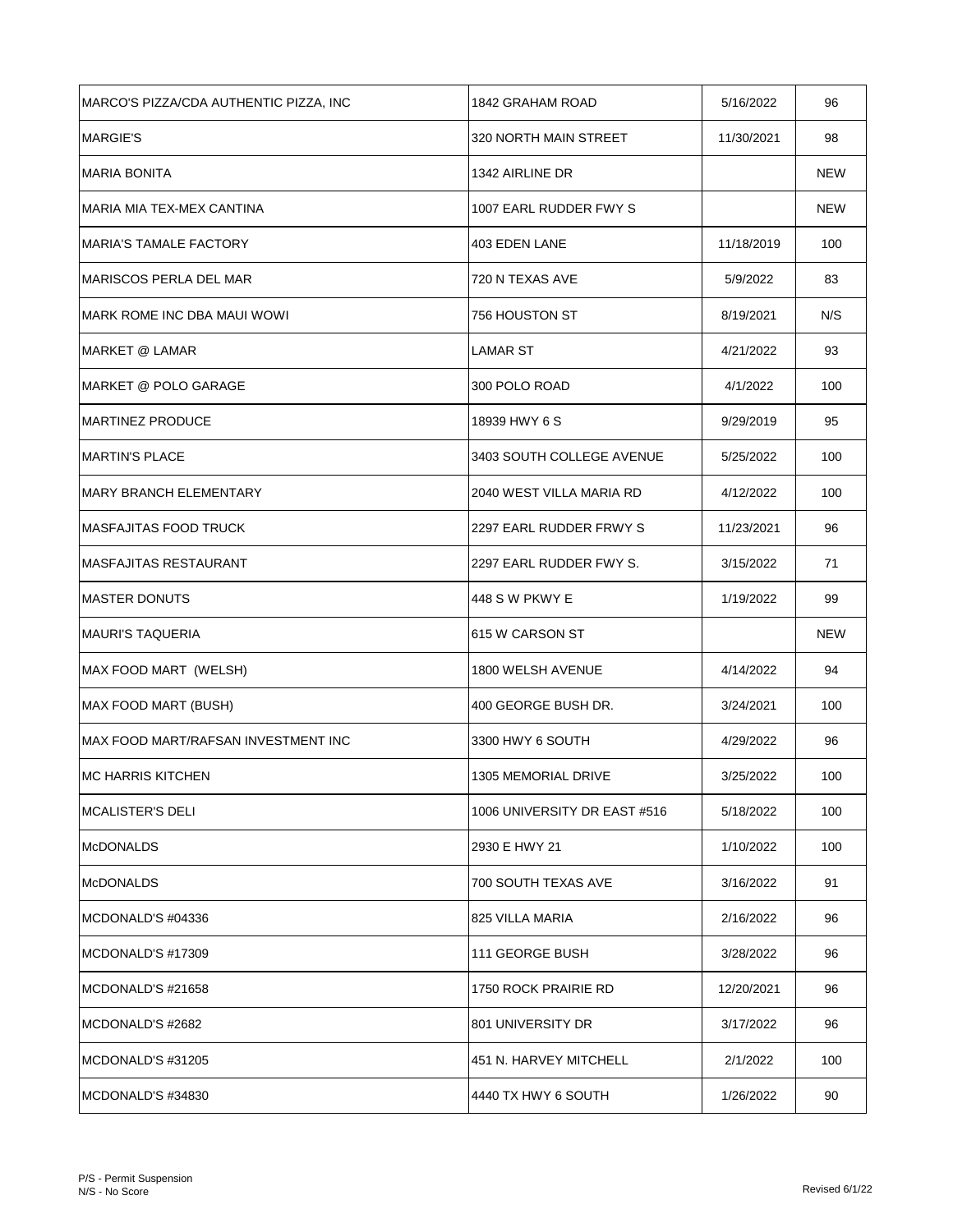| MARCO'S PIZZA/CDA AUTHENTIC PIZZA, INC | 1842 GRAHAM ROAD             | 5/16/2022  | 96         |
|----------------------------------------|------------------------------|------------|------------|
| <b>MARGIE'S</b>                        | 320 NORTH MAIN STREET        | 11/30/2021 | 98         |
| <b>MARIA BONITA</b>                    | 1342 AIRLINE DR              |            | <b>NEW</b> |
| MARIA MIA TEX-MEX CANTINA              | 1007 EARL RUDDER FWY S       |            | NEW        |
| <b>MARIA'S TAMALE FACTORY</b>          | 403 EDEN LANE                | 11/18/2019 | 100        |
| MARISCOS PERLA DEL MAR                 | 720 N TEXAS AVE              | 5/9/2022   | 83         |
| IMARK ROME INC DBA MAUI WOWI           | 756 HOUSTON ST               | 8/19/2021  | N/S        |
| MARKET @ LAMAR                         | <b>LAMAR ST</b>              | 4/21/2022  | 93         |
| IMARKET @ POLO GARAGE                  | 300 POLO ROAD                | 4/1/2022   | 100        |
| <b>IMARTINEZ PRODUCE</b>               | 18939 HWY 6 S                | 9/29/2019  | 95         |
| <b>IMARTIN'S PLACE</b>                 | 3403 SOUTH COLLEGE AVENUE    | 5/25/2022  | 100        |
| IMARY BRANCH ELEMENTARY                | 2040 WEST VILLA MARIA RD     | 4/12/2022  | 100        |
| <b>IMASFAJITAS FOOD TRUCK</b>          | 2297 EARL RUDDER FRWY S      | 11/23/2021 | 96         |
| IMASFAJITAS RESTAURANT                 | 2297 EARL RUDDER FWY S.      | 3/15/2022  | 71         |
| <b>MASTER DONUTS</b>                   | 448 S W PKWY E               | 1/19/2022  | 99         |
| MAURI'S TAQUERIA                       | 615 W CARSON ST              |            | <b>NEW</b> |
| MAX FOOD MART (WELSH)                  | 1800 WELSH AVENUE            | 4/14/2022  | 94         |
| MAX FOOD MART (BUSH)                   | 400 GEORGE BUSH DR.          | 3/24/2021  | 100        |
| IMAX FOOD MART/RAFSAN INVESTMENT INC   | 3300 HWY 6 SOUTH             | 4/29/2022  | 96         |
| <b>MC HARRIS KITCHEN</b>               | 1305 MEMORIAL DRIVE          | 3/25/2022  | 100        |
| MCALISTER'S DELI                       | 1006 UNIVERSITY DR EAST #516 | 5/18/2022  | 100        |
| <b>McDONALDS</b>                       | 2930 E HWY 21                | 1/10/2022  | 100        |
| <b>McDONALDS</b>                       | 700 SOUTH TEXAS AVE          | 3/16/2022  | 91         |
| MCDONALD'S #04336                      | 825 VILLA MARIA              | 2/16/2022  | 96         |
| MCDONALD'S #17309                      | 111 GEORGE BUSH              | 3/28/2022  | 96         |
| IMCDONALD'S #21658                     | 1750 ROCK PRAIRIE RD         | 12/20/2021 | 96         |
| MCDONALD'S #2682                       | 801 UNIVERSITY DR            | 3/17/2022  | 96         |
| MCDONALD'S #31205                      | 451 N. HARVEY MITCHELL       | 2/1/2022   | 100        |
| MCDONALD'S #34830                      | 4440 TX HWY 6 SOUTH          | 1/26/2022  | 90         |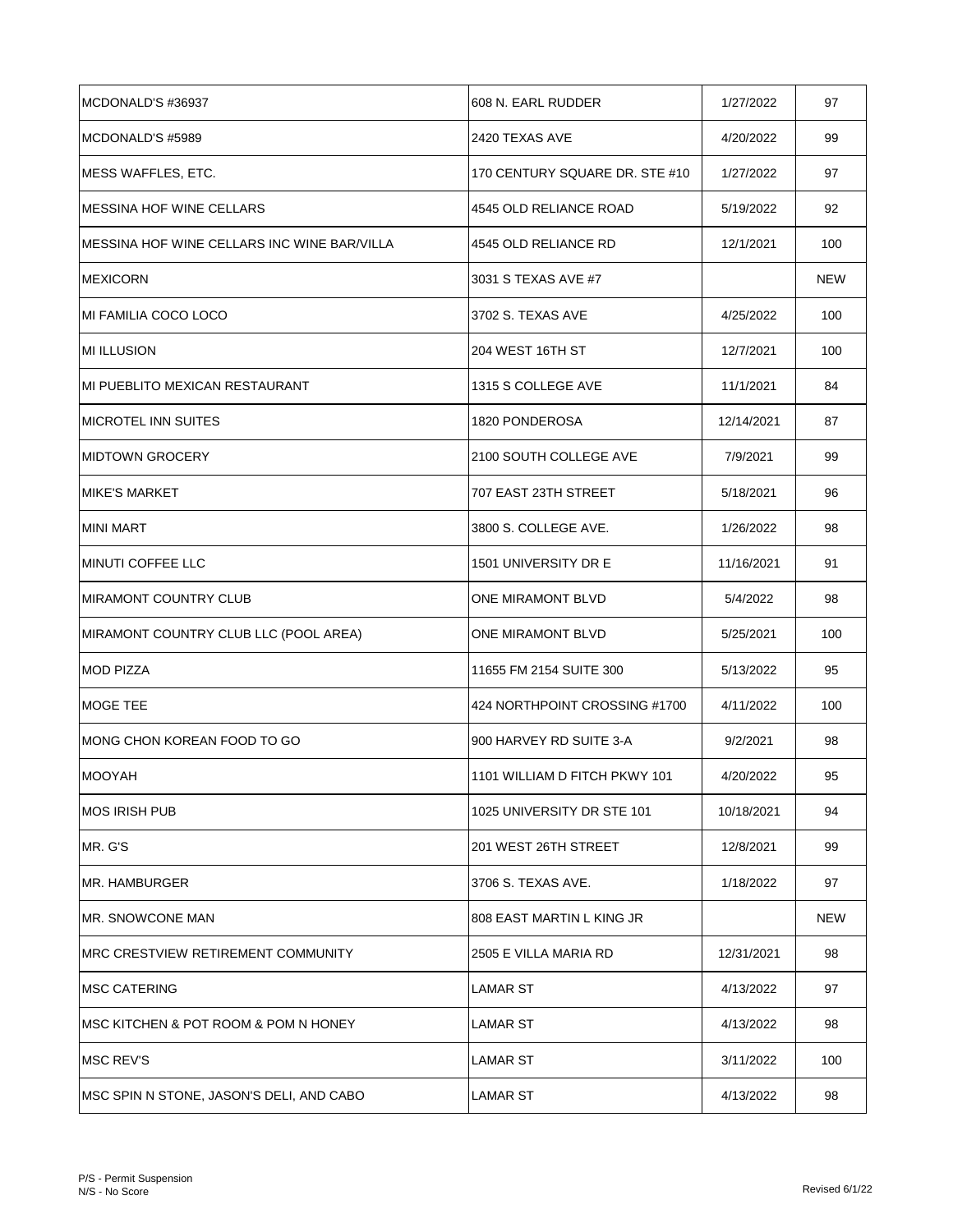| MCDONALD'S #36937                            | 608 N. EARL RUDDER             | 1/27/2022  | 97         |
|----------------------------------------------|--------------------------------|------------|------------|
| MCDONALD'S #5989                             | 2420 TEXAS AVE                 | 4/20/2022  | 99         |
| MESS WAFFLES, ETC.                           | 170 CENTURY SQUARE DR. STE #10 | 1/27/2022  | 97         |
| <b>MESSINA HOF WINE CELLARS</b>              | 4545 OLD RELIANCE ROAD         | 5/19/2022  | 92         |
| IMESSINA HOF WINE CELLARS INC WINE BAR/VILLA | 4545 OLD RELIANCE RD           | 12/1/2021  | 100        |
| <b>IMEXICORN</b>                             | 3031 S TEXAS AVE #7            |            | NEW        |
| MI FAMILIA COCO LOCO                         | 3702 S. TEXAS AVE              | 4/25/2022  | 100        |
| <b>MI ILLUSION</b>                           | 204 WEST 16TH ST               | 12/7/2021  | 100        |
| MI PUEBLITO MEXICAN RESTAURANT               | 1315 S COLLEGE AVE             | 11/1/2021  | 84         |
| <b>MICROTEL INN SUITES</b>                   | 1820 PONDEROSA                 | 12/14/2021 | 87         |
| <b>IMIDTOWN GROCERY</b>                      | 2100 SOUTH COLLEGE AVE         | 7/9/2021   | 99         |
| IMIKE'S MARKET                               | 707 EAST 23TH STREET           | 5/18/2021  | 96         |
| <b>MINI MART</b>                             | 3800 S. COLLEGE AVE.           | 1/26/2022  | 98         |
| <b>IMINUTI COFFEE LLC</b>                    | 1501 UNIVERSITY DR E           | 11/16/2021 | 91         |
| <b>MIRAMONT COUNTRY CLUB</b>                 | ONE MIRAMONT BLVD              | 5/4/2022   | 98         |
| MIRAMONT COUNTRY CLUB LLC (POOL AREA)        | ONE MIRAMONT BLVD              | 5/25/2021  | 100        |
| <b>MOD PIZZA</b>                             | 11655 FM 2154 SUITE 300        | 5/13/2022  | 95         |
| <b>MOGE TEE</b>                              | 424 NORTHPOINT CROSSING #1700  | 4/11/2022  | 100        |
| IMONG CHON KOREAN FOOD TO GO                 | 900 HARVEY RD SUITE 3-A        | 9/2/2021   | 98         |
| <b>MOOYAH</b>                                | 1101 WILLIAM D FITCH PKWY 101  | 4/20/2022  | 95         |
| IMOS IRISH PUB                               | 1025 UNIVERSITY DR STE 101     | 10/18/2021 | 94         |
| MR. G'S                                      | 201 WEST 26TH STREET           | 12/8/2021  | 99         |
| IMR. HAMBURGER                               | 3706 S. TEXAS AVE.             | 1/18/2022  | 97         |
| IMR. SNOWCONE MAN                            | 808 EAST MARTIN L KING JR      |            | <b>NEW</b> |
| IMRC CRESTVIEW RETIREMENT COMMUNITY          | 2505 E VILLA MARIA RD          | 12/31/2021 | 98         |
| IMSC CATERING                                | LAMAR ST                       | 4/13/2022  | 97         |
| IMSC KITCHEN & POT ROOM & POM N HONEY        | LAMAR ST                       | 4/13/2022  | 98         |
| IMSC REV'S                                   | LAMAR ST                       | 3/11/2022  | 100        |
| MSC SPIN N STONE, JASON'S DELI, AND CABO     | <b>LAMAR ST</b>                | 4/13/2022  | 98         |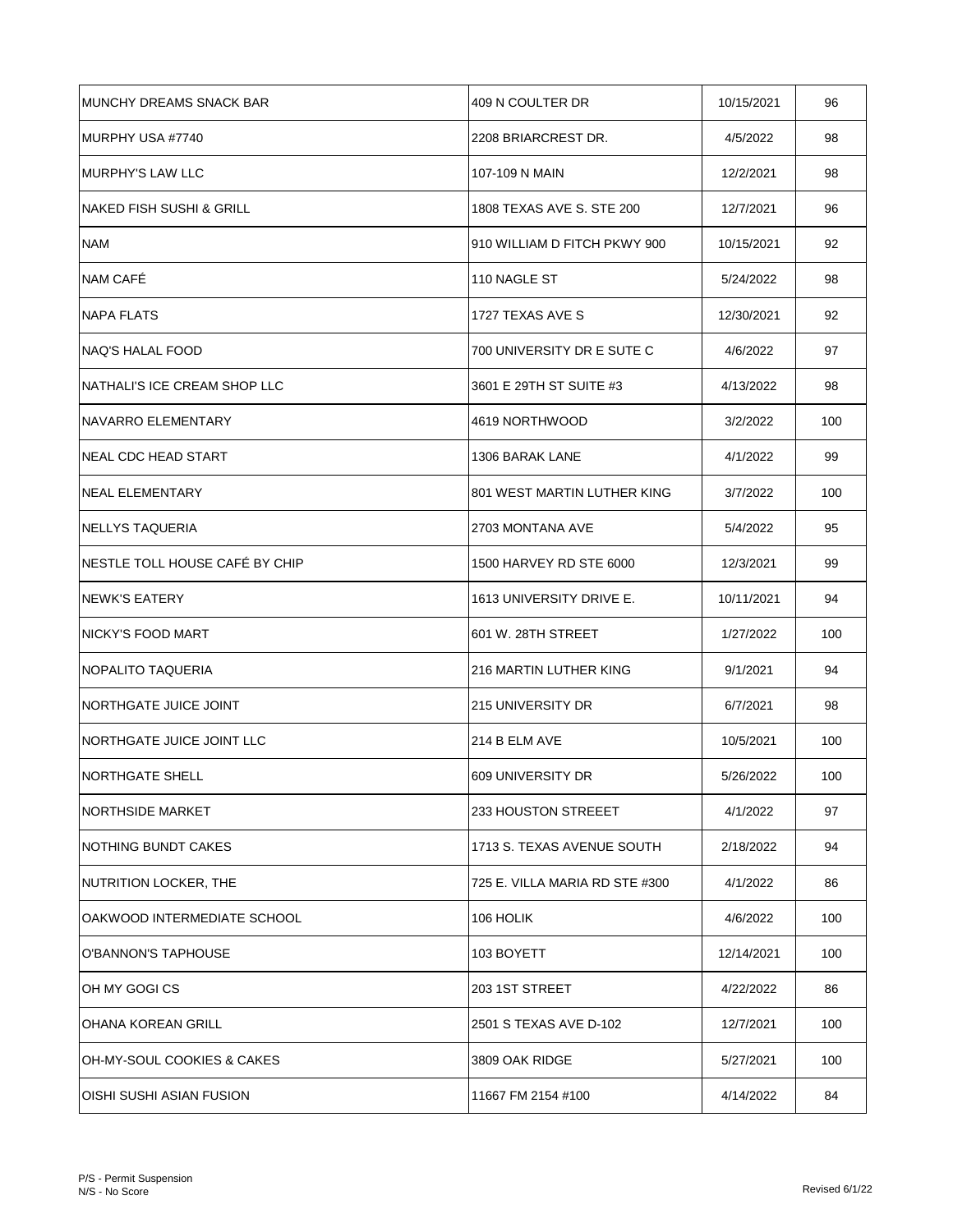| IMUNCHY DREAMS SNACK BAR          | 409 N COULTER DR               | 10/15/2021 | 96  |
|-----------------------------------|--------------------------------|------------|-----|
| MURPHY USA #7740                  | 2208 BRIARCREST DR.            | 4/5/2022   | 98  |
| <b>IMURPHY'S LAW LLC</b>          | 107-109 N MAIN                 | 12/2/2021  | 98  |
| NAKED FISH SUSHI & GRILL          | 1808 TEXAS AVE S. STE 200      | 12/7/2021  | 96  |
| <b>NAM</b>                        | 910 WILLIAM D FITCH PKWY 900   | 10/15/2021 | 92  |
| NAM CAFÉ                          | 110 NAGLE ST                   | 5/24/2022  | 98  |
| <b>NAPA FLATS</b>                 | 1727 TEXAS AVE S               | 12/30/2021 | 92  |
| NAQ'S HALAL FOOD                  | 700 UNIVERSITY DR E SUTE C     | 4/6/2022   | 97  |
| NATHALI'S ICE CREAM SHOP LLC      | 3601 E 29TH ST SUITE #3        | 4/13/2022  | 98  |
| NAVARRO ELEMENTARY                | 4619 NORTHWOOD                 | 3/2/2022   | 100 |
| INEAL CDC HEAD START              | 1306 BARAK LANE                | 4/1/2022   | 99  |
| <b>NEAL ELEMENTARY</b>            | 801 WEST MARTIN LUTHER KING    | 3/7/2022   | 100 |
| NELLYS TAQUERIA                   | 2703 MONTANA AVE               | 5/4/2022   | 95  |
| NESTLE TOLL HOUSE CAFÉ BY CHIP    | 1500 HARVEY RD STE 6000        | 12/3/2021  | 99  |
| INEWK'S EATERY                    | 1613 UNIVERSITY DRIVE E.       | 10/11/2021 | 94  |
| INICKY'S FOOD MART                | 601 W. 28TH STREET             | 1/27/2022  | 100 |
| <b>NOPALITO TAQUERIA</b>          | 216 MARTIN LUTHER KING         | 9/1/2021   | 94  |
| INORTHGATE JUICE JOINT            | <b>215 UNIVERSITY DR</b>       | 6/7/2021   | 98  |
| <b>INORTHGATE JUICE JOINT LLC</b> | 214 B ELM AVE                  | 10/5/2021  | 100 |
| NORTHGATE SHELL                   | 609 UNIVERSITY DR              | 5/26/2022  | 100 |
| <b>NORTHSIDE MARKET</b>           | 233 HOUSTON STREEET            | 4/1/2022   | 97  |
| <b>NOTHING BUNDT CAKES</b>        | 1713 S. TEXAS AVENUE SOUTH     | 2/18/2022  | 94  |
| NUTRITION LOCKER, THE             | 725 E. VILLA MARIA RD STE #300 | 4/1/2022   | 86  |
| OAKWOOD INTERMEDIATE SCHOOL       | 106 HOLIK                      | 4/6/2022   | 100 |
| O'BANNON'S TAPHOUSE               | 103 BOYETT                     | 12/14/2021 | 100 |
| OH MY GOGI CS                     | 203 1ST STREET                 | 4/22/2022  | 86  |
| OHANA KOREAN GRILL                | 2501 S TEXAS AVE D-102         | 12/7/2021  | 100 |
| OH-MY-SOUL COOKIES & CAKES        | 3809 OAK RIDGE                 | 5/27/2021  | 100 |
| OISHI SUSHI ASIAN FUSION          | 11667 FM 2154 #100             | 4/14/2022  | 84  |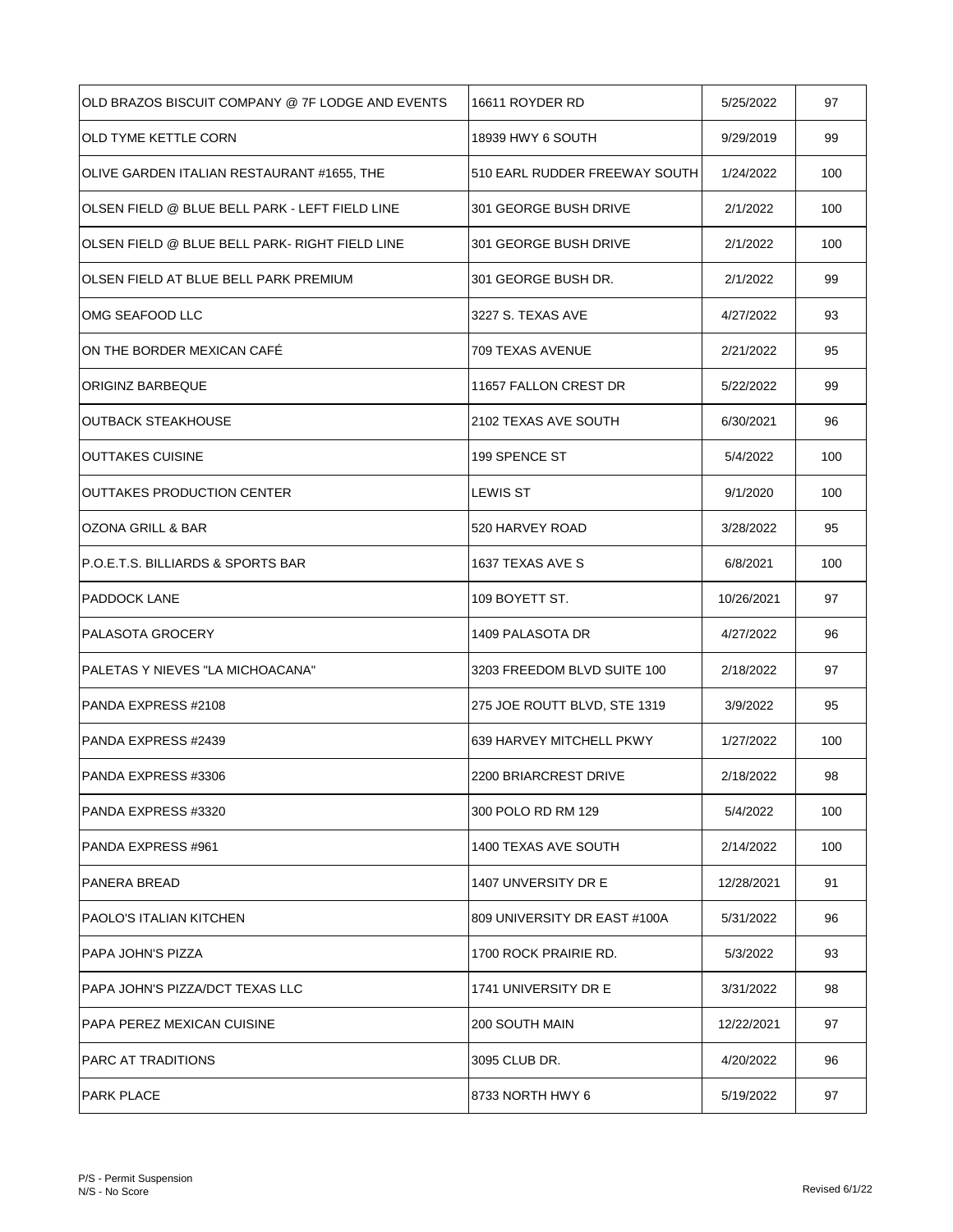| OLD BRAZOS BISCUIT COMPANY @ 7F LODGE AND EVENTS | 16611 ROYDER RD               | 5/25/2022  | 97  |
|--------------------------------------------------|-------------------------------|------------|-----|
| <b>OLD TYME KETTLE CORN</b>                      | 18939 HWY 6 SOUTH             | 9/29/2019  | 99  |
| OLIVE GARDEN ITALIAN RESTAURANT #1655, THE       | 510 EARL RUDDER FREEWAY SOUTH | 1/24/2022  | 100 |
| OLSEN FIELD @ BLUE BELL PARK - LEFT FIELD LINE   | 301 GEORGE BUSH DRIVE         | 2/1/2022   | 100 |
| OLSEN FIELD @ BLUE BELL PARK- RIGHT FIELD LINE   | 301 GEORGE BUSH DRIVE         | 2/1/2022   | 100 |
| OLSEN FIELD AT BLUE BELL PARK PREMIUM            | 301 GEORGE BUSH DR.           | 2/1/2022   | 99  |
| OMG SEAFOOD LLC                                  | 3227 S. TEXAS AVE             | 4/27/2022  | 93  |
| ON THE BORDER MEXICAN CAFE                       | 709 TEXAS AVENUE              | 2/21/2022  | 95  |
| ORIGINZ BARBEQUE                                 | 11657 FALLON CREST DR         | 5/22/2022  | 99  |
| <b>OUTBACK STEAKHOUSE</b>                        | 2102 TEXAS AVE SOUTH          | 6/30/2021  | 96  |
| <b>OUTTAKES CUISINE</b>                          | 199 SPENCE ST                 | 5/4/2022   | 100 |
| <b>OUTTAKES PRODUCTION CENTER</b>                | LEWIS ST                      | 9/1/2020   | 100 |
| OZONA GRILL & BAR                                | 520 HARVEY ROAD               | 3/28/2022  | 95  |
| P.O.E.T.S. BILLIARDS & SPORTS BAR                | 1637 TEXAS AVE S              | 6/8/2021   | 100 |
| <b>PADDOCK LANE</b>                              | 109 BOYETT ST.                | 10/26/2021 | 97  |
| <b>PALASOTA GROCERY</b>                          | 1409 PALASOTA DR              | 4/27/2022  | 96  |
| PALETAS Y NIEVES "LA MICHOACANA"                 | 3203 FREEDOM BLVD SUITE 100   | 2/18/2022  | 97  |
| PANDA EXPRESS #2108                              | 275 JOE ROUTT BLVD, STE 1319  | 3/9/2022   | 95  |
| <b>PANDA EXPRESS #2439</b>                       | 639 HARVEY MITCHELL PKWY      | 1/27/2022  | 100 |
| PANDA EXPRESS #3306                              | 2200 BRIARCREST DRIVE         | 2/18/2022  | 98  |
| IPANDA EXPRESS #3320                             | 300 POLO RD RM 129            | 5/4/2022   | 100 |
| PANDA EXPRESS #961                               | 1400 TEXAS AVE SOUTH          | 2/14/2022  | 100 |
| <b>PANERA BREAD</b>                              | 1407 UNVERSITY DR E           | 12/28/2021 | 91  |
| <b>PAOLO'S ITALIAN KITCHEN</b>                   | 809 UNIVERSITY DR EAST #100A  | 5/31/2022  | 96  |
| PAPA JOHN'S PIZZA                                | 1700 ROCK PRAIRIE RD.         | 5/3/2022   | 93  |
| PAPA JOHN'S PIZZA/DCT TEXAS LLC                  | 1741 UNIVERSITY DR E          | 3/31/2022  | 98  |
| IPAPA PEREZ MEXICAN CUISINE                      | 200 SOUTH MAIN                | 12/22/2021 | 97  |
| IPARC AT TRADITIONS                              | 3095 CLUB DR.                 | 4/20/2022  | 96  |
| <b>IPARK PLACE</b>                               | 8733 NORTH HWY 6              | 5/19/2022  | 97  |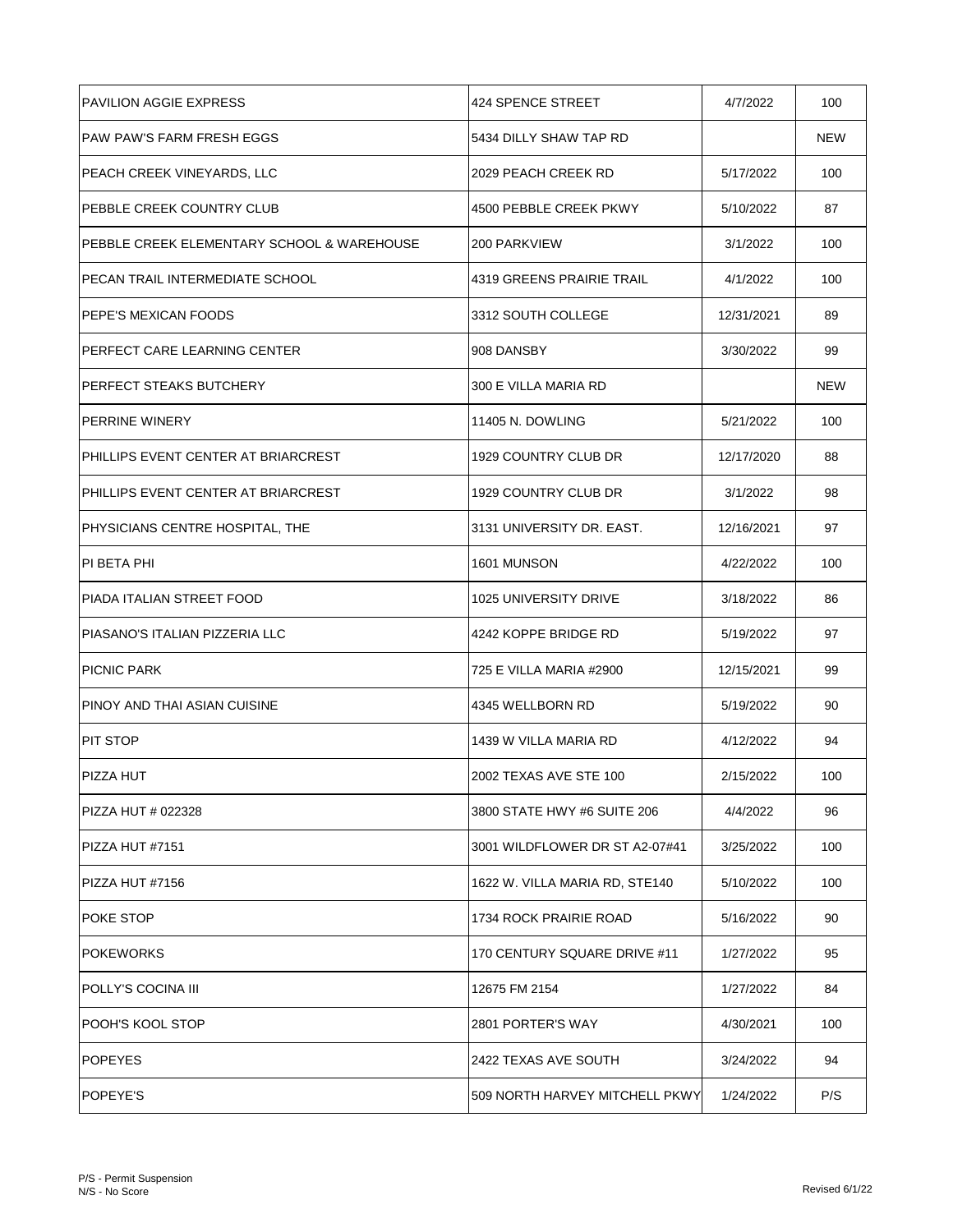| <b>PAVILION AGGIE EXPRESS</b>               | 424 SPENCE STREET              | 4/7/2022   | 100        |
|---------------------------------------------|--------------------------------|------------|------------|
| PAW PAW'S FARM FRESH EGGS                   | 5434 DILLY SHAW TAP RD         |            | <b>NEW</b> |
| <b>PEACH CREEK VINEYARDS, LLC</b>           | 2029 PEACH CREEK RD            | 5/17/2022  | 100        |
| PEBBLE CREEK COUNTRY CLUB                   | 4500 PEBBLE CREEK PKWY         | 5/10/2022  | 87         |
| IPEBBLE CREEK ELEMENTARY SCHOOL & WAREHOUSE | <b>200 PARKVIEW</b>            | 3/1/2022   | 100        |
| PECAN TRAIL INTERMEDIATE SCHOOL             | 4319 GREENS PRAIRIE TRAIL      | 4/1/2022   | 100        |
| IPEPE'S MEXICAN FOODS                       | 3312 SOUTH COLLEGE             | 12/31/2021 | 89         |
| <b>PERFECT CARE LEARNING CENTER</b>         | 908 DANSBY                     | 3/30/2022  | 99         |
| PERFECT STEAKS BUTCHERY                     | 300 E VILLA MARIA RD           |            | <b>NEW</b> |
| <b>PERRINE WINERY</b>                       | 11405 N. DOWLING               | 5/21/2022  | 100        |
| PHILLIPS EVENT CENTER AT BRIARCREST         | 1929 COUNTRY CLUB DR           | 12/17/2020 | 88         |
| PHILLIPS EVENT CENTER AT BRIARCREST         | 1929 COUNTRY CLUB DR           | 3/1/2022   | 98         |
| <b>PHYSICIANS CENTRE HOSPITAL, THE</b>      | 3131 UNIVERSITY DR. EAST.      | 12/16/2021 | 97         |
| PI BETA PHI                                 | 1601 MUNSON                    | 4/22/2022  | 100        |
| PIADA ITALIAN STREET FOOD                   | 1025 UNIVERSITY DRIVE          | 3/18/2022  | 86         |
| PIASANO'S ITALIAN PIZZERIA LLC              | 4242 KOPPE BRIDGE RD           | 5/19/2022  | 97         |
| <b>PICNIC PARK</b>                          | 725 E VILLA MARIA #2900        | 12/15/2021 | 99         |
| IPINOY AND THAI ASIAN CUISINE               | 4345 WELLBORN RD               | 5/19/2022  | 90         |
| <b>PIT STOP</b>                             | 1439 W VILLA MARIA RD          | 4/12/2022  | 94         |
| <b>PIZZA HUT</b>                            | 2002 TEXAS AVE STE 100         | 2/15/2022  | 100        |
| <b>PIZZA HUT # 022328</b>                   | 3800 STATE HWY #6 SUITE 206    | 4/4/2022   | 96         |
| PIZZA HUT #7151                             | 3001 WILDFLOWER DR ST A2-07#41 | 3/25/2022  | 100        |
| PIZZA HUT #7156                             | 1622 W. VILLA MARIA RD, STE140 | 5/10/2022  | 100        |
| <b>POKE STOP</b>                            | 1734 ROCK PRAIRIE ROAD         | 5/16/2022  | 90         |
| <b>POKEWORKS</b>                            | 170 CENTURY SQUARE DRIVE #11   | 1/27/2022  | 95         |
| POLLY'S COCINA III                          | 12675 FM 2154                  | 1/27/2022  | 84         |
| <b>POOH'S KOOL STOP</b>                     | 2801 PORTER'S WAY              | 4/30/2021  | 100        |
| POPEYES                                     | 2422 TEXAS AVE SOUTH           | 3/24/2022  | 94         |
| POPEYE'S                                    | 509 NORTH HARVEY MITCHELL PKWY | 1/24/2022  | P/S        |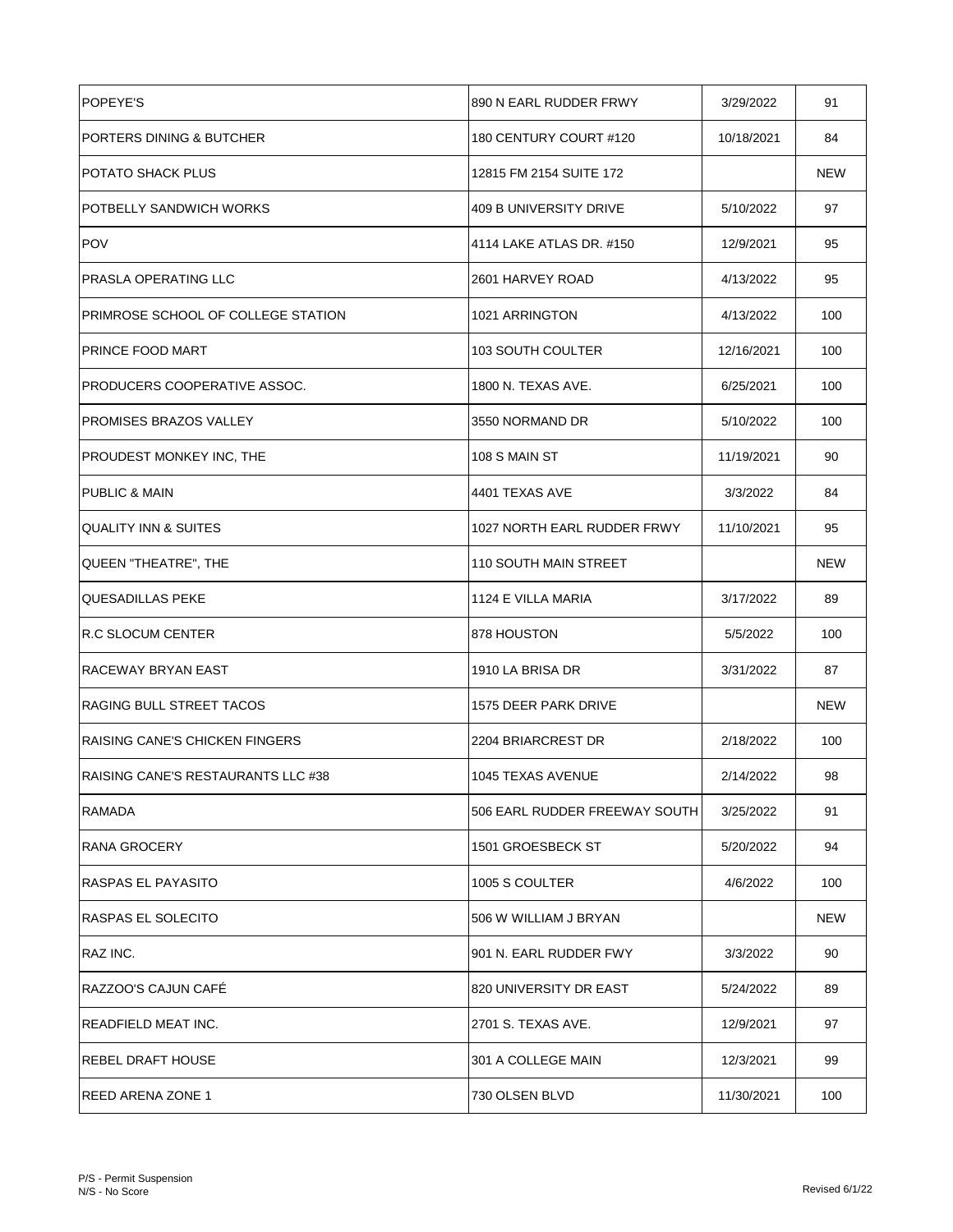| <b>POPEYE'S</b>                     | 890 N EARL RUDDER FRWY        | 3/29/2022  | 91         |
|-------------------------------------|-------------------------------|------------|------------|
| PORTERS DINING & BUTCHER            | 180 CENTURY COURT #120        | 10/18/2021 | 84         |
| POTATO SHACK PLUS                   | 12815 FM 2154 SUITE 172       |            | <b>NEW</b> |
| POTBELLY SANDWICH WORKS             | 409 B UNIVERSITY DRIVE        | 5/10/2022  | 97         |
| <b>POV</b>                          | 4114 LAKE ATLAS DR. #150      | 12/9/2021  | 95         |
| <b>PRASLA OPERATING LLC</b>         | 2601 HARVEY ROAD              | 4/13/2022  | 95         |
| PRIMROSE SCHOOL OF COLLEGE STATION  | 1021 ARRINGTON                | 4/13/2022  | 100        |
| PRINCE FOOD MART                    | 103 SOUTH COULTER             | 12/16/2021 | 100        |
| <b>PRODUCERS COOPERATIVE ASSOC.</b> | 1800 N. TEXAS AVE.            | 6/25/2021  | 100        |
| <b>PROMISES BRAZOS VALLEY</b>       | 3550 NORMAND DR               | 5/10/2022  | 100        |
| PROUDEST MONKEY INC, THE            | 108 S MAIN ST                 | 11/19/2021 | 90         |
| <b>PUBLIC &amp; MAIN</b>            | 4401 TEXAS AVE                | 3/3/2022   | 84         |
| <b>QUALITY INN &amp; SUITES</b>     | 1027 NORTH EARL RUDDER FRWY   | 11/10/2021 | 95         |
| QUEEN "THEATRE", THE                | 110 SOUTH MAIN STREET         |            | <b>NEW</b> |
| <b>QUESADILLAS PEKE</b>             | 1124 E VILLA MARIA            | 3/17/2022  | 89         |
| <b>R.C SLOCUM CENTER</b>            | 878 HOUSTON                   | 5/5/2022   | 100        |
| RACEWAY BRYAN EAST                  | 1910 LA BRISA DR              | 3/31/2022  | 87         |
| IRAGING BULL STREET TACOS           | 1575 DEER PARK DRIVE          |            | NEW        |
| RAISING CANE'S CHICKEN FINGERS      | 2204 BRIARCREST DR            | 2/18/2022  | 100        |
| RAISING CANE'S RESTAURANTS LLC #38  | 1045 TEXAS AVENUE             | 2/14/2022  | 98         |
| RAMADA                              | 506 EARL RUDDER FREEWAY SOUTH | 3/25/2022  | 91         |
| RANA GROCERY                        | 1501 GROESBECK ST             | 5/20/2022  | 94         |
| RASPAS EL PAYASITO                  | 1005 S COULTER                | 4/6/2022   | 100        |
| IRASPAS EL SOLECITO                 | 506 W WILLIAM J BRYAN         |            | <b>NEW</b> |
| RAZ INC.                            | 901 N. EARL RUDDER FWY        | 3/3/2022   | 90         |
| RAZZOO'S CAJUN CAFE                 | 820 UNIVERSITY DR EAST        | 5/24/2022  | 89         |
| READFIELD MEAT INC.                 | 2701 S. TEXAS AVE.            | 12/9/2021  | 97         |
| IREBEL DRAFT HOUSE                  | 301 A COLLEGE MAIN            | 12/3/2021  | 99         |
| IREED ARENA ZONE 1                  | 730 OLSEN BLVD                | 11/30/2021 | 100        |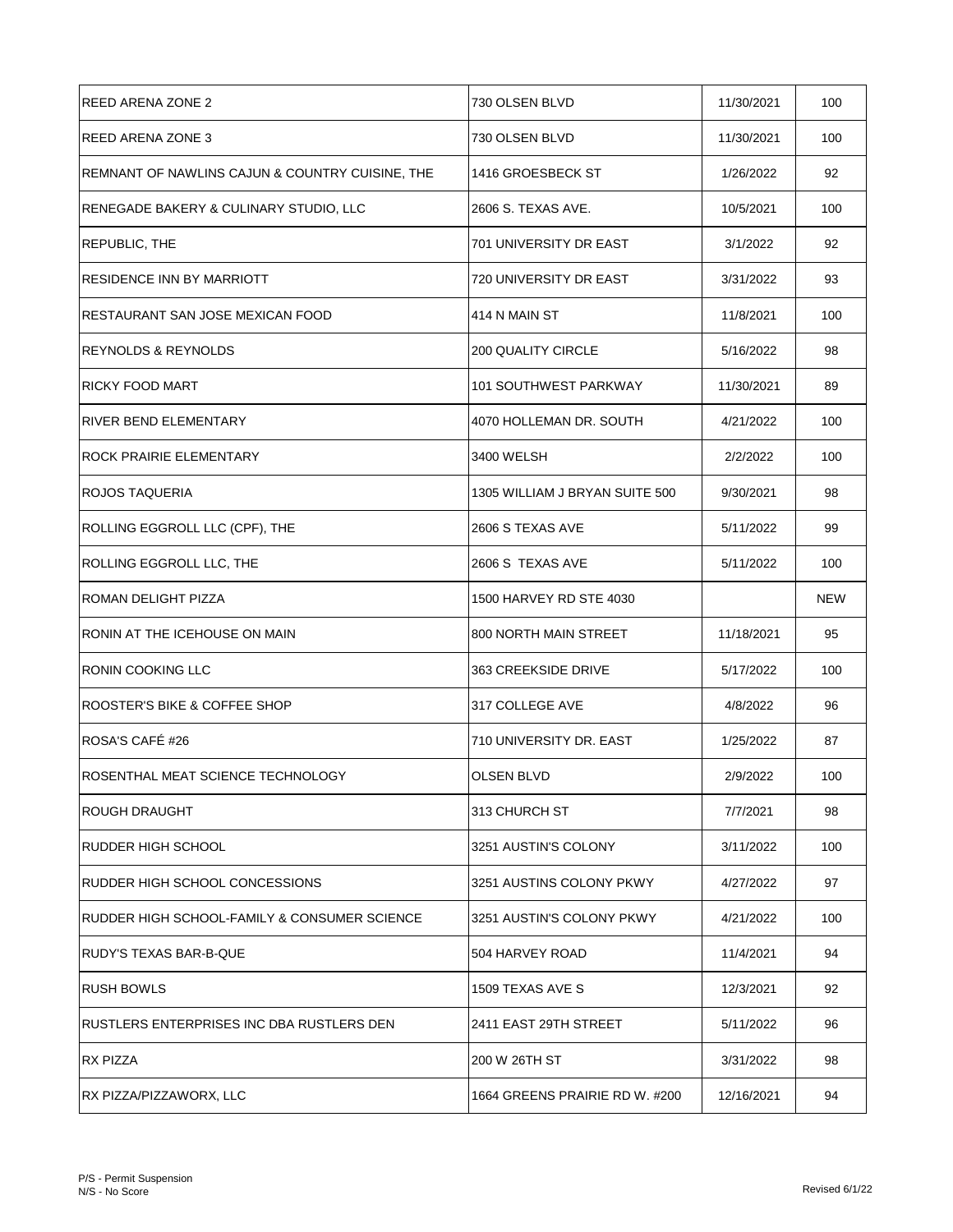| REED ARENA ZONE 2                               | 730 OLSEN BLVD                 | 11/30/2021 | 100 |
|-------------------------------------------------|--------------------------------|------------|-----|
| <b>REED ARENA ZONE 3</b>                        | 730 OLSEN BLVD                 | 11/30/2021 | 100 |
| REMNANT OF NAWLINS CAJUN & COUNTRY CUISINE, THE | 1416 GROESBECK ST              | 1/26/2022  | 92  |
| RENEGADE BAKERY & CULINARY STUDIO, LLC          | 2606 S. TEXAS AVE.             | 10/5/2021  | 100 |
| <b>REPUBLIC, THE</b>                            | 701 UNIVERSITY DR EAST         | 3/1/2022   | 92  |
| <b>RESIDENCE INN BY MARRIOTT</b>                | 720 UNIVERSITY DR EAST         | 3/31/2022  | 93  |
| RESTAURANT SAN JOSE MEXICAN FOOD                | 414 N MAIN ST                  | 11/8/2021  | 100 |
| REYNOLDS & REYNOLDS                             | <b>200 QUALITY CIRCLE</b>      | 5/16/2022  | 98  |
| <b>RICKY FOOD MART</b>                          | 101 SOUTHWEST PARKWAY          | 11/30/2021 | 89  |
| RIVER BEND ELEMENTARY                           | 4070 HOLLEMAN DR. SOUTH        | 4/21/2022  | 100 |
| ROCK PRAIRIE ELEMENTARY                         | 3400 WELSH                     | 2/2/2022   | 100 |
| <b>ROJOS TAQUERIA</b>                           | 1305 WILLIAM J BRYAN SUITE 500 | 9/30/2021  | 98  |
| ROLLING EGGROLL LLC (CPF), THE                  | 2606 S TEXAS AVE               | 5/11/2022  | 99  |
| ROLLING EGGROLL LLC, THE                        | 2606 S TEXAS AVE               | 5/11/2022  | 100 |
| ROMAN DELIGHT PIZZA                             | 1500 HARVEY RD STE 4030        |            | NEW |
| RONIN AT THE ICEHOUSE ON MAIN                   | 800 NORTH MAIN STREET          | 11/18/2021 | 95  |
| <b>RONIN COOKING LLC</b>                        | 363 CREEKSIDE DRIVE            | 5/17/2022  | 100 |
| ROOSTER'S BIKE & COFFEE SHOP                    | 317 COLLEGE AVE                | 4/8/2022   | 96  |
| ROSA'S CAFÉ #26                                 | 710 UNIVERSITY DR. EAST        | 1/25/2022  | 87  |
| ROSENTHAL MEAT SCIENCE TECHNOLOGY               | <b>OLSEN BLVD</b>              | 2/9/2022   | 100 |
| ROUGH DRAUGHT                                   | 313 CHURCH ST                  | 7/7/2021   | 98  |
| RUDDER HIGH SCHOOL                              | 3251 AUSTIN'S COLONY           | 3/11/2022  | 100 |
| RUDDER HIGH SCHOOL CONCESSIONS                  | 3251 AUSTINS COLONY PKWY       | 4/27/2022  | 97  |
| RUDDER HIGH SCHOOL-FAMILY & CONSUMER SCIENCE    | 3251 AUSTIN'S COLONY PKWY      | 4/21/2022  | 100 |
| RUDY'S TEXAS BAR-B-QUE                          | 504 HARVEY ROAD                | 11/4/2021  | 94  |
| <b>RUSH BOWLS</b>                               | 1509 TEXAS AVE S               | 12/3/2021  | 92  |
| RUSTLERS ENTERPRISES INC DBA RUSTLERS DEN       | 2411 EAST 29TH STREET          | 5/11/2022  | 96  |
| <b>RX PIZZA</b>                                 | 200 W 26TH ST                  | 3/31/2022  | 98  |
| RX PIZZA/PIZZAWORX, LLC                         | 1664 GREENS PRAIRIE RD W. #200 | 12/16/2021 | 94  |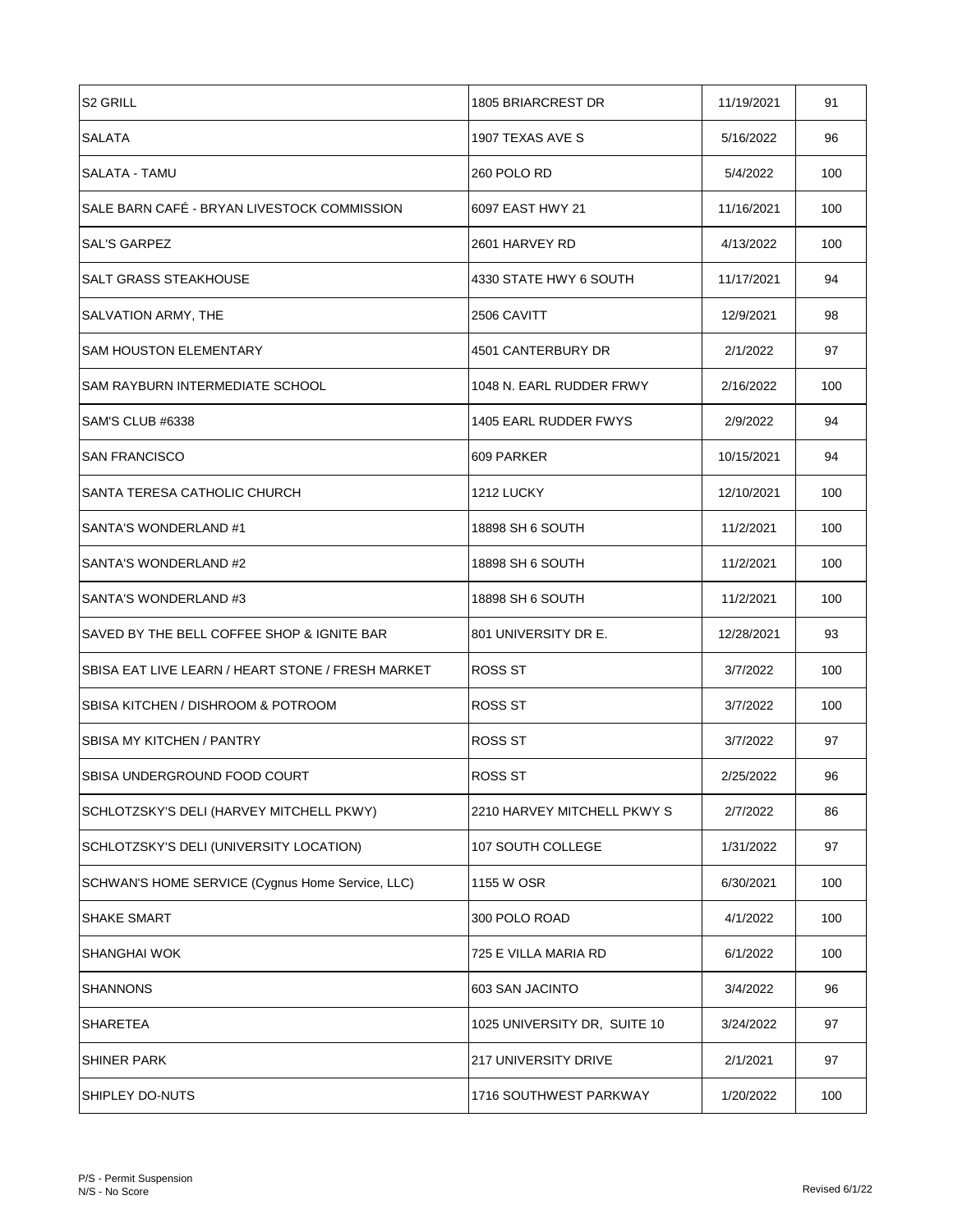| <b>S2 GRILL</b>                                   | 1805 BRIARCREST DR           | 11/19/2021 | 91  |
|---------------------------------------------------|------------------------------|------------|-----|
| <b>SALATA</b>                                     | 1907 TEXAS AVE S             | 5/16/2022  | 96  |
| SALATA - TAMU                                     | 260 POLO RD                  | 5/4/2022   | 100 |
| SALE BARN CAFÉ - BRYAN LIVESTOCK COMMISSION       | 6097 EAST HWY 21             | 11/16/2021 | 100 |
| SAL'S GARPEZ                                      | 2601 HARVEY RD               | 4/13/2022  | 100 |
| SALT GRASS STEAKHOUSE                             | 4330 STATE HWY 6 SOUTH       | 11/17/2021 | 94  |
| SALVATION ARMY, THE                               | 2506 CAVITT                  | 12/9/2021  | 98  |
| <b>SAM HOUSTON ELEMENTARY</b>                     | 4501 CANTERBURY DR           | 2/1/2022   | 97  |
| SAM RAYBURN INTERMEDIATE SCHOOL                   | 1048 N. EARL RUDDER FRWY     | 2/16/2022  | 100 |
| SAM'S CLUB #6338                                  | 1405 EARL RUDDER FWYS        | 2/9/2022   | 94  |
| <b>SAN FRANCISCO</b>                              | 609 PARKER                   | 10/15/2021 | 94  |
| SANTA TERESA CATHOLIC CHURCH                      | 1212 LUCKY                   | 12/10/2021 | 100 |
| SANTA'S WONDERLAND #1                             | 18898 SH 6 SOUTH             | 11/2/2021  | 100 |
| SANTA'S WONDERLAND #2                             | 18898 SH 6 SOUTH             | 11/2/2021  | 100 |
| SANTA'S WONDERLAND #3                             | 18898 SH 6 SOUTH             | 11/2/2021  | 100 |
| SAVED BY THE BELL COFFEE SHOP & IGNITE BAR        | 801 UNIVERSITY DR E.         | 12/28/2021 | 93  |
| SBISA EAT LIVE LEARN / HEART STONE / FRESH MARKET | ROSS ST                      | 3/7/2022   | 100 |
| SBISA KITCHEN / DISHROOM & POTROOM                | ROSS ST                      | 3/7/2022   | 100 |
| <b>SBISA MY KITCHEN / PANTRY</b>                  | ROSS ST                      | 3/7/2022   | 97  |
| ISBISA UNDERGROUND FOOD COURT                     | ROSS ST                      | 2/25/2022  | 96  |
| SCHLOTZSKY'S DELI (HARVEY MITCHELL PKWY)          | 2210 HARVEY MITCHELL PKWY S  | 2/7/2022   | 86  |
| SCHLOTZSKY'S DELI (UNIVERSITY LOCATION)           | 107 SOUTH COLLEGE            | 1/31/2022  | 97  |
| SCHWAN'S HOME SERVICE (Cygnus Home Service, LLC)  | 1155 W OSR                   | 6/30/2021  | 100 |
| <b>SHAKE SMART</b>                                | 300 POLO ROAD                | 4/1/2022   | 100 |
| SHANGHAI WOK                                      | 725 E VILLA MARIA RD         | 6/1/2022   | 100 |
| SHANNONS                                          | 603 SAN JACINTO              | 3/4/2022   | 96  |
| SHARETEA                                          | 1025 UNIVERSITY DR, SUITE 10 | 3/24/2022  | 97  |
| <b>SHINER PARK</b>                                | 217 UNIVERSITY DRIVE         | 2/1/2021   | 97  |
| SHIPLEY DO-NUTS                                   | 1716 SOUTHWEST PARKWAY       | 1/20/2022  | 100 |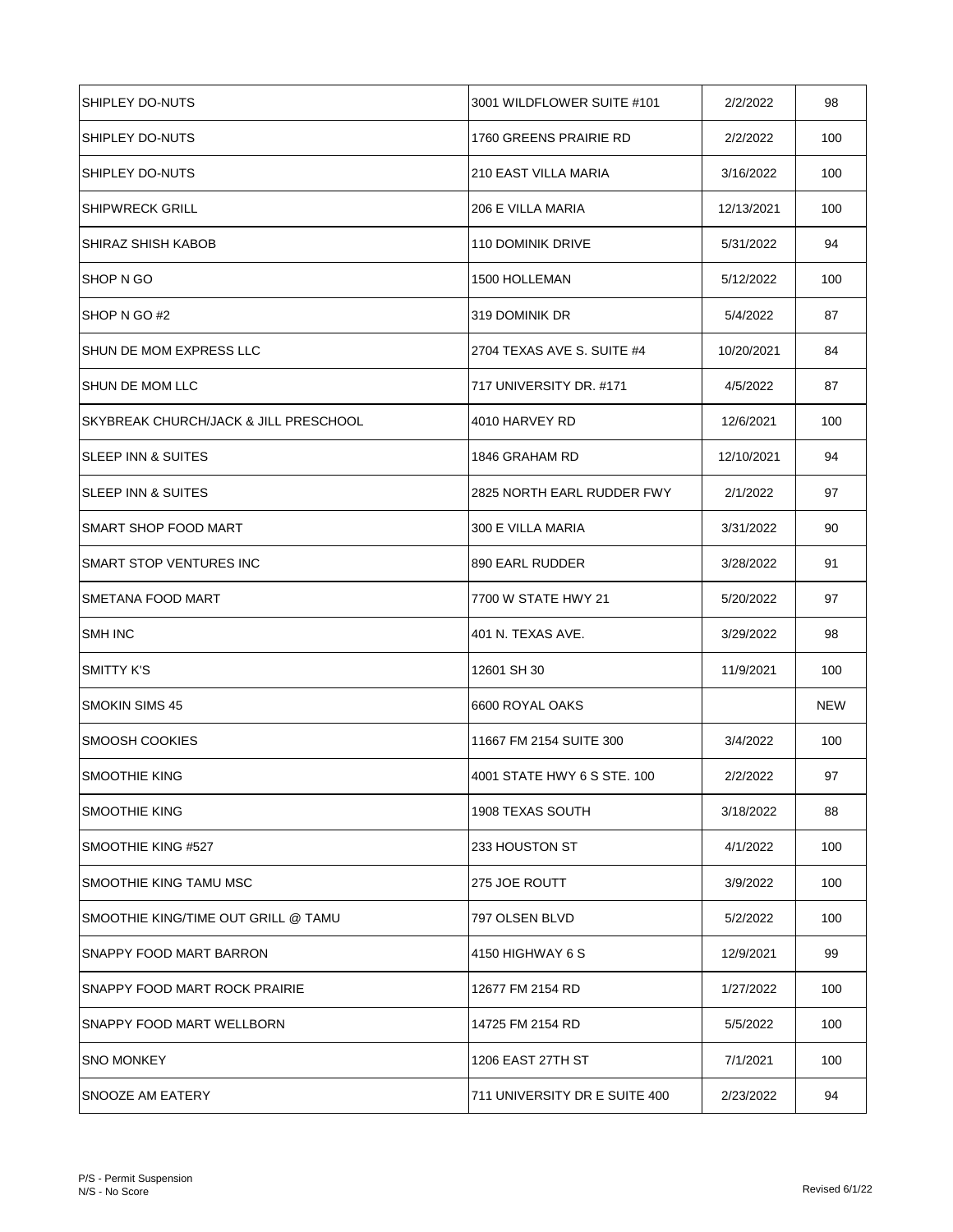| ISHIPLEY DO-NUTS                       | 3001 WILDFLOWER SUITE #101    | 2/2/2022   | 98  |
|----------------------------------------|-------------------------------|------------|-----|
| <b>SHIPLEY DO-NUTS</b>                 | 1760 GREENS PRAIRIE RD        | 2/2/2022   | 100 |
| SHIPLEY DO-NUTS                        | <b>210 EAST VILLA MARIA</b>   | 3/16/2022  | 100 |
| <b>SHIPWRECK GRILL</b>                 | 206 E VILLA MARIA             | 12/13/2021 | 100 |
| SHIRAZ SHISH KABOB                     | <b>110 DOMINIK DRIVE</b>      | 5/31/2022  | 94  |
| <b>SHOP N GO</b>                       | 1500 HOLLEMAN                 | 5/12/2022  | 100 |
| SHOP N GO #2                           | 319 DOMINIK DR                | 5/4/2022   | 87  |
| SHUN DE MOM EXPRESS LLC                | 2704 TEXAS AVE S. SUITE #4    | 10/20/2021 | 84  |
| ISHUN DE MOM LLC                       | 717 UNIVERSITY DR. #171       | 4/5/2022   | 87  |
| ISKYBREAK CHURCH/JACK & JILL PRESCHOOL | 4010 HARVEY RD                | 12/6/2021  | 100 |
| ISLEEP INN & SUITES                    | 1846 GRAHAM RD                | 12/10/2021 | 94  |
| <b>SLEEP INN &amp; SUITES</b>          | 2825 NORTH EARL RUDDER FWY    | 2/1/2022   | 97  |
| <b>SMART SHOP FOOD MART</b>            | 300 E VILLA MARIA             | 3/31/2022  | 90  |
| <b>SMART STOP VENTURES INC</b>         | 890 EARL RUDDER               | 3/28/2022  | 91  |
| <b>SMETANA FOOD MART</b>               | 7700 W STATE HWY 21           | 5/20/2022  | 97  |
| <b>SMH INC</b>                         | 401 N. TEXAS AVE.             | 3/29/2022  | 98  |
| <b>SMITTY K'S</b>                      | 12601 SH 30                   | 11/9/2021  | 100 |
| <b>SMOKIN SIMS 45</b>                  | 6600 ROYAL OAKS               |            | NEW |
| <b>SMOOSH COOKIES</b>                  | 11667 FM 2154 SUITE 300       | 3/4/2022   | 100 |
| <b>ISMOOTHIE KING</b>                  | 4001 STATE HWY 6 S STE. 100   | 2/2/2022   | 97  |
| <b>SMOOTHIE KING</b>                   | <b>1908 TEXAS SOUTH</b>       | 3/18/2022  | 88  |
| SMOOTHIE KING #527                     | 233 HOUSTON ST                | 4/1/2022   | 100 |
| SMOOTHIE KING TAMU MSC                 | 275 JOE ROUTT                 | 3/9/2022   | 100 |
| SMOOTHIE KING/TIME OUT GRILL @ TAMU    | 797 OLSEN BLVD                | 5/2/2022   | 100 |
| SNAPPY FOOD MART BARRON                | 4150 HIGHWAY 6 S              | 12/9/2021  | 99  |
| SNAPPY FOOD MART ROCK PRAIRIE          | 12677 FM 2154 RD              | 1/27/2022  | 100 |
| <b>SNAPPY FOOD MART WELLBORN</b>       | 14725 FM 2154 RD              | 5/5/2022   | 100 |
| <b>SNO MONKEY</b>                      | 1206 EAST 27TH ST             | 7/1/2021   | 100 |
| SNOOZE AM EATERY                       | 711 UNIVERSITY DR E SUITE 400 | 2/23/2022  | 94  |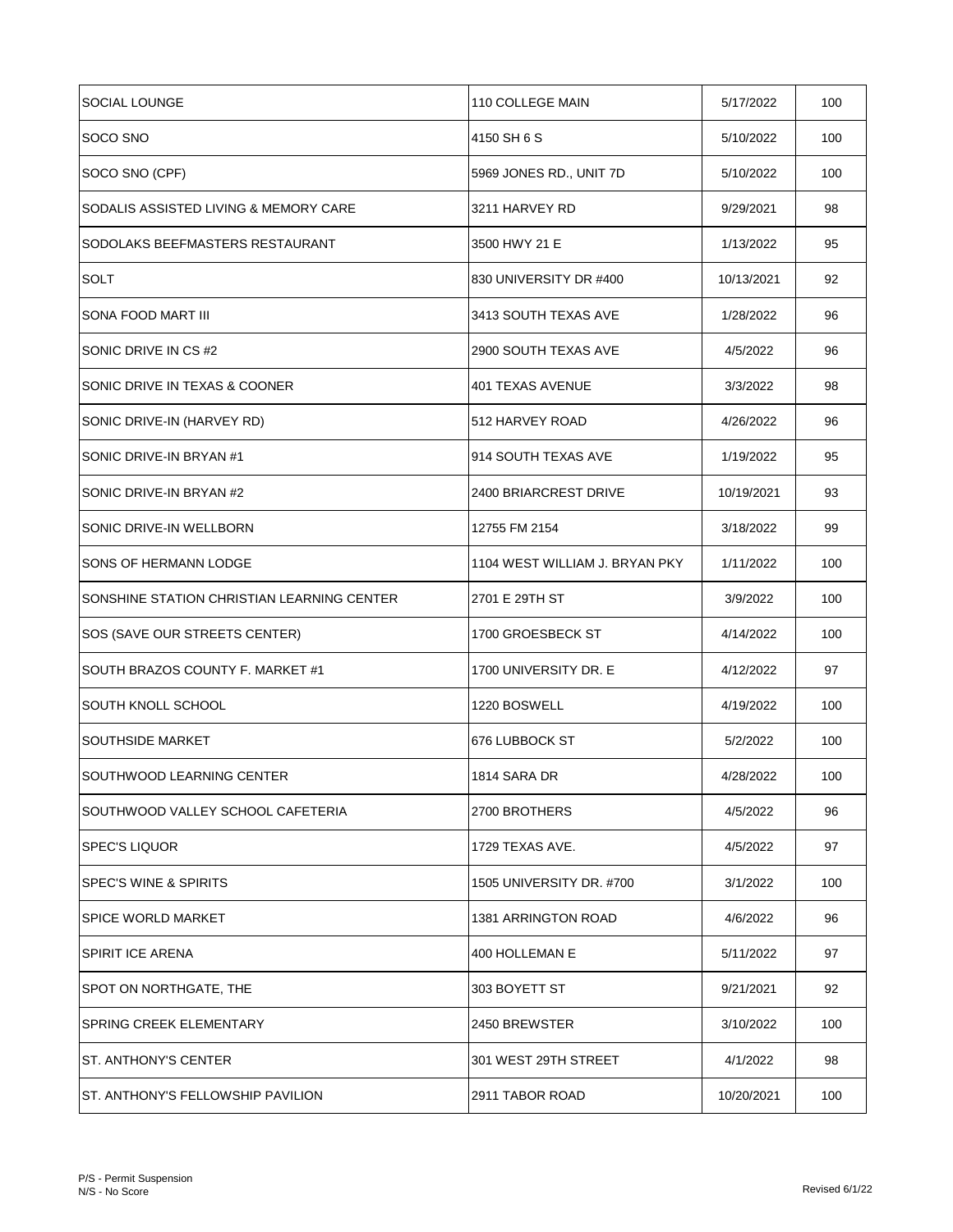| SOCIAL LOUNGE                              | 110 COLLEGE MAIN               | 5/17/2022  | 100 |
|--------------------------------------------|--------------------------------|------------|-----|
| SOCO SNO                                   | 4150 SH 6 S                    | 5/10/2022  | 100 |
| SOCO SNO (CPF)                             | 5969 JONES RD., UNIT 7D        | 5/10/2022  | 100 |
| SODALIS ASSISTED LIVING & MEMORY CARE      | 3211 HARVEY RD                 | 9/29/2021  | 98  |
| SODOLAKS BEEFMASTERS RESTAURANT            | 3500 HWY 21 E                  | 1/13/2022  | 95  |
| SOLT                                       | 830 UNIVERSITY DR #400         | 10/13/2021 | 92  |
| SONA FOOD MART III                         | 3413 SOUTH TEXAS AVE           | 1/28/2022  | 96  |
| SONIC DRIVE IN CS#2                        | 2900 SOUTH TEXAS AVE           | 4/5/2022   | 96  |
| SONIC DRIVE IN TEXAS & COONER              | 401 TEXAS AVENUE               | 3/3/2022   | 98  |
| SONIC DRIVE-IN (HARVEY RD)                 | 512 HARVEY ROAD                | 4/26/2022  | 96  |
| SONIC DRIVE-IN BRYAN #1                    | 914 SOUTH TEXAS AVE            | 1/19/2022  | 95  |
| SONIC DRIVE-IN BRYAN #2                    | 2400 BRIARCREST DRIVE          | 10/19/2021 | 93  |
| SONIC DRIVE-IN WELLBORN                    | 12755 FM 2154                  | 3/18/2022  | 99  |
| SONS OF HERMANN LODGE                      | 1104 WEST WILLIAM J. BRYAN PKY | 1/11/2022  | 100 |
| SONSHINE STATION CHRISTIAN LEARNING CENTER | 2701 E 29TH ST                 | 3/9/2022   | 100 |
| SOS (SAVE OUR STREETS CENTER)              | 1700 GROESBECK ST              | 4/14/2022  | 100 |
| SOUTH BRAZOS COUNTY F. MARKET #1           | 1700 UNIVERSITY DR. E          | 4/12/2022  | 97  |
| SOUTH KNOLL SCHOOL                         | 1220 BOSWELL                   | 4/19/2022  | 100 |
| <b>SOUTHSIDE MARKET</b>                    | 676 LUBBOCK ST                 | 5/2/2022   | 100 |
| SOUTHWOOD LEARNING CENTER                  | 1814 SARA DR                   | 4/28/2022  | 100 |
| SOUTHWOOD VALLEY SCHOOL CAFETERIA          | 2700 BROTHERS                  | 4/5/2022   | 96  |
| <b>SPEC'S LIQUOR</b>                       | 1729 TEXAS AVE.                | 4/5/2022   | 97  |
| <b>SPEC'S WINE &amp; SPIRITS</b>           | 1505 UNIVERSITY DR. #700       | 3/1/2022   | 100 |
| <b>SPICE WORLD MARKET</b>                  | <b>1381 ARRINGTON ROAD</b>     | 4/6/2022   | 96  |
| <b>SPIRIT ICE ARENA</b>                    | 400 HOLLEMAN E                 | 5/11/2022  | 97  |
| SPOT ON NORTHGATE, THE                     | 303 BOYETT ST                  | 9/21/2021  | 92  |
| SPRING CREEK ELEMENTARY                    | 2450 BREWSTER                  | 3/10/2022  | 100 |
| ST. ANTHONY'S CENTER                       | 301 WEST 29TH STREET           | 4/1/2022   | 98  |
| ST. ANTHONY'S FELLOWSHIP PAVILION          | 2911 TABOR ROAD                | 10/20/2021 | 100 |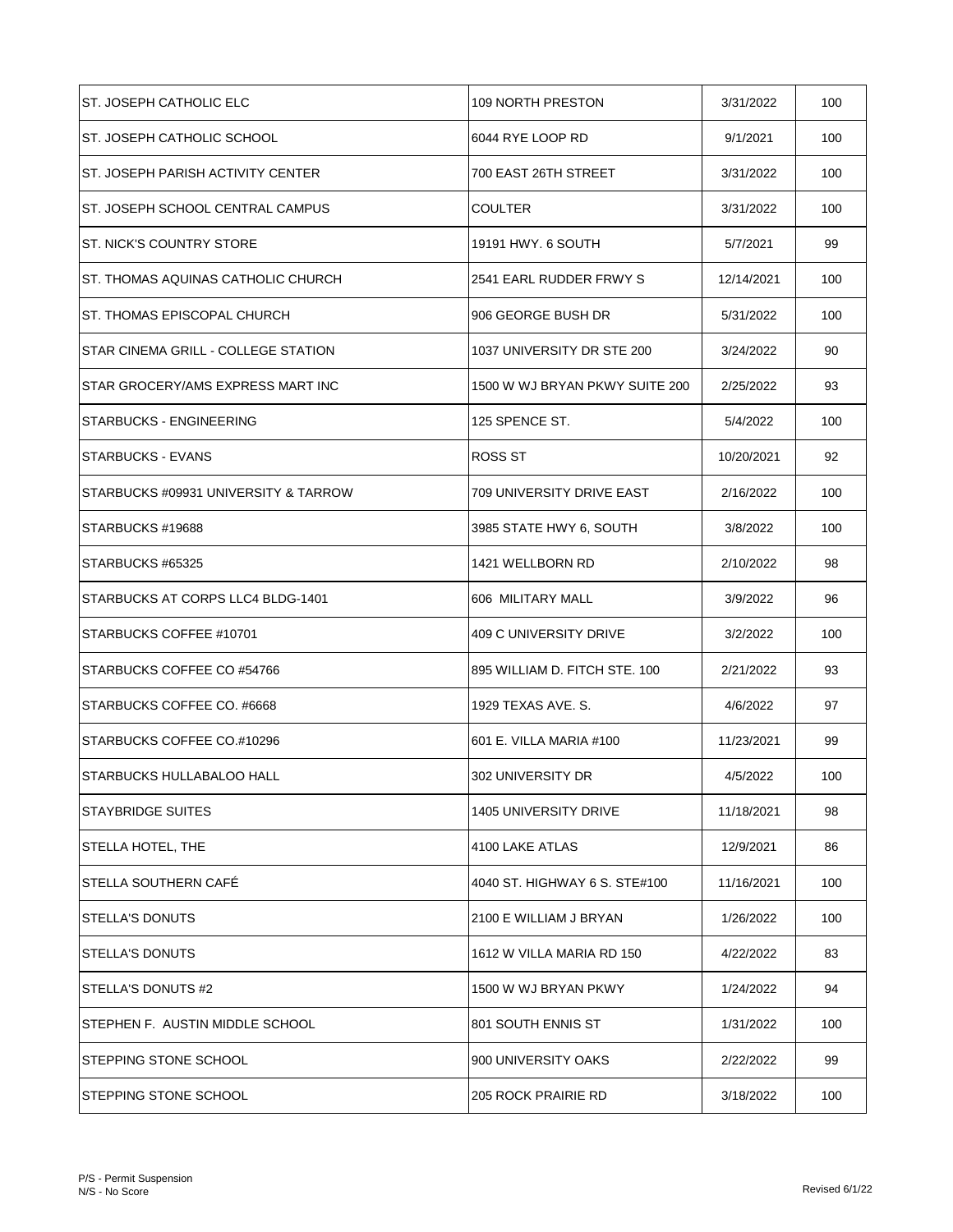| ST. JOSEPH CATHOLIC ELC                   | 109 NORTH PRESTON              | 3/31/2022  | 100 |
|-------------------------------------------|--------------------------------|------------|-----|
| ST. JOSEPH CATHOLIC SCHOOL                | 6044 RYE LOOP RD               | 9/1/2021   | 100 |
| <b>ST. JOSEPH PARISH ACTIVITY CENTER</b>  | 700 EAST 26TH STREET           | 3/31/2022  | 100 |
| ST. JOSEPH SCHOOL CENTRAL CAMPUS          | <b>COULTER</b>                 | 3/31/2022  | 100 |
| <b>ST. NICK'S COUNTRY STORE</b>           | 19191 HWY. 6 SOUTH             | 5/7/2021   | 99  |
| <b>ST. THOMAS AQUINAS CATHOLIC CHURCH</b> | 2541 EARL RUDDER FRWY S        | 12/14/2021 | 100 |
| ST. THOMAS EPISCOPAL CHURCH               | 906 GEORGE BUSH DR             | 5/31/2022  | 100 |
| STAR CINEMA GRILL - COLLEGE STATION       | 1037 UNIVERSITY DR STE 200     | 3/24/2022  | 90  |
| STAR GROCERY/AMS EXPRESS MART INC         | 1500 W WJ BRYAN PKWY SUITE 200 | 2/25/2022  | 93  |
| STARBUCKS - ENGINEERING                   | 125 SPENCE ST.                 | 5/4/2022   | 100 |
| <b>STARBUCKS - EVANS</b>                  | ROSS ST                        | 10/20/2021 | 92  |
| STARBUCKS #09931 UNIVERSITY & TARROW      | 709 UNIVERSITY DRIVE EAST      | 2/16/2022  | 100 |
| STARBUCKS #19688                          | 3985 STATE HWY 6, SOUTH        | 3/8/2022   | 100 |
| STARBUCKS #65325                          | 1421 WELLBORN RD               | 2/10/2022  | 98  |
| STARBUCKS AT CORPS LLC4 BLDG-1401         | 606 MILITARY MALL              | 3/9/2022   | 96  |
| STARBUCKS COFFEE #10701                   | 409 C UNIVERSITY DRIVE         | 3/2/2022   | 100 |
| STARBUCKS COFFEE CO #54766                | 895 WILLIAM D. FITCH STE. 100  | 2/21/2022  | 93  |
| STARBUCKS COFFEE CO. #6668                | 1929 TEXAS AVE. S.             | 4/6/2022   | 97  |
| STARBUCKS COFFEE CO.#10296                | 601 E. VILLA MARIA #100        | 11/23/2021 | 99  |
| <b>STARBUCKS HULLABALOO HALL</b>          | 302 UNIVERSITY DR              | 4/5/2022   | 100 |
| <b>STAYBRIDGE SUITES</b>                  | 1405 UNIVERSITY DRIVE          | 11/18/2021 | 98  |
| STELLA HOTEL, THE                         | 4100 LAKE ATLAS                | 12/9/2021  | 86  |
| <b>STELLA SOUTHERN CAFE</b>               | 4040 ST. HIGHWAY 6 S. STE#100  | 11/16/2021 | 100 |
| STELLA'S DONUTS                           | 2100 E WILLIAM J BRYAN         | 1/26/2022  | 100 |
| <b>STELLA'S DONUTS</b>                    | 1612 W VILLA MARIA RD 150      | 4/22/2022  | 83  |
| STELLA'S DONUTS #2                        | 1500 W WJ BRYAN PKWY           | 1/24/2022  | 94  |
| STEPHEN F. AUSTIN MIDDLE SCHOOL           | 801 SOUTH ENNIS ST             | 1/31/2022  | 100 |
| STEPPING STONE SCHOOL                     | 900 UNIVERSITY OAKS            | 2/22/2022  | 99  |
| STEPPING STONE SCHOOL                     | 205 ROCK PRAIRIE RD            | 3/18/2022  | 100 |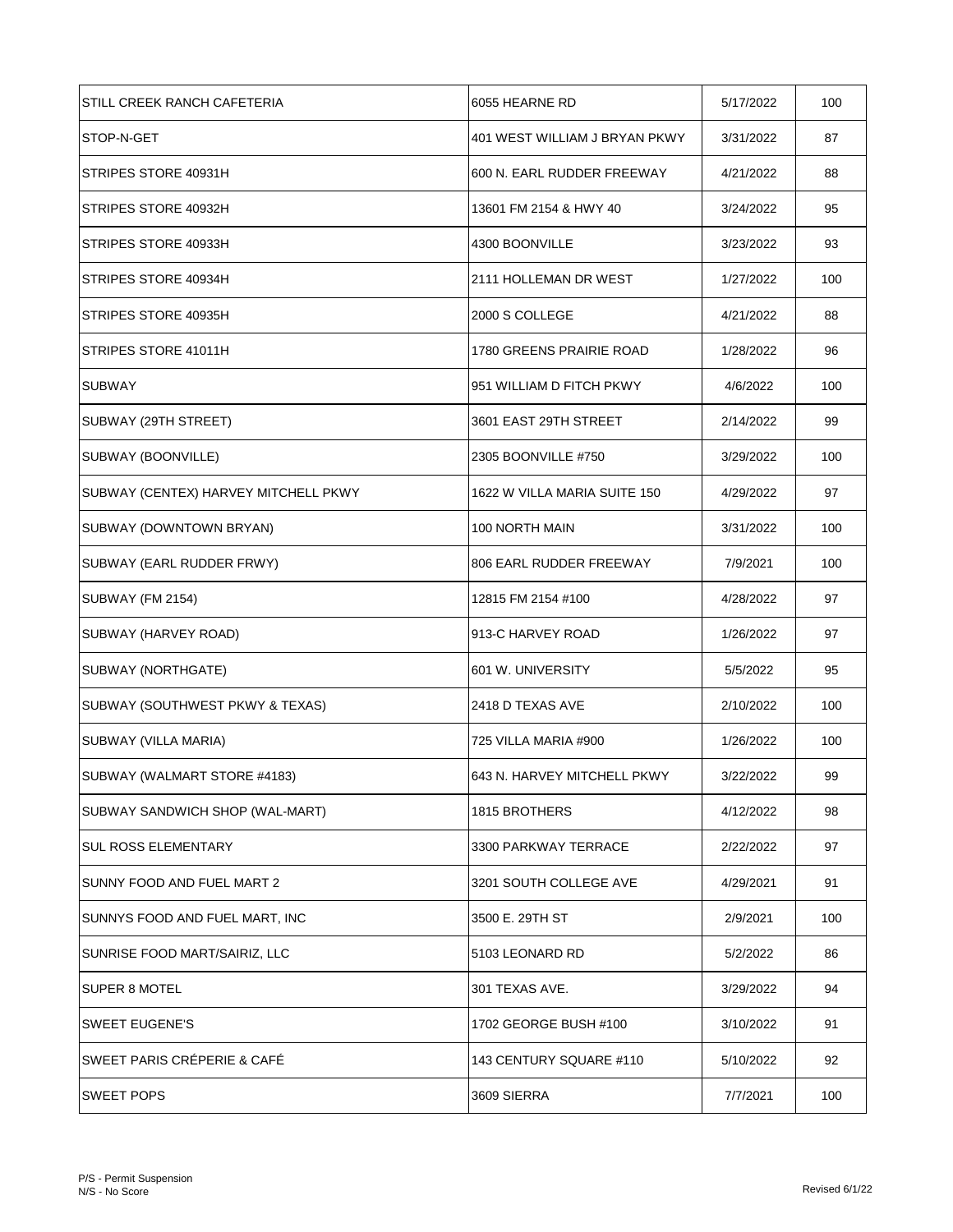| STILL CREEK RANCH CAFETERIA          | 6055 HEARNE RD                | 5/17/2022 | 100 |
|--------------------------------------|-------------------------------|-----------|-----|
| STOP-N-GET                           | 401 WEST WILLIAM J BRYAN PKWY | 3/31/2022 | 87  |
| STRIPES STORE 40931H                 | 600 N. EARL RUDDER FREEWAY    | 4/21/2022 | 88  |
| STRIPES STORE 40932H                 | 13601 FM 2154 & HWY 40        | 3/24/2022 | 95  |
| STRIPES STORE 40933H                 | 4300 BOONVILLE                | 3/23/2022 | 93  |
| STRIPES STORE 40934H                 | 2111 HOLLEMAN DR WEST         | 1/27/2022 | 100 |
| STRIPES STORE 40935H                 | 2000 S COLLEGE                | 4/21/2022 | 88  |
| STRIPES STORE 41011H                 | 1780 GREENS PRAIRIE ROAD      | 1/28/2022 | 96  |
| <b>SUBWAY</b>                        | 951 WILLIAM D FITCH PKWY      | 4/6/2022  | 100 |
| SUBWAY (29TH STREET)                 | 3601 EAST 29TH STREET         | 2/14/2022 | 99  |
| SUBWAY (BOONVILLE)                   | 2305 BOONVILLE #750           | 3/29/2022 | 100 |
| SUBWAY (CENTEX) HARVEY MITCHELL PKWY | 1622 W VILLA MARIA SUITE 150  | 4/29/2022 | 97  |
| SUBWAY (DOWNTOWN BRYAN)              | 100 NORTH MAIN                | 3/31/2022 | 100 |
| SUBWAY (EARL RUDDER FRWY)            | 806 EARL RUDDER FREEWAY       | 7/9/2021  | 100 |
| SUBWAY (FM 2154)                     | 12815 FM 2154 #100            | 4/28/2022 | 97  |
| SUBWAY (HARVEY ROAD)                 | 913-C HARVEY ROAD             | 1/26/2022 | 97  |
| SUBWAY (NORTHGATE)                   | 601 W. UNIVERSITY             | 5/5/2022  | 95  |
| SUBWAY (SOUTHWEST PKWY & TEXAS)      | 2418 D TEXAS AVE              | 2/10/2022 | 100 |
| SUBWAY (VILLA MARIA)                 | 725 VILLA MARIA #900          | 1/26/2022 | 100 |
| SUBWAY (WALMART STORE #4183)         | 643 N. HARVEY MITCHELL PKWY   | 3/22/2022 | 99  |
| SUBWAY SANDWICH SHOP (WAL-MART)      | 1815 BROTHERS                 | 4/12/2022 | 98  |
| <b>SUL ROSS ELEMENTARY</b>           | 3300 PARKWAY TERRACE          | 2/22/2022 | 97  |
| SUNNY FOOD AND FUEL MART 2           | 3201 SOUTH COLLEGE AVE        | 4/29/2021 | 91  |
| SUNNYS FOOD AND FUEL MART, INC       | 3500 E. 29TH ST               | 2/9/2021  | 100 |
| SUNRISE FOOD MART/SAIRIZ, LLC        | 5103 LEONARD RD               | 5/2/2022  | 86  |
| SUPER 8 MOTEL                        | 301 TEXAS AVE.                | 3/29/2022 | 94  |
| <b>SWEET EUGENE'S</b>                | 1702 GEORGE BUSH #100         | 3/10/2022 | 91  |
| SWEET PARIS CRÉPERIE & CAFÉ          | 143 CENTURY SQUARE #110       | 5/10/2022 | 92  |
| <b>SWEET POPS</b>                    | 3609 SIERRA                   | 7/7/2021  | 100 |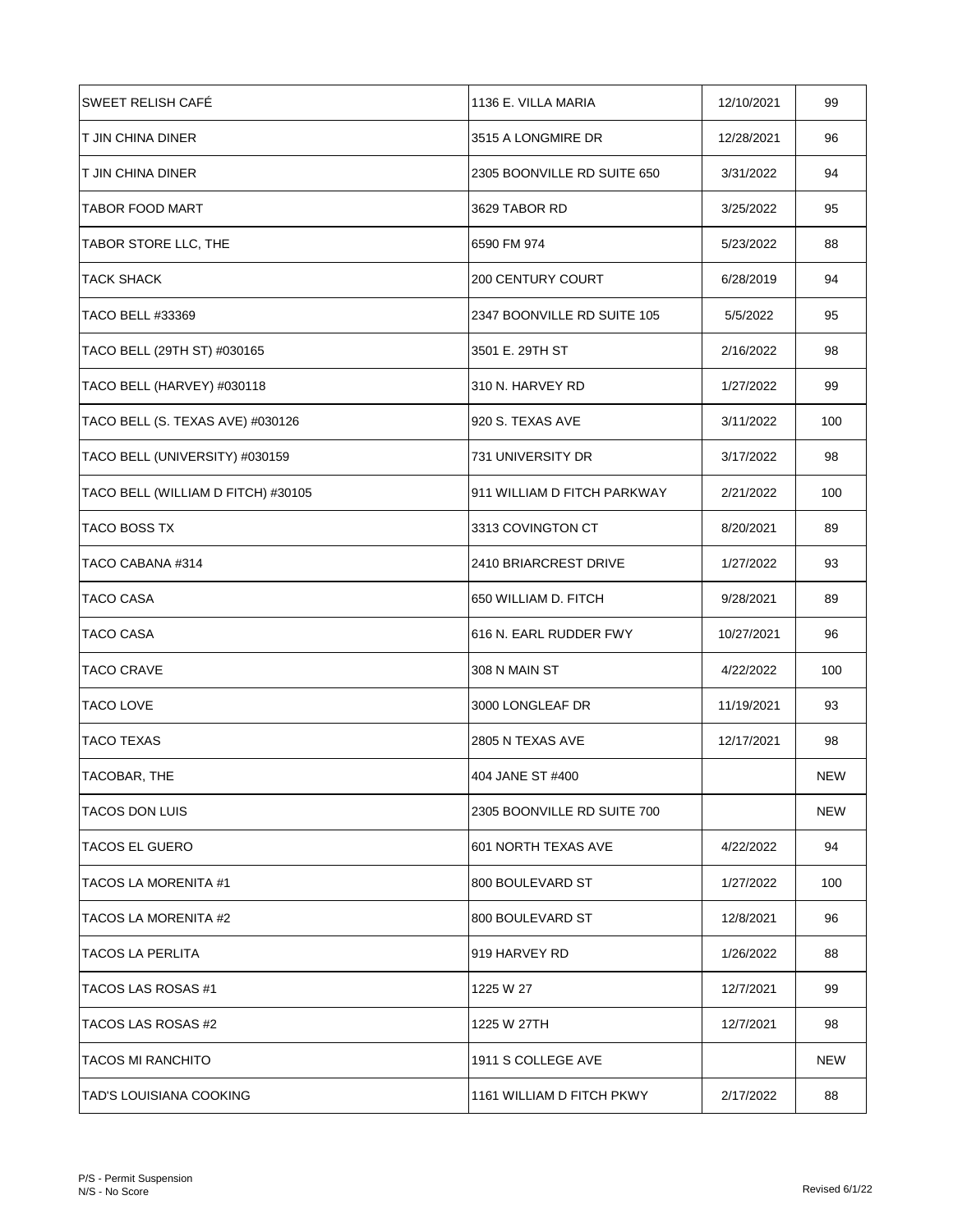| <b>SWEET RELISH CAFE</b>           | 1136 E. VILLA MARIA         | 12/10/2021 | 99         |
|------------------------------------|-----------------------------|------------|------------|
| IT JIN CHINA DINER                 | 3515 A LONGMIRE DR          | 12/28/2021 | 96         |
| T JIN CHINA DINER                  | 2305 BOONVILLE RD SUITE 650 | 3/31/2022  | 94         |
| <b>TABOR FOOD MART</b>             | 3629 TABOR RD               | 3/25/2022  | 95         |
| TABOR STORE LLC, THE               | 6590 FM 974                 | 5/23/2022  | 88         |
| <b>TACK SHACK</b>                  | <b>200 CENTURY COURT</b>    | 6/28/2019  | 94         |
| <b>TACO BELL #33369</b>            | 2347 BOONVILLE RD SUITE 105 | 5/5/2022   | 95         |
| TACO BELL (29TH ST) #030165        | 3501 E. 29TH ST             | 2/16/2022  | 98         |
| TACO BELL (HARVEY) #030118         | 310 N. HARVEY RD            | 1/27/2022  | 99         |
| TACO BELL (S. TEXAS AVE) #030126   | 920 S. TEXAS AVE            | 3/11/2022  | 100        |
| TACO BELL (UNIVERSITY) #030159     | 731 UNIVERSITY DR           | 3/17/2022  | 98         |
| TACO BELL (WILLIAM D FITCH) #30105 | 911 WILLIAM D FITCH PARKWAY | 2/21/2022  | 100        |
| <b>TACO BOSS TX</b>                | 3313 COVINGTON CT           | 8/20/2021  | 89         |
| TACO CABANA #314                   | 2410 BRIARCREST DRIVE       | 1/27/2022  | 93         |
| TACO CASA                          | 650 WILLIAM D. FITCH        | 9/28/2021  | 89         |
| TACO CASA                          | 616 N. EARL RUDDER FWY      | 10/27/2021 | 96         |
| <b>TACO CRAVE</b>                  | 308 N MAIN ST               | 4/22/2022  | 100        |
| <b>TACO LOVE</b>                   | 3000 LONGLEAF DR            | 11/19/2021 | 93         |
| <b>TACO TEXAS</b>                  | 2805 N TEXAS AVE            | 12/17/2021 | 98         |
| <b>TACOBAR, THE</b>                | 404 JANE ST #400            |            | <b>NEW</b> |
| <b>TACOS DON LUIS</b>              | 2305 BOONVILLE RD SUITE 700 |            | <b>NEW</b> |
| <b>TACOS EL GUERO</b>              | 601 NORTH TEXAS AVE         | 4/22/2022  | 94         |
| TACOS LA MORENITA #1               | 800 BOULEVARD ST            | 1/27/2022  | 100        |
| TACOS LA MORENITA #2               | 800 BOULEVARD ST            | 12/8/2021  | 96         |
| <b>TACOS LA PERLITA</b>            | 919 HARVEY RD               | 1/26/2022  | 88         |
| TACOS LAS ROSAS #1                 | 1225 W 27                   | 12/7/2021  | 99         |
| TACOS LAS ROSAS #2                 | 1225 W 27TH                 | 12/7/2021  | 98         |
| <b>TACOS MI RANCHITO</b>           | 1911 S COLLEGE AVE          |            | NEW        |
| TAD'S LOUISIANA COOKING            | 1161 WILLIAM D FITCH PKWY   | 2/17/2022  | 88         |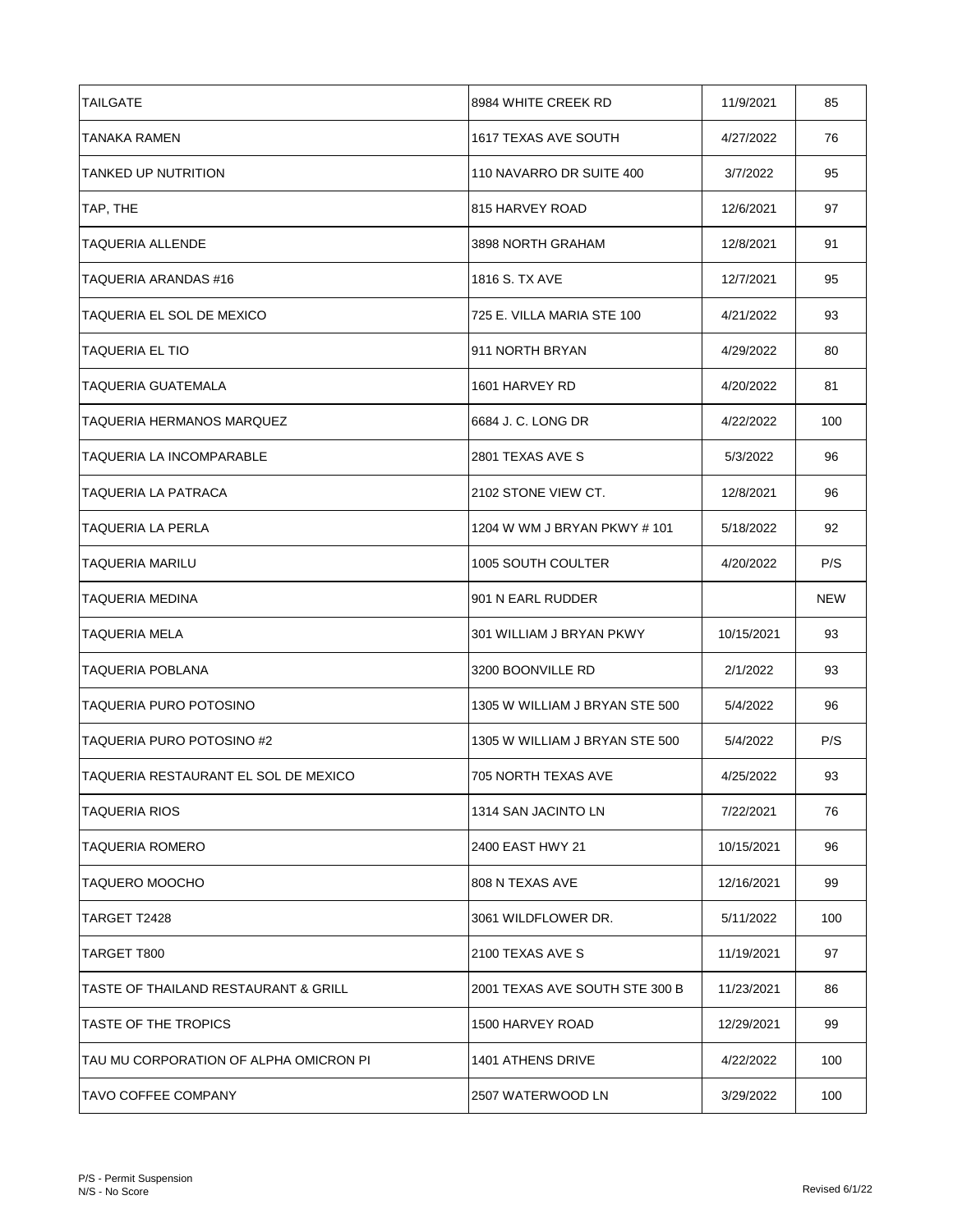| <b>TAILGATE</b>                        | 8984 WHITE CREEK RD            | 11/9/2021  | 85  |
|----------------------------------------|--------------------------------|------------|-----|
| TANAKA RAMEN                           | 1617 TEXAS AVE SOUTH           | 4/27/2022  | 76  |
| <b>TANKED UP NUTRITION</b>             | 110 NAVARRO DR SUITE 400       | 3/7/2022   | 95  |
| TAP, THE                               | 815 HARVEY ROAD                | 12/6/2021  | 97  |
| TAQUERIA ALLENDE                       | 3898 NORTH GRAHAM              | 12/8/2021  | 91  |
| TAQUERIA ARANDAS #16                   | 1816 S. TX AVE                 | 12/7/2021  | 95  |
| TAQUERIA EL SOL DE MEXICO              | 725 E. VILLA MARIA STE 100     | 4/21/2022  | 93  |
| <b>TAQUERIA EL TIO</b>                 | 911 NORTH BRYAN                | 4/29/2022  | 80  |
| <b>TAQUERIA GUATEMALA</b>              | 1601 HARVEY RD                 | 4/20/2022  | 81  |
| TAQUERIA HERMANOS MARQUEZ              | 6684 J. C. LONG DR             | 4/22/2022  | 100 |
| <b>TAQUERIA LA INCOMPARABLE</b>        | 2801 TEXAS AVE S               | 5/3/2022   | 96  |
| TAQUERIA LA PATRACA                    | 2102 STONE VIEW CT.            | 12/8/2021  | 96  |
| TAQUERIA LA PERLA                      | 1204 W WM J BRYAN PKWY # 101   | 5/18/2022  | 92  |
| <b>TAQUERIA MARILU</b>                 | 1005 SOUTH COULTER             | 4/20/2022  | P/S |
| TAQUERIA MEDINA                        | 901 N EARL RUDDER              |            | NEW |
| TAQUERIA MELA                          | 301 WILLIAM J BRYAN PKWY       | 10/15/2021 | 93  |
| TAQUERIA POBLANA                       | 3200 BOONVILLE RD              | 2/1/2022   | 93  |
| TAQUERIA PURO POTOSINO                 | 1305 W WILLIAM J BRYAN STE 500 | 5/4/2022   | 96  |
| TAQUERIA PURO POTOSINO #2              | 1305 W WILLIAM J BRYAN STE 500 | 5/4/2022   | P/S |
| TAQUERIA RESTAURANT EL SOL DE MEXICO   | 705 NORTH TEXAS AVE            | 4/25/2022  | 93  |
| TAQUERIA RIOS                          | 1314 SAN JACINTO LN            | 7/22/2021  | 76  |
| TAQUERIA ROMERO                        | 2400 EAST HWY 21               | 10/15/2021 | 96  |
| TAQUERO MOOCHO                         | 808 N TEXAS AVE                | 12/16/2021 | 99  |
| TARGET T2428                           | 3061 WILDFLOWER DR.            | 5/11/2022  | 100 |
| TARGET T800                            | 2100 TEXAS AVE S               | 11/19/2021 | 97  |
| TASTE OF THAILAND RESTAURANT & GRILL   | 2001 TEXAS AVE SOUTH STE 300 B | 11/23/2021 | 86  |
| TASTE OF THE TROPICS                   | 1500 HARVEY ROAD               | 12/29/2021 | 99  |
| TAU MU CORPORATION OF ALPHA OMICRON PI | 1401 ATHENS DRIVE              | 4/22/2022  | 100 |
| <b>TAVO COFFEE COMPANY</b>             | 2507 WATERWOOD LN              | 3/29/2022  | 100 |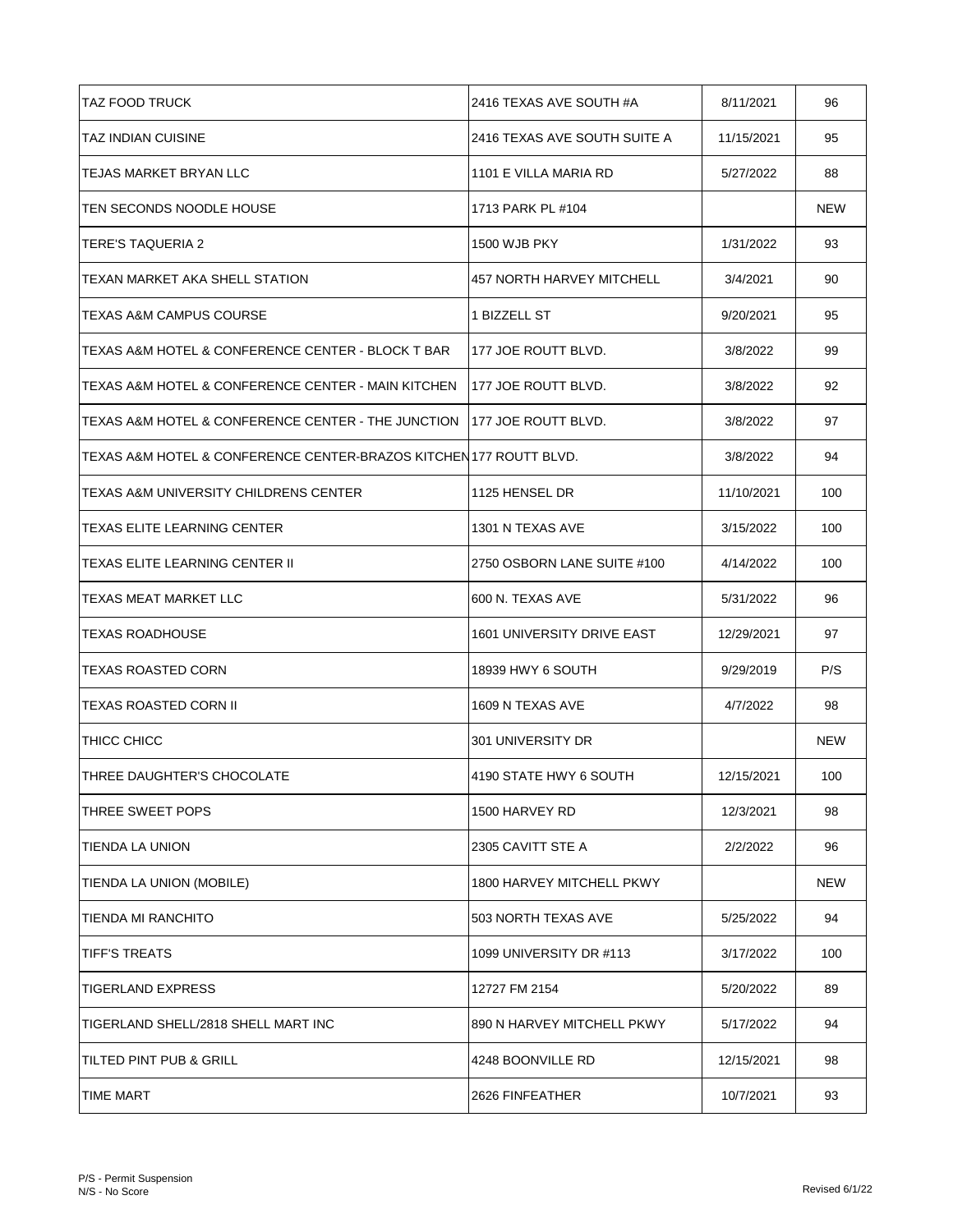| <b>TAZ FOOD TRUCK</b>                                                   | 2416 TEXAS AVE SOUTH #A      | 8/11/2021  | 96         |
|-------------------------------------------------------------------------|------------------------------|------------|------------|
| TAZ INDIAN CUISINE                                                      | 2416 TEXAS AVE SOUTH SUITE A | 11/15/2021 | 95         |
| TEJAS MARKET BRYAN LLC                                                  | 1101 E VILLA MARIA RD        | 5/27/2022  | 88         |
| TEN SECONDS NOODLE HOUSE                                                | 1713 PARK PL #104            |            | NEW        |
| TERE'S TAQUERIA 2                                                       | <b>1500 WJB PKY</b>          | 1/31/2022  | 93         |
| TEXAN MARKET AKA SHELL STATION                                          | 457 NORTH HARVEY MITCHELL    | 3/4/2021   | 90         |
| TEXAS A&M CAMPUS COURSE                                                 | 1 BIZZELL ST                 | 9/20/2021  | 95         |
| TEXAS A&M HOTEL & CONFERENCE CENTER - BLOCK T BAR                       | 177 JOE ROUTT BLVD.          | 3/8/2022   | 99         |
| TEXAS A&M HOTEL & CONFERENCE CENTER - MAIN KITCHEN                      | 1177 JOE ROUTT BLVD.         | 3/8/2022   | 92         |
| TEXAS A&M HOTEL & CONFERENCE CENTER - THE JUNCTION 1177 JOE ROUTT BLVD. |                              | 3/8/2022   | 97         |
| TEXAS A&M HOTEL & CONFERENCE CENTER-BRAZOS KITCHEN177 ROUTT BLVD.       |                              | 3/8/2022   | 94         |
| TEXAS A&M UNIVERSITY CHILDRENS CENTER                                   | 1125 HENSEL DR               | 11/10/2021 | 100        |
| TEXAS ELITE LEARNING CENTER                                             | 1301 N TEXAS AVE             | 3/15/2022  | 100        |
| TEXAS ELITE LEARNING CENTER II                                          | 2750 OSBORN LANE SUITE #100  | 4/14/2022  | 100        |
| TEXAS MEAT MARKET LLC                                                   | 600 N. TEXAS AVE             | 5/31/2022  | 96         |
| <b>TEXAS ROADHOUSE</b>                                                  | 1601 UNIVERSITY DRIVE EAST   | 12/29/2021 | 97         |
| TEXAS ROASTED CORN                                                      | 18939 HWY 6 SOUTH            | 9/29/2019  | P/S        |
| <b>TEXAS ROASTED CORN II</b>                                            | 1609 N TEXAS AVE             | 4/7/2022   | 98         |
| THICC CHICC                                                             | 301 UNIVERSITY DR            |            | <b>NEW</b> |
| THREE DAUGHTER'S CHOCOLATE                                              | 4190 STATE HWY 6 SOUTH       | 12/15/2021 | 100        |
| THREE SWEET POPS                                                        | 1500 HARVEY RD               | 12/3/2021  | 98         |
| TIENDA LA UNION                                                         | 2305 CAVITT STE A            | 2/2/2022   | 96         |
| TIENDA LA UNION (MOBILE)                                                | 1800 HARVEY MITCHELL PKWY    |            | NEW        |
| TIENDA MI RANCHITO                                                      | 503 NORTH TEXAS AVE          | 5/25/2022  | 94         |
| <b>TIFF'S TREATS</b>                                                    | 1099 UNIVERSITY DR #113      | 3/17/2022  | 100        |
| <b>TIGERLAND EXPRESS</b>                                                | 12727 FM 2154                | 5/20/2022  | 89         |
| TIGERLAND SHELL/2818 SHELL MART INC                                     | 890 N HARVEY MITCHELL PKWY   | 5/17/2022  | 94         |
| TILTED PINT PUB & GRILL                                                 | 4248 BOONVILLE RD            | 12/15/2021 | 98         |
| <b>TIME MART</b>                                                        | 2626 FINFEATHER              | 10/7/2021  | 93         |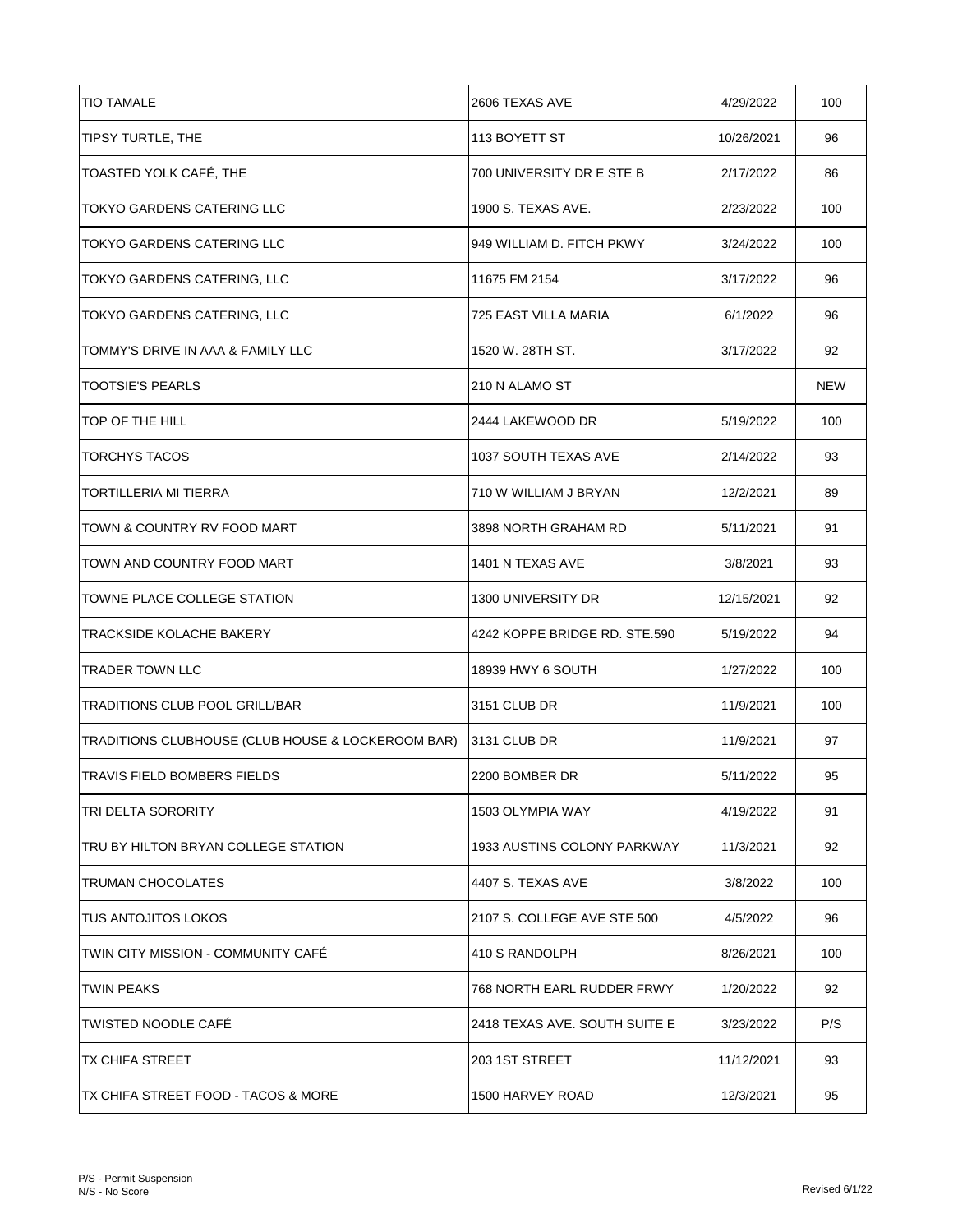| <b>TIO TAMALE</b>                                 | 2606 TEXAS AVE                | 4/29/2022  | 100        |
|---------------------------------------------------|-------------------------------|------------|------------|
| TIPSY TURTLE, THE                                 | 113 BOYETT ST                 | 10/26/2021 | 96         |
| TOASTED YOLK CAFÉ, THE                            | 700 UNIVERSITY DR E STE B     | 2/17/2022  | 86         |
| TOKYO GARDENS CATERING LLC                        | 1900 S. TEXAS AVE.            | 2/23/2022  | 100        |
| TOKYO GARDENS CATERING LLC                        | 949 WILLIAM D. FITCH PKWY     | 3/24/2022  | 100        |
| TOKYO GARDENS CATERING, LLC                       | 11675 FM 2154                 | 3/17/2022  | 96         |
| TOKYO GARDENS CATERING, LLC                       | 725 EAST VILLA MARIA          | 6/1/2022   | 96         |
| TOMMY'S DRIVE IN AAA & FAMILY LLC                 | 1520 W. 28TH ST.              | 3/17/2022  | 92         |
| <b>TOOTSIE'S PEARLS</b>                           | 210 N ALAMO ST                |            | <b>NEW</b> |
| TOP OF THE HILL                                   | 2444 LAKEWOOD DR              | 5/19/2022  | 100        |
| <b>TORCHYS TACOS</b>                              | 1037 SOUTH TEXAS AVE          | 2/14/2022  | 93         |
| <b>TORTILLERIA MI TIERRA</b>                      | 710 W WILLIAM J BRYAN         | 12/2/2021  | 89         |
| TOWN & COUNTRY RV FOOD MART                       | 3898 NORTH GRAHAM RD          | 5/11/2021  | 91         |
| TOWN AND COUNTRY FOOD MART                        | 1401 N TEXAS AVE              | 3/8/2021   | 93         |
| TOWNE PLACE COLLEGE STATION                       | 1300 UNIVERSITY DR            | 12/15/2021 | 92         |
| TRACKSIDE KOLACHE BAKERY                          | 4242 KOPPE BRIDGE RD. STE.590 | 5/19/2022  | 94         |
| TRADER TOWN LLC                                   | 18939 HWY 6 SOUTH             | 1/27/2022  | 100        |
| TRADITIONS CLUB POOL GRILL/BAR                    | 3151 CLUB DR                  | 11/9/2021  | 100        |
| TRADITIONS CLUBHOUSE (CLUB HOUSE & LOCKEROOM BAR) | 3131 CLUB DR                  | 11/9/2021  | 97         |
| TRAVIS FIELD BOMBERS FIELDS                       | 2200 BOMBER DR                | 5/11/2022  | 95         |
| TRI DELTA SORORITY                                | 1503 OLYMPIA WAY              | 4/19/2022  | 91         |
| TRU BY HILTON BRYAN COLLEGE STATION               | 1933 AUSTINS COLONY PARKWAY   | 11/3/2021  | 92         |
| TRUMAN CHOCOLATES                                 | 4407 S. TEXAS AVE             | 3/8/2022   | 100        |
| <b>TUS ANTOJITOS LOKOS</b>                        | 2107 S. COLLEGE AVE STE 500   | 4/5/2022   | 96         |
| TWIN CITY MISSION - COMMUNITY CAFÉ                | 410 S RANDOLPH                | 8/26/2021  | 100        |
| TWIN PEAKS                                        | 768 NORTH EARL RUDDER FRWY    | 1/20/2022  | 92         |
| <b>TWISTED NOODLE CAFE</b>                        | 2418 TEXAS AVE. SOUTH SUITE E | 3/23/2022  | P/S        |
| TX CHIFA STREET                                   | 203 1ST STREET                | 11/12/2021 | 93         |
| TX CHIFA STREET FOOD - TACOS & MORE               | 1500 HARVEY ROAD              | 12/3/2021  | 95         |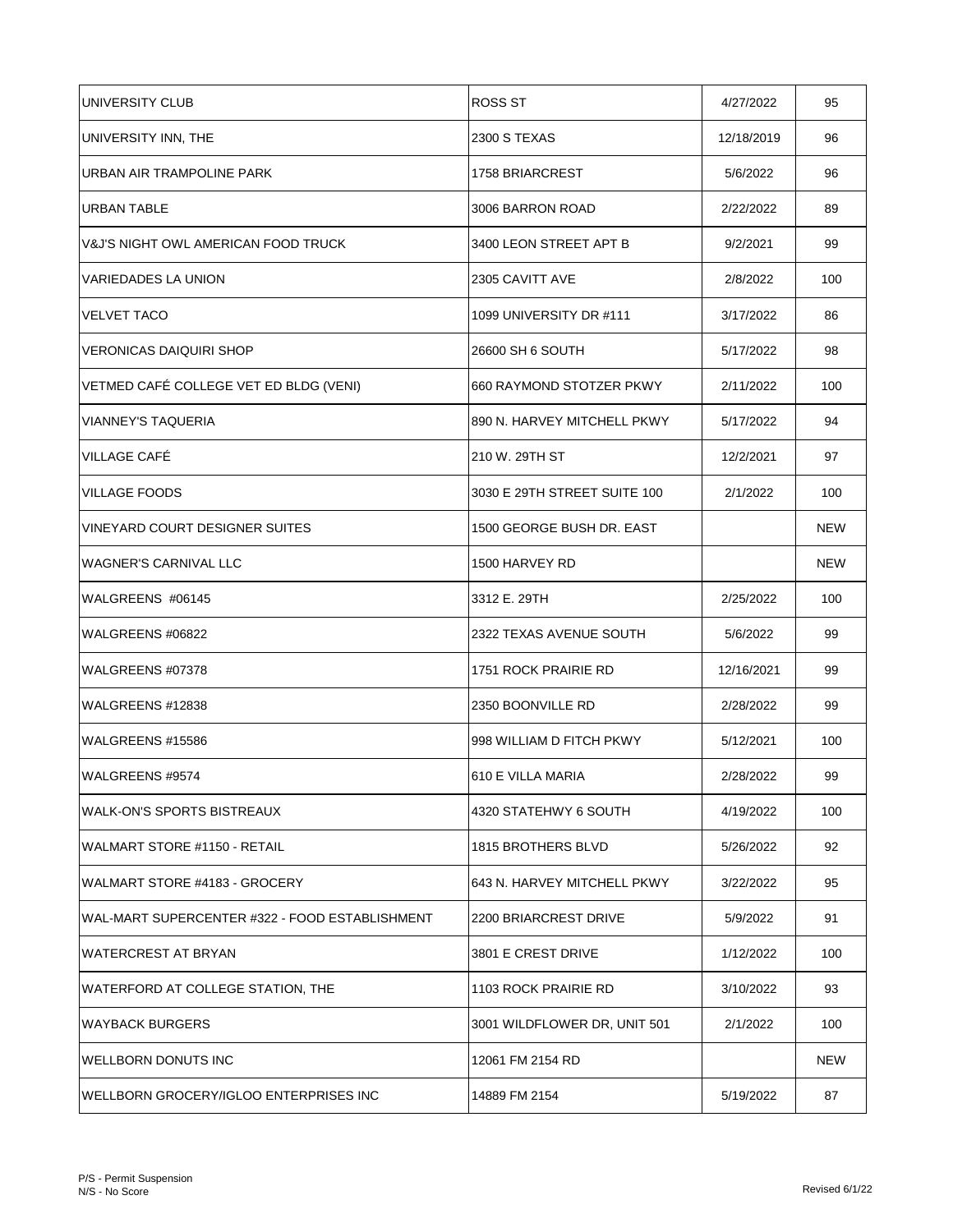| UNIVERSITY CLUB                                | ROSS ST                      | 4/27/2022  | 95         |
|------------------------------------------------|------------------------------|------------|------------|
| UNIVERSITY INN, THE                            | 2300 S TEXAS                 | 12/18/2019 | 96         |
| <b>URBAN AIR TRAMPOLINE PARK</b>               | 1758 BRIARCREST              | 5/6/2022   | 96         |
| <b>URBAN TABLE</b>                             | 3006 BARRON ROAD             | 2/22/2022  | 89         |
| <b>V&amp;J'S NIGHT OWL AMERICAN FOOD TRUCK</b> | 3400 LEON STREET APT B       | 9/2/2021   | 99         |
| VARIEDADES LA UNION                            | 2305 CAVITT AVE              | 2/8/2022   | 100        |
| <b>VELVET TACO</b>                             | 1099 UNIVERSITY DR #111      | 3/17/2022  | 86         |
| <b>VERONICAS DAIQUIRI SHOP</b>                 | 26600 SH 6 SOUTH             | 5/17/2022  | 98         |
| VETMED CAFÉ COLLEGE VET ED BLDG (VENI)         | 660 RAYMOND STOTZER PKWY     | 2/11/2022  | 100        |
| <b>VIANNEY'S TAQUERIA</b>                      | 890 N. HARVEY MITCHELL PKWY  | 5/17/2022  | 94         |
| <b>VILLAGE CAFE</b>                            | 210 W. 29TH ST               | 12/2/2021  | 97         |
| <b>VILLAGE FOODS</b>                           | 3030 E 29TH STREET SUITE 100 | 2/1/2022   | 100        |
| VINEYARD COURT DESIGNER SUITES                 | 1500 GEORGE BUSH DR. EAST    |            | <b>NEW</b> |
| <b>WAGNER'S CARNIVAL LLC</b>                   | 1500 HARVEY RD               |            | <b>NEW</b> |
| WALGREENS #06145                               | 3312 E. 29TH                 | 2/25/2022  | 100        |
| WALGREENS #06822                               | 2322 TEXAS AVENUE SOUTH      | 5/6/2022   | 99         |
| WALGREENS #07378                               | 1751 ROCK PRAIRIE RD         | 12/16/2021 | 99         |
| WALGREENS #12838                               | 2350 BOONVILLE RD            | 2/28/2022  | 99         |
| WALGREENS #15586                               | 998 WILLIAM D FITCH PKWY     | 5/12/2021  | 100        |
| WALGREENS #9574                                | 610 E VILLA MARIA            | 2/28/2022  | 99         |
| WALK-ON'S SPORTS BISTREAUX                     | 4320 STATEHWY 6 SOUTH        | 4/19/2022  | 100        |
| WALMART STORE #1150 - RETAIL                   | 1815 BROTHERS BLVD           | 5/26/2022  | 92         |
| WALMART STORE #4183 - GROCERY                  | 643 N. HARVEY MITCHELL PKWY  | 3/22/2022  | 95         |
| WAL-MART SUPERCENTER #322 - FOOD ESTABLISHMENT | 2200 BRIARCREST DRIVE        | 5/9/2022   | 91         |
| <b>WATERCREST AT BRYAN</b>                     | 3801 E CREST DRIVE           | 1/12/2022  | 100        |
| WATERFORD AT COLLEGE STATION, THE              | 1103 ROCK PRAIRIE RD         | 3/10/2022  | 93         |
| <b>WAYBACK BURGERS</b>                         | 3001 WILDFLOWER DR, UNIT 501 | 2/1/2022   | 100        |
| WELLBORN DONUTS INC                            | 12061 FM 2154 RD             |            | <b>NEW</b> |
| WELLBORN GROCERY/IGLOO ENTERPRISES INC         | 14889 FM 2154                | 5/19/2022  | 87         |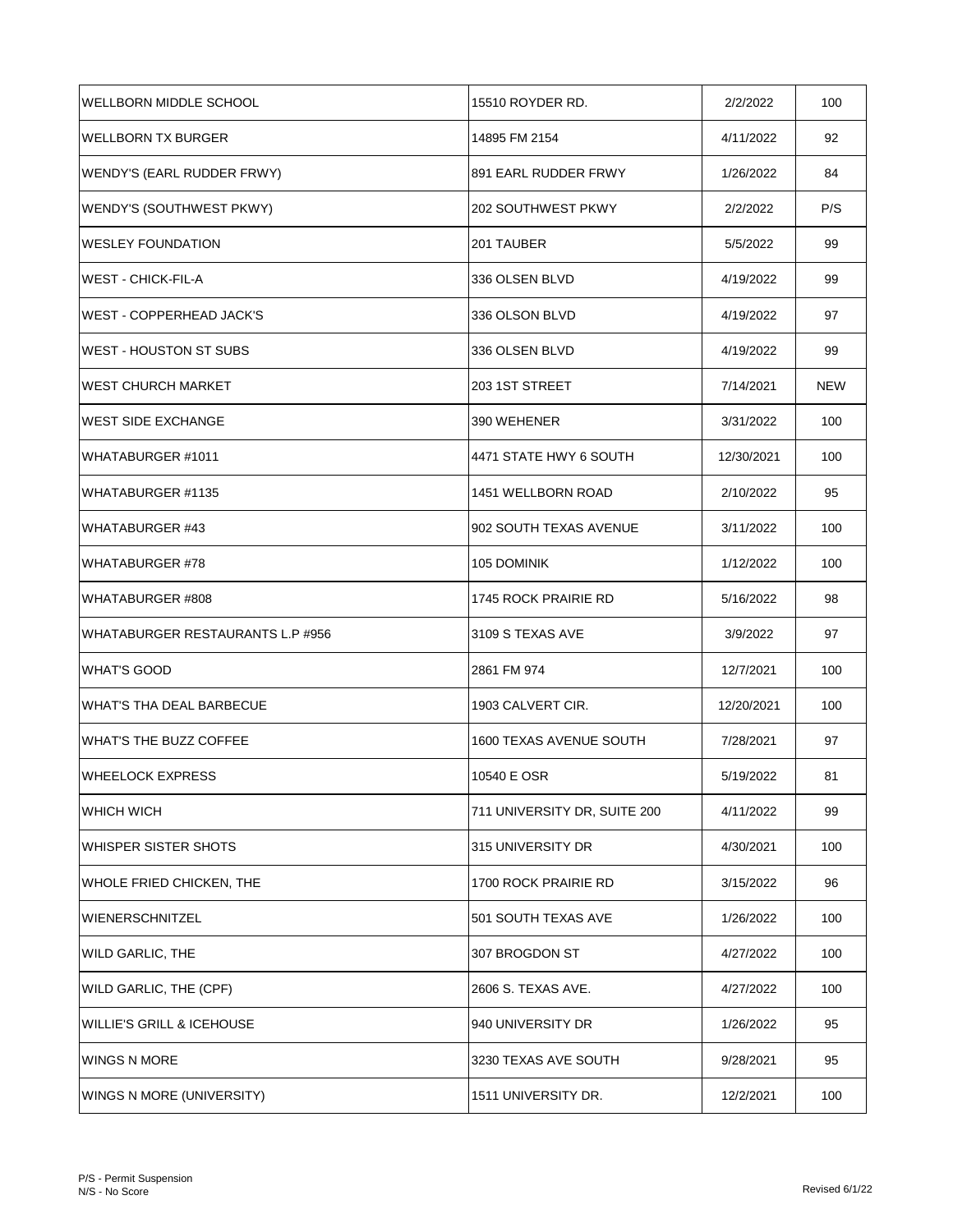| WELLBORN MIDDLE SCHOOL               | 15510 ROYDER RD.               | 2/2/2022   | 100        |
|--------------------------------------|--------------------------------|------------|------------|
| <b>WELLBORN TX BURGER</b>            | 14895 FM 2154                  | 4/11/2022  | 92         |
| WENDY'S (EARL RUDDER FRWY)           | 891 EARL RUDDER FRWY           | 1/26/2022  | 84         |
| WENDY'S (SOUTHWEST PKWY)             | 202 SOUTHWEST PKWY             | 2/2/2022   | P/S        |
| <b>WESLEY FOUNDATION</b>             | 201 TAUBER                     | 5/5/2022   | 99         |
| <b>WEST - CHICK-FIL-A</b>            | 336 OLSEN BLVD                 | 4/19/2022  | 99         |
| <b>WEST - COPPERHEAD JACK'S</b>      | 336 OLSON BLVD                 | 4/19/2022  | 97         |
| <b>WEST - HOUSTON ST SUBS</b>        | 336 OLSEN BLVD                 | 4/19/2022  | 99         |
| <b>WEST CHURCH MARKET</b>            | 203 1ST STREET                 | 7/14/2021  | <b>NEW</b> |
| <b>WEST SIDE EXCHANGE</b>            | 390 WEHENER                    | 3/31/2022  | 100        |
| WHATABURGER #1011                    | 4471 STATE HWY 6 SOUTH         | 12/30/2021 | 100        |
| WHATABURGER #1135                    | 1451 WELLBORN ROAD             | 2/10/2022  | 95         |
| <b>WHATABURGER #43</b>               | 902 SOUTH TEXAS AVENUE         | 3/11/2022  | 100        |
| <b>WHATABURGER #78</b>               | 105 DOMINIK                    | 1/12/2022  | 100        |
| WHATABURGER #808                     | 1745 ROCK PRAIRIE RD           | 5/16/2022  | 98         |
| WHATABURGER RESTAURANTS L.P #956     | 3109 S TEXAS AVE               | 3/9/2022   | 97         |
| <b>WHAT'S GOOD</b>                   | 2861 FM 974                    | 12/7/2021  | 100        |
| <b>WHAT'S THA DEAL BARBECUE</b>      | 1903 CALVERT CIR.              | 12/20/2021 | 100        |
| WHAT'S THE BUZZ COFFEE               | <b>1600 TEXAS AVENUE SOUTH</b> | 7/28/2021  | 97         |
| WHEELOCK EXPRESS                     | 10540 E OSR                    | 5/19/2022  | 81         |
| WHICH WICH                           | 711 UNIVERSITY DR, SUITE 200   | 4/11/2022  | 99         |
| WHISPER SISTER SHOTS                 | 315 UNIVERSITY DR              | 4/30/2021  | 100        |
| WHOLE FRIED CHICKEN, THE             | 1700 ROCK PRAIRIE RD           | 3/15/2022  | 96         |
| <b>WIENERSCHNITZEL</b>               | 501 SOUTH TEXAS AVE            | 1/26/2022  | 100        |
| <b>WILD GARLIC, THE</b>              | 307 BROGDON ST                 | 4/27/2022  | 100        |
| WILD GARLIC, THE (CPF)               | 2606 S. TEXAS AVE.             | 4/27/2022  | 100        |
| <b>WILLIE'S GRILL &amp; ICEHOUSE</b> | 940 UNIVERSITY DR              | 1/26/2022  | 95         |
| <b>WINGS N MORE</b>                  | 3230 TEXAS AVE SOUTH           | 9/28/2021  | 95         |
| WINGS N MORE (UNIVERSITY)            | 1511 UNIVERSITY DR.            | 12/2/2021  | 100        |